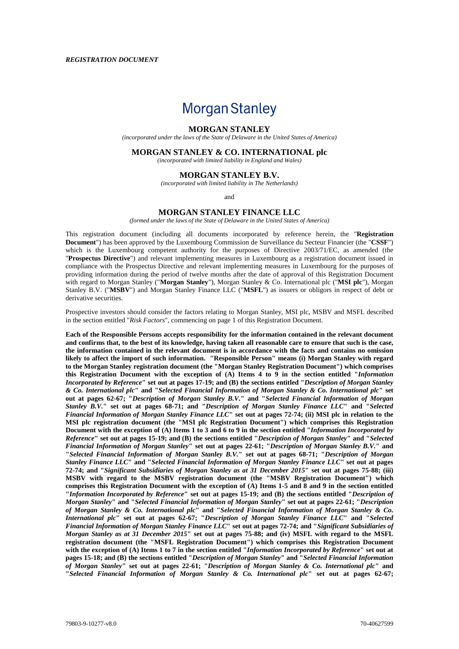# **Morgan Stanley**

#### **MORGAN STANLEY**

*(incorporated under the laws of the State of Delaware in the United States of America)*

#### **MORGAN STANLEY & CO. INTERNATIONAL plc**

*(incorporated with limited liability in England and Wales)*

#### **MORGAN STANLEY B.V.**

*(incorporated with limited liability in The Netherlands)*

and

#### **MORGAN STANLEY FINANCE LLC**

*(formed under the laws of the State of Delaware in the United States of America)*

This registration document (including all documents incorporated by reference herein, the "**Registration Document**") has been approved by the Luxembourg Commission de Surveillance du Secteur Financier (the "**CSSF**") which is the Luxembourg competent authority for the purposes of Directive 2003/71/EC, as amended (the "**Prospectus Directive**") and relevant implementing measures in Luxembourg as a registration document issued in compliance with the Prospectus Directive and relevant implementing measures in Luxembourg for the purposes of providing information during the period of twelve months after the date of approval of this Registration Document with regard to Morgan Stanley ("**Morgan Stanley**"), Morgan Stanley & Co. International plc ("**MSI plc**"), Morgan Stanley B.V. ("**MSBV**") and Morgan Stanley Finance LLC ("**MSFL**") as issuers or obligors in respect of debt or derivative securities.

Prospective investors should consider the factors relating to Morgan Stanley, MSI plc, MSBV and MSFL described in the section entitled "*Risk Factors*", commencing on page 1 of this Registration Document.

**Each of the Responsible Persons accepts responsibility for the information contained in the relevant document and confirms that, to the best of its knowledge, having taken all reasonable care to ensure that such is the case, the information contained in the relevant document is in accordance with the facts and contains no omission likely to affect the import of such information. "Responsible Person" means (i) Morgan Stanley with regard to the Morgan Stanley registration document (the "Morgan Stanley Registration Document") which comprises this Registration Document with the exception of (A) Items 4 to 9 in the section entitled "***Information Incorporated by Reference***" set out at pages 17-19; and (B) the sections entitled "***Description of Morgan Stanley & Co. International plc***" and "***Selected Financial Information of Morgan Stanley & Co. International plc***" set out at pages 62-67; "***Description of Morgan Stanley B.V.***" and "***Selected Financial Information of Morgan Stanley B.V.***" set out at pages 68-71; and "***Description of Morgan Stanley Finance LLC***" and "***Selected Financial Information of Morgan Stanley Finance LLC***" set out at pages 72-74; (ii) MSI plc in relation to the MSI plc registration document (the "MSI plc Registration Document") which comprises this Registration Document with the exception of (A) Items 1 to 3 and 6 to 9 in the section entitled "***Information Incorporated by Reference***" set out at pages 15-19; and (B) the sections entitled "***Description of Morgan Stanley***" and "***Selected Financial Information of Morgan Stanley***" set out at pages 22-61; "***Description of Morgan Stanley B.V.***" and "***Selected Financial Information of Morgan Stanley B.V.***" set out at pages 68-71; "***Description of Morgan Stanley Finance LLC***" and "***Selected Financial Information of Morgan Stanley Finance LLC***" set out at pages 72-74; and "***Significant Subsidiaries of Morgan Stanley as at 31 December 2015***" set out at pages 75-88; (iii) MSBV with regard to the MSBV registration document (the "MSBV Registration Document") which comprises this Registration Document with the exception of (A) Items 1-5 and 8 and 9 in the section entitled "***Information Incorporated by Reference***" set out at pages 15-19; and (B) the sections entitled "***Description of Morgan Stanley***" and "***Selected Financial Information of Morgan Stanley***" set out at pages 22-61; "***Description of Morgan Stanley & Co. International plc***" and "***Selected Financial Information of Morgan Stanley & Co. International plc***" set out at pages 62-67; "***Description of Morgan Stanley Finance LLC***" and "***Selected Financial Information of Morgan Stanley Finance LLC***" set out at pages 72-74; and "***Significant Subsidiaries of Morgan Stanley as at 31 December 2015***" set out at pages 75-88; and (iv) MSFL with regard to the MSFL registration document (the "MSFL Registration Document") which comprises this Registration Document with the exception of (A) Items 1 to 7 in the section entitled "***Information Incorporated by Reference***" set out at pages 15-18; and (B) the sections entitled "***Description of Morgan Stanley***" and "***Selected Financial Information of Morgan Stanley***" set out at pages 22-61; "***Description of Morgan Stanley & Co. International plc***" and "***Selected Financial Information of Morgan Stanley & Co. International plc***" set out at pages 62-67;**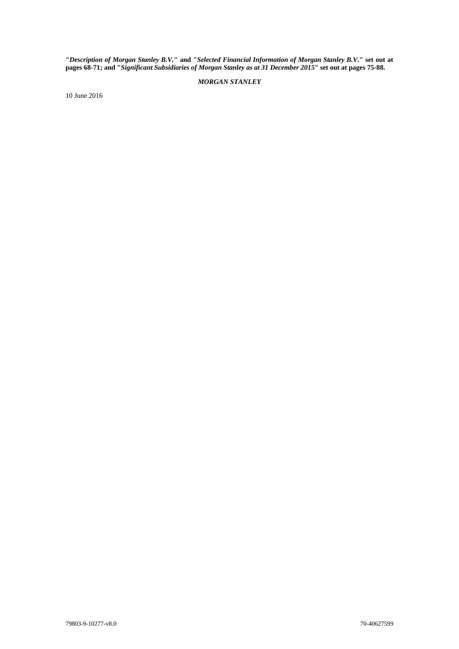**"***Description of Morgan Stanley B.V.***" and "***Selected Financial Information of Morgan Stanley B.V.***" set out at pages 68-71; and "***Significant Subsidiaries of Morgan Stanley as at 31 December 2015***" set out at pages 75-88.**

# *MORGAN STANLEY*

10 June 2016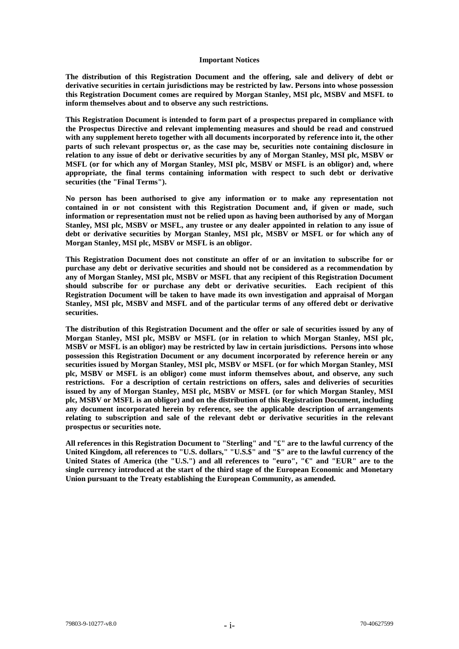#### **Important Notices**

**The distribution of this Registration Document and the offering, sale and delivery of debt or derivative securities in certain jurisdictions may be restricted by law. Persons into whose possession this Registration Document comes are required by Morgan Stanley, MSI plc, MSBV and MSFL to inform themselves about and to observe any such restrictions.**

**This Registration Document is intended to form part of a prospectus prepared in compliance with the Prospectus Directive and relevant implementing measures and should be read and construed with any supplement hereto together with all documents incorporated by reference into it, the other parts of such relevant prospectus or, as the case may be, securities note containing disclosure in relation to any issue of debt or derivative securities by any of Morgan Stanley, MSI plc, MSBV or MSFL (or for which any of Morgan Stanley, MSI plc, MSBV or MSFL is an obligor) and, where appropriate, the final terms containing information with respect to such debt or derivative securities (the "Final Terms").**

**No person has been authorised to give any information or to make any representation not contained in or not consistent with this Registration Document and, if given or made, such information or representation must not be relied upon as having been authorised by any of Morgan Stanley, MSI plc, MSBV or MSFL, any trustee or any dealer appointed in relation to any issue of debt or derivative securities by Morgan Stanley, MSI plc, MSBV or MSFL or for which any of Morgan Stanley, MSI plc, MSBV or MSFL is an obligor.**

**This Registration Document does not constitute an offer of or an invitation to subscribe for or purchase any debt or derivative securities and should not be considered as a recommendation by any of Morgan Stanley, MSI plc, MSBV or MSFL that any recipient of this Registration Document should subscribe for or purchase any debt or derivative securities. Each recipient of this Registration Document will be taken to have made its own investigation and appraisal of Morgan Stanley, MSI plc, MSBV and MSFL and of the particular terms of any offered debt or derivative securities.**

**The distribution of this Registration Document and the offer or sale of securities issued by any of Morgan Stanley, MSI plc, MSBV or MSFL (or in relation to which Morgan Stanley, MSI plc, MSBV or MSFL is an obligor) may be restricted by law in certain jurisdictions. Persons into whose possession this Registration Document or any document incorporated by reference herein or any securities issued by Morgan Stanley, MSI plc, MSBV or MSFL (or for which Morgan Stanley, MSI plc, MSBV or MSFL is an obligor) come must inform themselves about, and observe, any such restrictions. For a description of certain restrictions on offers, sales and deliveries of securities issued by any of Morgan Stanley, MSI plc, MSBV or MSFL (or for which Morgan Stanley, MSI plc, MSBV or MSFL is an obligor) and on the distribution of this Registration Document, including any document incorporated herein by reference, see the applicable description of arrangements relating to subscription and sale of the relevant debt or derivative securities in the relevant prospectus or securities note.**

**All references in this Registration Document to "Sterling" and "£" are to the lawful currency of the United Kingdom, all references to "U.S. dollars," "U.S.\$" and "\$" are to the lawful currency of the United States of America (the "U.S.") and all references to "euro", "€" and "EUR" are to the single currency introduced at the start of the third stage of the European Economic and Monetary Union pursuant to the Treaty establishing the European Community, as amended.**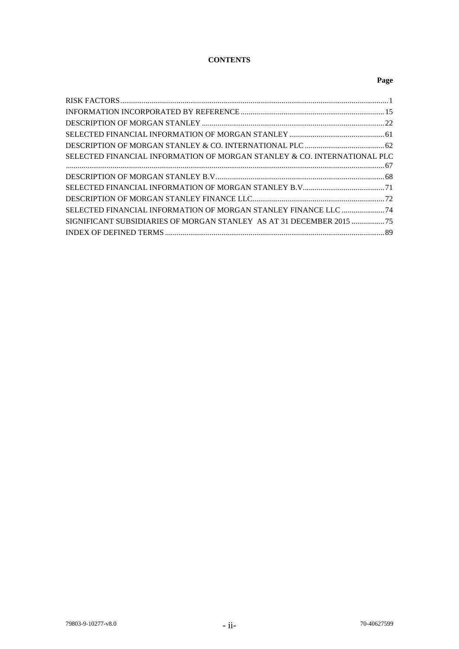# **CONTENTS**

# **Page**

| SELECTED FINANCIAL INFORMATION OF MORGAN STANLEY & CO. INTERNATIONAL PLC |  |
|--------------------------------------------------------------------------|--|
| $67$                                                                     |  |
|                                                                          |  |
|                                                                          |  |
|                                                                          |  |
| SELECTED FINANCIAL INFORMATION OF MORGAN STANLEY FINANCE LLC  74         |  |
| SIGNIFICANT SUBSIDIARIES OF MORGAN STANLEY AS AT 31 DECEMBER 2015  75    |  |
|                                                                          |  |
|                                                                          |  |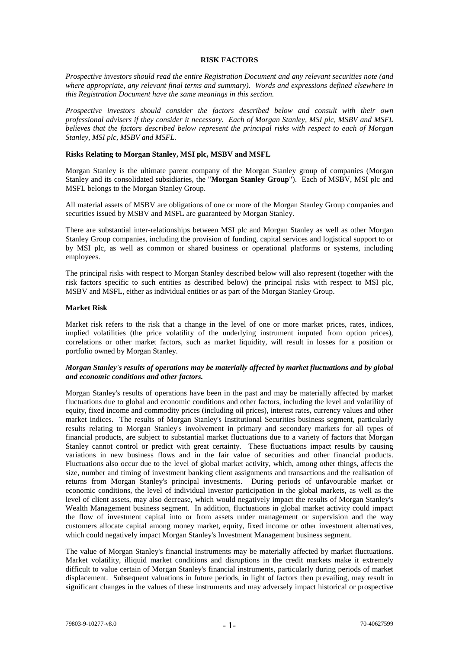#### **RISK FACTORS**

*Prospective investors should read the entire Registration Document and any relevant securities note (and where appropriate, any relevant final terms and summary). Words and expressions defined elsewhere in this Registration Document have the same meanings in this section.*

*Prospective investors should consider the factors described below and consult with their own professional advisers if they consider it necessary. Each of Morgan Stanley, MSI plc, MSBV and MSFL believes that the factors described below represent the principal risks with respect to each of Morgan Stanley, MSI plc, MSBV and MSFL.*

#### **Risks Relating to Morgan Stanley, MSI plc, MSBV and MSFL**

Morgan Stanley is the ultimate parent company of the Morgan Stanley group of companies (Morgan Stanley and its consolidated subsidiaries, the "**Morgan Stanley Group**"). Each of MSBV, MSI plc and MSFL belongs to the Morgan Stanley Group.

All material assets of MSBV are obligations of one or more of the Morgan Stanley Group companies and securities issued by MSBV and MSFL are guaranteed by Morgan Stanley.

There are substantial inter-relationships between MSI plc and Morgan Stanley as well as other Morgan Stanley Group companies, including the provision of funding, capital services and logistical support to or by MSI plc, as well as common or shared business or operational platforms or systems, including employees.

The principal risks with respect to Morgan Stanley described below will also represent (together with the risk factors specific to such entities as described below) the principal risks with respect to MSI plc, MSBV and MSFL, either as individual entities or as part of the Morgan Stanley Group.

#### **Market Risk**

Market risk refers to the risk that a change in the level of one or more market prices, rates, indices, implied volatilities (the price volatility of the underlying instrument imputed from option prices), correlations or other market factors, such as market liquidity, will result in losses for a position or portfolio owned by Morgan Stanley.

#### *Morgan Stanley's results of operations may be materially affected by market fluctuations and by global and economic conditions and other factors.*

Morgan Stanley's results of operations have been in the past and may be materially affected by market fluctuations due to global and economic conditions and other factors, including the level and volatility of equity, fixed income and commodity prices (including oil prices), interest rates, currency values and other market indices. The results of Morgan Stanley's Institutional Securities business segment, particularly results relating to Morgan Stanley's involvement in primary and secondary markets for all types of financial products, are subject to substantial market fluctuations due to a variety of factors that Morgan Stanley cannot control or predict with great certainty. These fluctuations impact results by causing variations in new business flows and in the fair value of securities and other financial products. Fluctuations also occur due to the level of global market activity, which, among other things, affects the size, number and timing of investment banking client assignments and transactions and the realisation of returns from Morgan Stanley's principal investments. During periods of unfavourable market or economic conditions, the level of individual investor participation in the global markets, as well as the level of client assets, may also decrease, which would negatively impact the results of Morgan Stanley's Wealth Management business segment. In addition, fluctuations in global market activity could impact the flow of investment capital into or from assets under management or supervision and the way customers allocate capital among money market, equity, fixed income or other investment alternatives, which could negatively impact Morgan Stanley's Investment Management business segment.

The value of Morgan Stanley's financial instruments may be materially affected by market fluctuations. Market volatility, illiquid market conditions and disruptions in the credit markets make it extremely difficult to value certain of Morgan Stanley's financial instruments, particularly during periods of market displacement. Subsequent valuations in future periods, in light of factors then prevailing, may result in significant changes in the values of these instruments and may adversely impact historical or prospective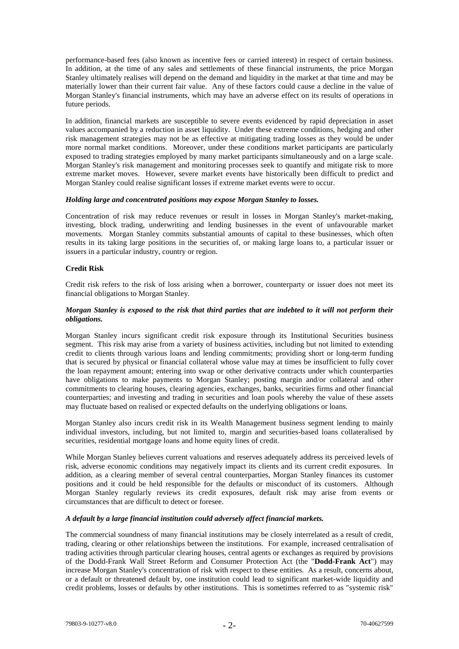performance-based fees (also known as incentive fees or carried interest) in respect of certain business. In addition, at the time of any sales and settlements of these financial instruments, the price Morgan Stanley ultimately realises will depend on the demand and liquidity in the market at that time and may be materially lower than their current fair value. Any of these factors could cause a decline in the value of Morgan Stanley's financial instruments, which may have an adverse effect on its results of operations in future periods.

In addition, financial markets are susceptible to severe events evidenced by rapid depreciation in asset values accompanied by a reduction in asset liquidity. Under these extreme conditions, hedging and other risk management strategies may not be as effective at mitigating trading losses as they would be under more normal market conditions. Moreover, under these conditions market participants are particularly exposed to trading strategies employed by many market participants simultaneously and on a large scale. Morgan Stanley's risk management and monitoring processes seek to quantify and mitigate risk to more extreme market moves. However, severe market events have historically been difficult to predict and Morgan Stanley could realise significant losses if extreme market events were to occur.

#### *Holding large and concentrated positions may expose Morgan Stanley to losses.*

Concentration of risk may reduce revenues or result in losses in Morgan Stanley's market-making, investing, block trading, underwriting and lending businesses in the event of unfavourable market movements. Morgan Stanley commits substantial amounts of capital to these businesses, which often results in its taking large positions in the securities of, or making large loans to, a particular issuer or issuers in a particular industry, country or region.

#### **Credit Risk**

Credit risk refers to the risk of loss arising when a borrower, counterparty or issuer does not meet its financial obligations to Morgan Stanley.

# *Morgan Stanley is exposed to the risk that third parties that are indebted to it will not perform their obligations.*

Morgan Stanley incurs significant credit risk exposure through its Institutional Securities business segment. This risk may arise from a variety of business activities, including but not limited to extending credit to clients through various loans and lending commitments; providing short or long-term funding that is secured by physical or financial collateral whose value may at times be insufficient to fully cover the loan repayment amount; entering into swap or other derivative contracts under which counterparties have obligations to make payments to Morgan Stanley; posting margin and/or collateral and other commitments to clearing houses, clearing agencies, exchanges, banks, securities firms and other financial counterparties; and investing and trading in securities and loan pools whereby the value of these assets may fluctuate based on realised or expected defaults on the underlying obligations or loans.

Morgan Stanley also incurs credit risk in its Wealth Management business segment lending to mainly individual investors, including, but not limited to, margin and securities-based loans collateralised by securities, residential mortgage loans and home equity lines of credit.

While Morgan Stanley believes current valuations and reserves adequately address its perceived levels of risk, adverse economic conditions may negatively impact its clients and its current credit exposures. In addition, as a clearing member of several central counterparties, Morgan Stanley finances its customer positions and it could be held responsible for the defaults or misconduct of its customers. Although Morgan Stanley regularly reviews its credit exposures, default risk may arise from events or circumstances that are difficult to detect or foresee.

# *A default by a large financial institution could adversely affect financial markets.*

The commercial soundness of many financial institutions may be closely interrelated as a result of credit, trading, clearing or other relationships between the institutions. For example, increased centralisation of trading activities through particular clearing houses, central agents or exchanges as required by provisions of the Dodd-Frank Wall Street Reform and Consumer Protection Act (the "**Dodd-Frank Act**") may increase Morgan Stanley's concentration of risk with respect to these entities. As a result, concerns about, or a default or threatened default by, one institution could lead to significant market-wide liquidity and credit problems, losses or defaults by other institutions. This is sometimes referred to as "systemic risk"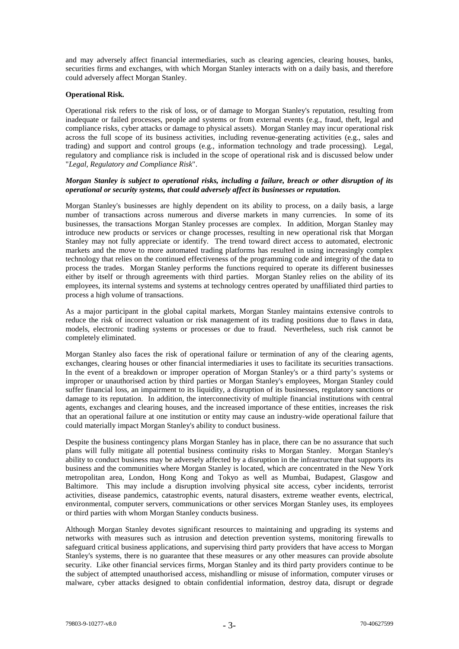and may adversely affect financial intermediaries, such as clearing agencies, clearing houses, banks, securities firms and exchanges, with which Morgan Stanley interacts with on a daily basis, and therefore could adversely affect Morgan Stanley.

# **Operational Risk.**

Operational risk refers to the risk of loss, or of damage to Morgan Stanley's reputation, resulting from inadequate or failed processes, people and systems or from external events (e.g., fraud, theft, legal and compliance risks, cyber attacks or damage to physical assets). Morgan Stanley may incur operational risk across the full scope of its business activities, including revenue-generating activities (e.g., sales and trading) and support and control groups (e.g., information technology and trade processing). Legal, regulatory and compliance risk is included in the scope of operational risk and is discussed below under "*Legal, Regulatory and Compliance Risk*".

# *Morgan Stanley is subject to operational risks, including a failure, breach or other disruption of its operational or security systems, that could adversely affect its businesses or reputation.*

Morgan Stanley's businesses are highly dependent on its ability to process, on a daily basis, a large number of transactions across numerous and diverse markets in many currencies. In some of its businesses, the transactions Morgan Stanley processes are complex. In addition, Morgan Stanley may introduce new products or services or change processes, resulting in new operational risk that Morgan Stanley may not fully appreciate or identify. The trend toward direct access to automated, electronic markets and the move to more automated trading platforms has resulted in using increasingly complex technology that relies on the continued effectiveness of the programming code and integrity of the data to process the trades. Morgan Stanley performs the functions required to operate its different businesses either by itself or through agreements with third parties. Morgan Stanley relies on the ability of its employees, its internal systems and systems at technology centres operated by unaffiliated third parties to process a high volume of transactions.

As a major participant in the global capital markets, Morgan Stanley maintains extensive controls to reduce the risk of incorrect valuation or risk management of its trading positions due to flaws in data, models, electronic trading systems or processes or due to fraud. Nevertheless, such risk cannot be completely eliminated.

Morgan Stanley also faces the risk of operational failure or termination of any of the clearing agents, exchanges, clearing houses or other financial intermediaries it uses to facilitate its securities transactions. In the event of a breakdown or improper operation of Morgan Stanley's or a third party's systems or improper or unauthorised action by third parties or Morgan Stanley's employees, Morgan Stanley could suffer financial loss, an impairment to its liquidity, a disruption of its businesses, regulatory sanctions or damage to its reputation. In addition, the interconnectivity of multiple financial institutions with central agents, exchanges and clearing houses, and the increased importance of these entities, increases the risk that an operational failure at one institution or entity may cause an industry-wide operational failure that could materially impact Morgan Stanley's ability to conduct business.

Despite the business contingency plans Morgan Stanley has in place, there can be no assurance that such plans will fully mitigate all potential business continuity risks to Morgan Stanley. Morgan Stanley's ability to conduct business may be adversely affected by a disruption in the infrastructure that supports its business and the communities where Morgan Stanley is located, which are concentrated in the New York metropolitan area, London, Hong Kong and Tokyo as well as Mumbai, Budapest, Glasgow and Baltimore. This may include a disruption involving physical site access, cyber incidents, terrorist activities, disease pandemics, catastrophic events, natural disasters, extreme weather events, electrical, environmental, computer servers, communications or other services Morgan Stanley uses, its employees or third parties with whom Morgan Stanley conducts business.

Although Morgan Stanley devotes significant resources to maintaining and upgrading its systems and networks with measures such as intrusion and detection prevention systems, monitoring firewalls to safeguard critical business applications, and supervising third party providers that have access to Morgan Stanley's systems, there is no guarantee that these measures or any other measures can provide absolute security. Like other financial services firms, Morgan Stanley and its third party providers continue to be the subject of attempted unauthorised access, mishandling or misuse of information, computer viruses or malware, cyber attacks designed to obtain confidential information, destroy data, disrupt or degrade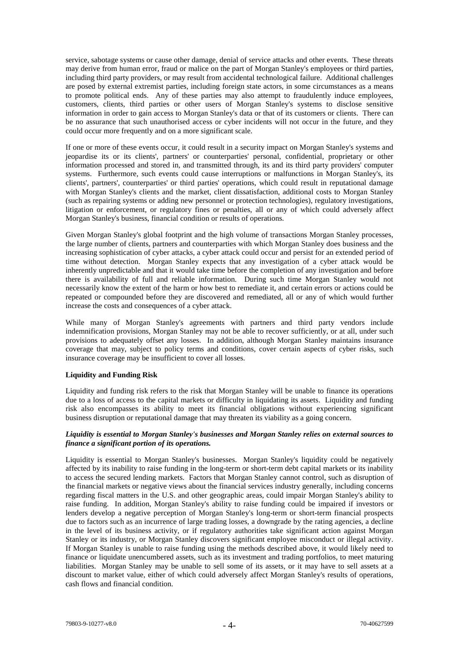service, sabotage systems or cause other damage, denial of service attacks and other events. These threats may derive from human error, fraud or malice on the part of Morgan Stanley's employees or third parties, including third party providers, or may result from accidental technological failure. Additional challenges are posed by external extremist parties, including foreign state actors, in some circumstances as a means to promote political ends. Any of these parties may also attempt to fraudulently induce employees, customers, clients, third parties or other users of Morgan Stanley's systems to disclose sensitive information in order to gain access to Morgan Stanley's data or that of its customers or clients. There can be no assurance that such unauthorised access or cyber incidents will not occur in the future, and they could occur more frequently and on a more significant scale.

If one or more of these events occur, it could result in a security impact on Morgan Stanley's systems and jeopardise its or its clients', partners' or counterparties' personal, confidential, proprietary or other information processed and stored in, and transmitted through, its and its third party providers' computer systems. Furthermore, such events could cause interruptions or malfunctions in Morgan Stanley's, its clients', partners', counterparties' or third parties' operations, which could result in reputational damage with Morgan Stanley's clients and the market, client dissatisfaction, additional costs to Morgan Stanley (such as repairing systems or adding new personnel or protection technologies), regulatory investigations, litigation or enforcement, or regulatory fines or penalties, all or any of which could adversely affect Morgan Stanley's business, financial condition or results of operations.

Given Morgan Stanley's global footprint and the high volume of transactions Morgan Stanley processes, the large number of clients, partners and counterparties with which Morgan Stanley does business and the increasing sophistication of cyber attacks, a cyber attack could occur and persist for an extended period of time without detection. Morgan Stanley expects that any investigation of a cyber attack would be inherently unpredictable and that it would take time before the completion of any investigation and before there is availability of full and reliable information. During such time Morgan Stanley would not necessarily know the extent of the harm or how best to remediate it, and certain errors or actions could be repeated or compounded before they are discovered and remediated, all or any of which would further increase the costs and consequences of a cyber attack.

While many of Morgan Stanley's agreements with partners and third party vendors include indemnification provisions, Morgan Stanley may not be able to recover sufficiently, or at all, under such provisions to adequately offset any losses. In addition, although Morgan Stanley maintains insurance coverage that may, subject to policy terms and conditions, cover certain aspects of cyber risks, such insurance coverage may be insufficient to cover all losses.

# **Liquidity and Funding Risk**

Liquidity and funding risk refers to the risk that Morgan Stanley will be unable to finance its operations due to a loss of access to the capital markets or difficulty in liquidating its assets. Liquidity and funding risk also encompasses its ability to meet its financial obligations without experiencing significant business disruption or reputational damage that may threaten its viability as a going concern.

# *Liquidity is essential to Morgan Stanley's businesses and Morgan Stanley relies on external sources to finance a significant portion of its operations.*

Liquidity is essential to Morgan Stanley's businesses. Morgan Stanley's liquidity could be negatively affected by its inability to raise funding in the long-term or short-term debt capital markets or its inability to access the secured lending markets. Factors that Morgan Stanley cannot control, such as disruption of the financial markets or negative views about the financial services industry generally, including concerns regarding fiscal matters in the U.S. and other geographic areas, could impair Morgan Stanley's ability to raise funding. In addition, Morgan Stanley's ability to raise funding could be impaired if investors or lenders develop a negative perception of Morgan Stanley's long-term or short-term financial prospects due to factors such as an incurrence of large trading losses, a downgrade by the rating agencies, a decline in the level of its business activity, or if regulatory authorities take significant action against Morgan Stanley or its industry, or Morgan Stanley discovers significant employee misconduct or illegal activity. If Morgan Stanley is unable to raise funding using the methods described above, it would likely need to finance or liquidate unencumbered assets, such as its investment and trading portfolios, to meet maturing liabilities. Morgan Stanley may be unable to sell some of its assets, or it may have to sell assets at a discount to market value, either of which could adversely affect Morgan Stanley's results of operations, cash flows and financial condition.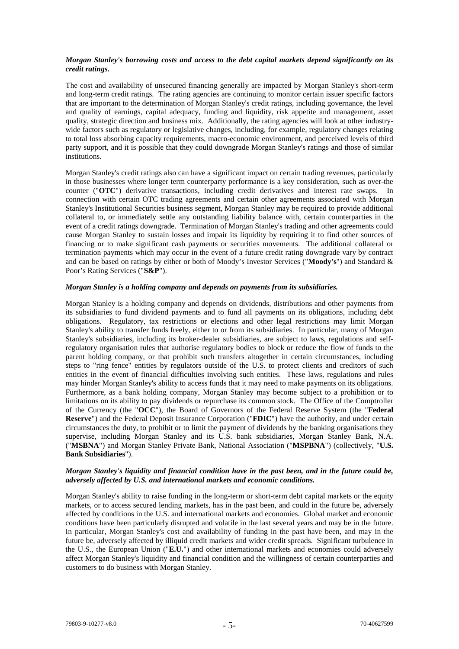# *Morgan Stanley's borrowing costs and access to the debt capital markets depend significantly on its credit ratings.*

The cost and availability of unsecured financing generally are impacted by Morgan Stanley's short-term and long-term credit ratings. The rating agencies are continuing to monitor certain issuer specific factors that are important to the determination of Morgan Stanley's credit ratings, including governance, the level and quality of earnings, capital adequacy, funding and liquidity, risk appetite and management, asset quality, strategic direction and business mix. Additionally, the rating agencies will look at other industrywide factors such as regulatory or legislative changes, including, for example, regulatory changes relating to total loss absorbing capacity requirements, macro-economic environment, and perceived levels of third party support, and it is possible that they could downgrade Morgan Stanley's ratings and those of similar institutions.

Morgan Stanley's credit ratings also can have a significant impact on certain trading revenues, particularly in those businesses where longer term counterparty performance is a key consideration, such as over-the counter ("**OTC**") derivative transactions, including credit derivatives and interest rate swaps. In connection with certain OTC trading agreements and certain other agreements associated with Morgan Stanley's Institutional Securities business segment, Morgan Stanley may be required to provide additional collateral to, or immediately settle any outstanding liability balance with, certain counterparties in the event of a credit ratings downgrade. Termination of Morgan Stanley's trading and other agreements could cause Morgan Stanley to sustain losses and impair its liquidity by requiring it to find other sources of financing or to make significant cash payments or securities movements. The additional collateral or termination payments which may occur in the event of a future credit rating downgrade vary by contract and can be based on ratings by either or both of Moody's Investor Services ("**Moody's**") and Standard & Poor's Rating Services ("**S&P**").

#### *Morgan Stanley is a holding company and depends on payments from its subsidiaries.*

Morgan Stanley is a holding company and depends on dividends, distributions and other payments from its subsidiaries to fund dividend payments and to fund all payments on its obligations, including debt obligations. Regulatory, tax restrictions or elections and other legal restrictions may limit Morgan Stanley's ability to transfer funds freely, either to or from its subsidiaries. In particular, many of Morgan Stanley's subsidiaries, including its broker-dealer subsidiaries, are subject to laws, regulations and selfregulatory organisation rules that authorise regulatory bodies to block or reduce the flow of funds to the parent holding company, or that prohibit such transfers altogether in certain circumstances, including steps to "ring fence" entities by regulators outside of the U.S. to protect clients and creditors of such entities in the event of financial difficulties involving such entities. These laws, regulations and rules may hinder Morgan Stanley's ability to access funds that it may need to make payments on its obligations. Furthermore, as a bank holding company, Morgan Stanley may become subject to a prohibition or to limitations on its ability to pay dividends or repurchase its common stock. The Office of the Comptroller of the Currency (the "**OCC**"), the Board of Governors of the Federal Reserve System (the "**Federal Reserve**") and the Federal Deposit Insurance Corporation ("**FDIC**") have the authority, and under certain circumstances the duty, to prohibit or to limit the payment of dividends by the banking organisations they supervise, including Morgan Stanley and its U.S. bank subsidiaries, Morgan Stanley Bank, N.A. ("**MSBNA**") and Morgan Stanley Private Bank, National Association ("**MSPBNA**") (collectively, "**U.S. Bank Subsidiaries**").

# *Morgan Stanley's liquidity and financial condition have in the past been, and in the future could be, adversely affected by U.S. and international markets and economic conditions.*

Morgan Stanley's ability to raise funding in the long-term or short-term debt capital markets or the equity markets, or to access secured lending markets, has in the past been, and could in the future be, adversely affected by conditions in the U.S. and international markets and economies. Global market and economic conditions have been particularly disrupted and volatile in the last several years and may be in the future. In particular, Morgan Stanley's cost and availability of funding in the past have been, and may in the future be, adversely affected by illiquid credit markets and wider credit spreads. Significant turbulence in the U.S., the European Union ("**E.U.**") and other international markets and economies could adversely affect Morgan Stanley's liquidity and financial condition and the willingness of certain counterparties and customers to do business with Morgan Stanley.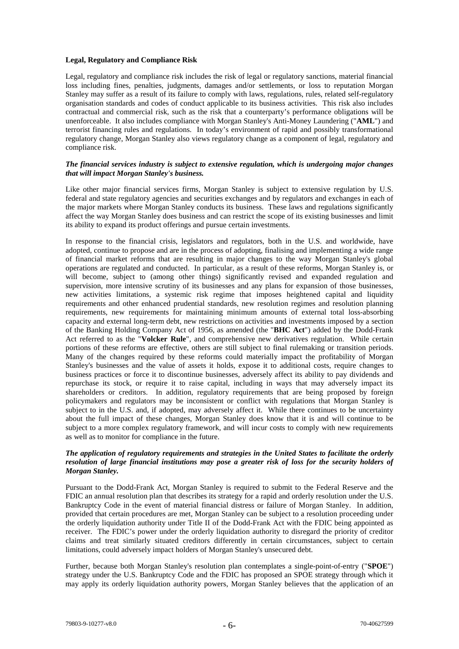# **Legal, Regulatory and Compliance Risk**

Legal, regulatory and compliance risk includes the risk of legal or regulatory sanctions, material financial loss including fines, penalties, judgments, damages and/or settlements, or loss to reputation Morgan Stanley may suffer as a result of its failure to comply with laws, regulations, rules, related self-regulatory organisation standards and codes of conduct applicable to its business activities. This risk also includes contractual and commercial risk, such as the risk that a counterparty's performance obligations will be unenforceable. It also includes compliance with Morgan Stanley's Anti-Money Laundering ("**AML**") and terrorist financing rules and regulations. In today's environment of rapid and possibly transformational regulatory change, Morgan Stanley also views regulatory change as a component of legal, regulatory and compliance risk.

# *The financial services industry is subject to extensive regulation, which is undergoing major changes that will impact Morgan Stanley's business.*

Like other major financial services firms, Morgan Stanley is subject to extensive regulation by U.S. federal and state regulatory agencies and securities exchanges and by regulators and exchanges in each of the major markets where Morgan Stanley conducts its business. These laws and regulations significantly affect the way Morgan Stanley does business and can restrict the scope of its existing businesses and limit its ability to expand its product offerings and pursue certain investments.

In response to the financial crisis, legislators and regulators, both in the U.S. and worldwide, have adopted, continue to propose and are in the process of adopting, finalising and implementing a wide range of financial market reforms that are resulting in major changes to the way Morgan Stanley's global operations are regulated and conducted. In particular, as a result of these reforms, Morgan Stanley is, or will become, subject to (among other things) significantly revised and expanded regulation and supervision, more intensive scrutiny of its businesses and any plans for expansion of those businesses, new activities limitations, a systemic risk regime that imposes heightened capital and liquidity requirements and other enhanced prudential standards, new resolution regimes and resolution planning requirements, new requirements for maintaining minimum amounts of external total loss-absorbing capacity and external long-term debt, new restrictions on activities and investments imposed by a section of the Banking Holding Company Act of 1956, as amended (the "**BHC Act**") added by the Dodd-Frank Act referred to as the "**Volcker Rule**", and comprehensive new derivatives regulation. While certain portions of these reforms are effective, others are still subject to final rulemaking or transition periods. Many of the changes required by these reforms could materially impact the profitability of Morgan Stanley's businesses and the value of assets it holds, expose it to additional costs, require changes to business practices or force it to discontinue businesses, adversely affect its ability to pay dividends and repurchase its stock, or require it to raise capital, including in ways that may adversely impact its shareholders or creditors. In addition, regulatory requirements that are being proposed by foreign policymakers and regulators may be inconsistent or conflict with regulations that Morgan Stanley is subject to in the U.S. and, if adopted, may adversely affect it. While there continues to be uncertainty about the full impact of these changes, Morgan Stanley does know that it is and will continue to be subject to a more complex regulatory framework, and will incur costs to comply with new requirements as well as to monitor for compliance in the future.

# *The application of regulatory requirements and strategies in the United States to facilitate the orderly resolution of large financial institutions may pose a greater risk of loss for the security holders of Morgan Stanley.*

Pursuant to the Dodd-Frank Act, Morgan Stanley is required to submit to the Federal Reserve and the FDIC an annual resolution plan that describes its strategy for a rapid and orderly resolution under the U.S. Bankruptcy Code in the event of material financial distress or failure of Morgan Stanley. In addition, provided that certain procedures are met, Morgan Stanley can be subject to a resolution proceeding under the orderly liquidation authority under Title II of the Dodd-Frank Act with the FDIC being appointed as receiver. The FDIC's power under the orderly liquidation authority to disregard the priority of creditor claims and treat similarly situated creditors differently in certain circumstances, subject to certain limitations, could adversely impact holders of Morgan Stanley's unsecured debt.

Further, because both Morgan Stanley's resolution plan contemplates a single-point-of-entry ("**SPOE**") strategy under the U.S. Bankruptcy Code and the FDIC has proposed an SPOE strategy through which it may apply its orderly liquidation authority powers, Morgan Stanley believes that the application of an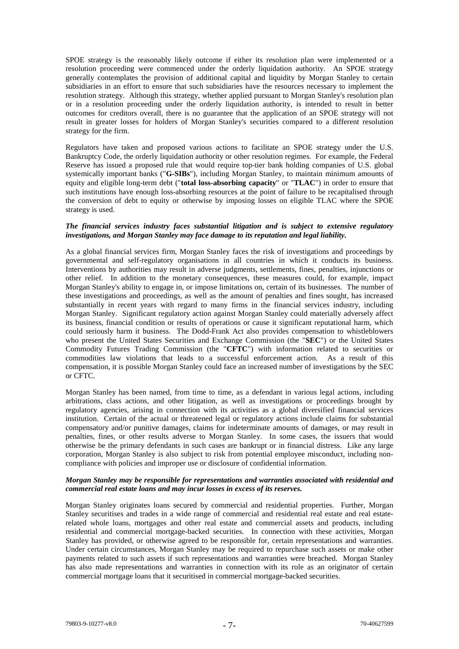SPOE strategy is the reasonably likely outcome if either its resolution plan were implemented or a resolution proceeding were commenced under the orderly liquidation authority. An SPOE strategy generally contemplates the provision of additional capital and liquidity by Morgan Stanley to certain subsidiaries in an effort to ensure that such subsidiaries have the resources necessary to implement the resolution strategy. Although this strategy, whether applied pursuant to Morgan Stanley's resolution plan or in a resolution proceeding under the orderly liquidation authority, is intended to result in better outcomes for creditors overall, there is no guarantee that the application of an SPOE strategy will not result in greater losses for holders of Morgan Stanley's securities compared to a different resolution strategy for the firm.

Regulators have taken and proposed various actions to facilitate an SPOE strategy under the U.S. Bankruptcy Code, the orderly liquidation authority or other resolution regimes. For example, the Federal Reserve has issued a proposed rule that would require top-tier bank holding companies of U.S. global systemically important banks ("**G-SIBs**"), including Morgan Stanley, to maintain minimum amounts of equity and eligible long-term debt ("**total loss-absorbing capacity**" or "**TLAC**") in order to ensure that such institutions have enough loss-absorbing resources at the point of failure to be recapitalised through the conversion of debt to equity or otherwise by imposing losses on eligible TLAC where the SPOE strategy is used.

#### *The financial services industry faces substantial litigation and is subject to extensive regulatory investigations, and Morgan Stanley may face damage to its reputation and legal liability.*

As a global financial services firm, Morgan Stanley faces the risk of investigations and proceedings by governmental and self-regulatory organisations in all countries in which it conducts its business. Interventions by authorities may result in adverse judgments, settlements, fines, penalties, injunctions or other relief. In addition to the monetary consequences, these measures could, for example, impact Morgan Stanley's ability to engage in, or impose limitations on, certain of its businesses. The number of these investigations and proceedings, as well as the amount of penalties and fines sought, has increased substantially in recent years with regard to many firms in the financial services industry, including Morgan Stanley. Significant regulatory action against Morgan Stanley could materially adversely affect its business, financial condition or results of operations or cause it significant reputational harm, which could seriously harm it business. The Dodd-Frank Act also provides compensation to whistleblowers who present the United States Securities and Exchange Commission (the "**SEC**") or the United States Commodity Futures Trading Commission (the "**CFTC**") with information related to securities or commodities law violations that leads to a successful enforcement action. As a result of this compensation, it is possible Morgan Stanley could face an increased number of investigations by the SEC or CFTC.

Morgan Stanley has been named, from time to time, as a defendant in various legal actions, including arbitrations, class actions, and other litigation, as well as investigations or proceedings brought by regulatory agencies, arising in connection with its activities as a global diversified financial services institution. Certain of the actual or threatened legal or regulatory actions include claims for substantial compensatory and/or punitive damages, claims for indeterminate amounts of damages, or may result in penalties, fines, or other results adverse to Morgan Stanley. In some cases, the issuers that would otherwise be the primary defendants in such cases are bankrupt or in financial distress. Like any large corporation, Morgan Stanley is also subject to risk from potential employee misconduct, including noncompliance with policies and improper use or disclosure of confidential information.

#### *Morgan Stanley may be responsible for representations and warranties associated with residential and commercial real estate loans and may incur losses in excess of its reserves.*

Morgan Stanley originates loans secured by commercial and residential properties. Further, Morgan Stanley securitises and trades in a wide range of commercial and residential real estate and real estaterelated whole loans, mortgages and other real estate and commercial assets and products, including residential and commercial mortgage-backed securities. In connection with these activities, Morgan Stanley has provided, or otherwise agreed to be responsible for, certain representations and warranties. Under certain circumstances, Morgan Stanley may be required to repurchase such assets or make other payments related to such assets if such representations and warranties were breached. Morgan Stanley has also made representations and warranties in connection with its role as an originator of certain commercial mortgage loans that it securitised in commercial mortgage-backed securities.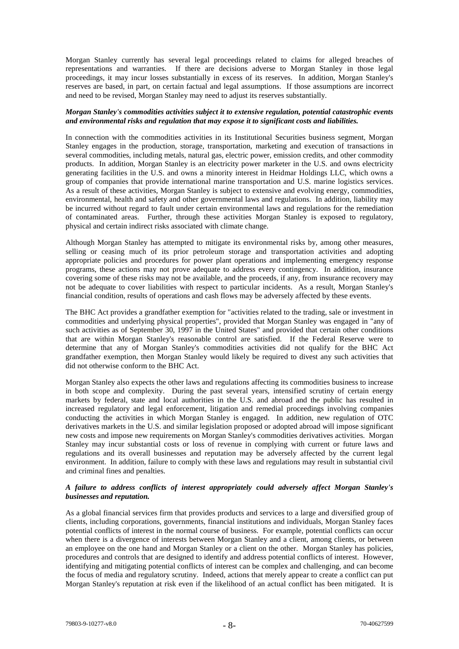Morgan Stanley currently has several legal proceedings related to claims for alleged breaches of representations and warranties. If there are decisions adverse to Morgan Stanley in those legal proceedings, it may incur losses substantially in excess of its reserves. In addition, Morgan Stanley's reserves are based, in part, on certain factual and legal assumptions. If those assumptions are incorrect and need to be revised, Morgan Stanley may need to adjust its reserves substantially.

# *Morgan Stanley's commodities activities subject it to extensive regulation, potential catastrophic events and environmental risks and regulation that may expose it to significant costs and liabilities.*

In connection with the commodities activities in its Institutional Securities business segment, Morgan Stanley engages in the production, storage, transportation, marketing and execution of transactions in several commodities, including metals, natural gas, electric power, emission credits, and other commodity products. In addition, Morgan Stanley is an electricity power marketer in the U.S. and owns electricity generating facilities in the U.S. and owns a minority interest in Heidmar Holdings LLC, which owns a group of companies that provide international marine transportation and U.S. marine logistics services. As a result of these activities, Morgan Stanley is subject to extensive and evolving energy, commodities, environmental, health and safety and other governmental laws and regulations. In addition, liability may be incurred without regard to fault under certain environmental laws and regulations for the remediation of contaminated areas. Further, through these activities Morgan Stanley is exposed to regulatory, physical and certain indirect risks associated with climate change.

Although Morgan Stanley has attempted to mitigate its environmental risks by, among other measures, selling or ceasing much of its prior petroleum storage and transportation activities and adopting appropriate policies and procedures for power plant operations and implementing emergency response programs, these actions may not prove adequate to address every contingency. In addition, insurance covering some of these risks may not be available, and the proceeds, if any, from insurance recovery may not be adequate to cover liabilities with respect to particular incidents. As a result, Morgan Stanley's financial condition, results of operations and cash flows may be adversely affected by these events.

The BHC Act provides a grandfather exemption for "activities related to the trading, sale or investment in commodities and underlying physical properties", provided that Morgan Stanley was engaged in "any of such activities as of September 30, 1997 in the United States" and provided that certain other conditions that are within Morgan Stanley's reasonable control are satisfied. If the Federal Reserve were to determine that any of Morgan Stanley's commodities activities did not qualify for the BHC Act grandfather exemption, then Morgan Stanley would likely be required to divest any such activities that did not otherwise conform to the BHC Act.

Morgan Stanley also expects the other laws and regulations affecting its commodities business to increase in both scope and complexity. During the past several years, intensified scrutiny of certain energy markets by federal, state and local authorities in the U.S. and abroad and the public has resulted in increased regulatory and legal enforcement, litigation and remedial proceedings involving companies conducting the activities in which Morgan Stanley is engaged. In addition, new regulation of OTC derivatives markets in the U.S. and similar legislation proposed or adopted abroad will impose significant new costs and impose new requirements on Morgan Stanley's commodities derivatives activities. Morgan Stanley may incur substantial costs or loss of revenue in complying with current or future laws and regulations and its overall businesses and reputation may be adversely affected by the current legal environment. In addition, failure to comply with these laws and regulations may result in substantial civil and criminal fines and penalties.

# *A failure to address conflicts of interest appropriately could adversely affect Morgan Stanley's businesses and reputation.*

As a global financial services firm that provides products and services to a large and diversified group of clients, including corporations, governments, financial institutions and individuals, Morgan Stanley faces potential conflicts of interest in the normal course of business. For example, potential conflicts can occur when there is a divergence of interests between Morgan Stanley and a client, among clients, or between an employee on the one hand and Morgan Stanley or a client on the other. Morgan Stanley has policies, procedures and controls that are designed to identify and address potential conflicts of interest. However, identifying and mitigating potential conflicts of interest can be complex and challenging, and can become the focus of media and regulatory scrutiny. Indeed, actions that merely appear to create a conflict can put Morgan Stanley's reputation at risk even if the likelihood of an actual conflict has been mitigated. It is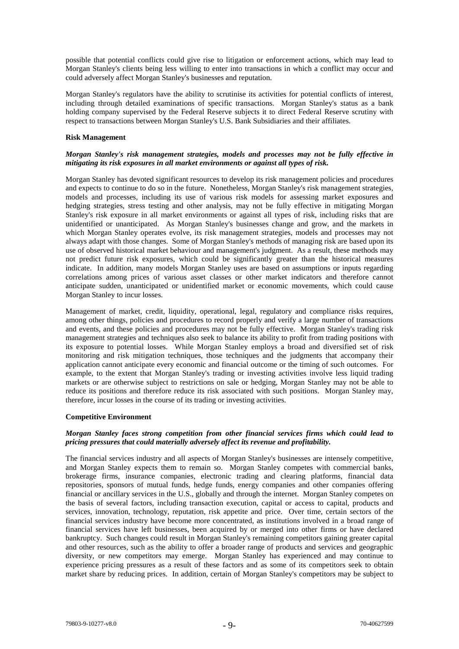possible that potential conflicts could give rise to litigation or enforcement actions, which may lead to Morgan Stanley's clients being less willing to enter into transactions in which a conflict may occur and could adversely affect Morgan Stanley's businesses and reputation.

Morgan Stanley's regulators have the ability to scrutinise its activities for potential conflicts of interest, including through detailed examinations of specific transactions. Morgan Stanley's status as a bank holding company supervised by the Federal Reserve subjects it to direct Federal Reserve scrutiny with respect to transactions between Morgan Stanley's U.S. Bank Subsidiaries and their affiliates.

#### **Risk Management**

# *Morgan Stanley's risk management strategies, models and processes may not be fully effective in mitigating its risk exposures in all market environments or against all types of risk.*

Morgan Stanley has devoted significant resources to develop its risk management policies and procedures and expects to continue to do so in the future. Nonetheless, Morgan Stanley's risk management strategies, models and processes, including its use of various risk models for assessing market exposures and hedging strategies, stress testing and other analysis, may not be fully effective in mitigating Morgan Stanley's risk exposure in all market environments or against all types of risk, including risks that are unidentified or unanticipated. As Morgan Stanley's businesses change and grow, and the markets in which Morgan Stanley operates evolve, its risk management strategies, models and processes may not always adapt with those changes. Some of Morgan Stanley's methods of managing risk are based upon its use of observed historical market behaviour and management's judgment. As a result, these methods may not predict future risk exposures, which could be significantly greater than the historical measures indicate. In addition, many models Morgan Stanley uses are based on assumptions or inputs regarding correlations among prices of various asset classes or other market indicators and therefore cannot anticipate sudden, unanticipated or unidentified market or economic movements, which could cause Morgan Stanley to incur losses.

Management of market, credit, liquidity, operational, legal, regulatory and compliance risks requires, among other things, policies and procedures to record properly and verify a large number of transactions and events, and these policies and procedures may not be fully effective. Morgan Stanley's trading risk management strategies and techniques also seek to balance its ability to profit from trading positions with its exposure to potential losses. While Morgan Stanley employs a broad and diversified set of risk monitoring and risk mitigation techniques, those techniques and the judgments that accompany their application cannot anticipate every economic and financial outcome or the timing of such outcomes. For example, to the extent that Morgan Stanley's trading or investing activities involve less liquid trading markets or are otherwise subject to restrictions on sale or hedging, Morgan Stanley may not be able to reduce its positions and therefore reduce its risk associated with such positions. Morgan Stanley may, therefore, incur losses in the course of its trading or investing activities.

# **Competitive Environment**

# *Morgan Stanley faces strong competition from other financial services firms which could lead to pricing pressures that could materially adversely affect its revenue and profitability.*

The financial services industry and all aspects of Morgan Stanley's businesses are intensely competitive, and Morgan Stanley expects them to remain so. Morgan Stanley competes with commercial banks, brokerage firms, insurance companies, electronic trading and clearing platforms, financial data repositories, sponsors of mutual funds, hedge funds, energy companies and other companies offering financial or ancillary services in the U.S., globally and through the internet. Morgan Stanley competes on the basis of several factors, including transaction execution, capital or access to capital, products and services, innovation, technology, reputation, risk appetite and price. Over time, certain sectors of the financial services industry have become more concentrated, as institutions involved in a broad range of financial services have left businesses, been acquired by or merged into other firms or have declared bankruptcy. Such changes could result in Morgan Stanley's remaining competitors gaining greater capital and other resources, such as the ability to offer a broader range of products and services and geographic diversity, or new competitors may emerge. Morgan Stanley has experienced and may continue to experience pricing pressures as a result of these factors and as some of its competitors seek to obtain market share by reducing prices. In addition, certain of Morgan Stanley's competitors may be subject to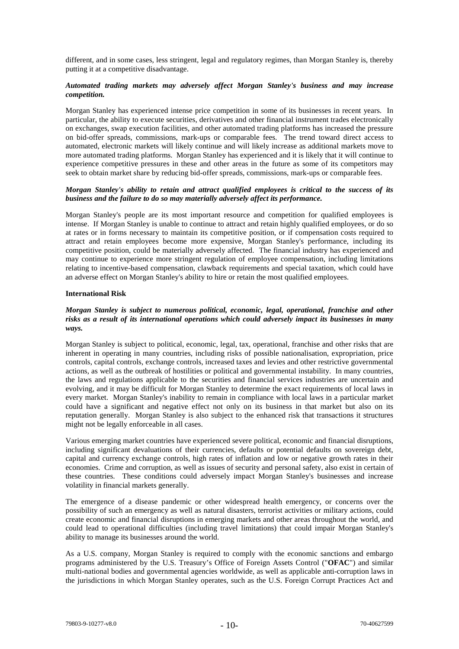different, and in some cases, less stringent, legal and regulatory regimes, than Morgan Stanley is, thereby putting it at a competitive disadvantage.

# *Automated trading markets may adversely affect Morgan Stanley's business and may increase competition.*

Morgan Stanley has experienced intense price competition in some of its businesses in recent years. In particular, the ability to execute securities, derivatives and other financial instrument trades electronically on exchanges, swap execution facilities, and other automated trading platforms has increased the pressure on bid-offer spreads, commissions, mark-ups or comparable fees. The trend toward direct access to automated, electronic markets will likely continue and will likely increase as additional markets move to more automated trading platforms. Morgan Stanley has experienced and it is likely that it will continue to experience competitive pressures in these and other areas in the future as some of its competitors may seek to obtain market share by reducing bid-offer spreads, commissions, mark-ups or comparable fees.

# *Morgan Stanley's ability to retain and attract qualified employees is critical to the success of its business and the failure to do so may materially adversely affect its performance.*

Morgan Stanley's people are its most important resource and competition for qualified employees is intense. If Morgan Stanley is unable to continue to attract and retain highly qualified employees, or do so at rates or in forms necessary to maintain its competitive position, or if compensation costs required to attract and retain employees become more expensive, Morgan Stanley's performance, including its competitive position, could be materially adversely affected. The financial industry has experienced and may continue to experience more stringent regulation of employee compensation, including limitations relating to incentive-based compensation, clawback requirements and special taxation, which could have an adverse effect on Morgan Stanley's ability to hire or retain the most qualified employees.

#### **International Risk**

# *Morgan Stanley is subject to numerous political, economic, legal, operational, franchise and other risks as a result of its international operations which could adversely impact its businesses in many ways.*

Morgan Stanley is subject to political, economic, legal, tax, operational, franchise and other risks that are inherent in operating in many countries, including risks of possible nationalisation, expropriation, price controls, capital controls, exchange controls, increased taxes and levies and other restrictive governmental actions, as well as the outbreak of hostilities or political and governmental instability. In many countries, the laws and regulations applicable to the securities and financial services industries are uncertain and evolving, and it may be difficult for Morgan Stanley to determine the exact requirements of local laws in every market. Morgan Stanley's inability to remain in compliance with local laws in a particular market could have a significant and negative effect not only on its business in that market but also on its reputation generally. Morgan Stanley is also subject to the enhanced risk that transactions it structures might not be legally enforceable in all cases.

Various emerging market countries have experienced severe political, economic and financial disruptions, including significant devaluations of their currencies, defaults or potential defaults on sovereign debt, capital and currency exchange controls, high rates of inflation and low or negative growth rates in their economies. Crime and corruption, as well as issues of security and personal safety, also exist in certain of these countries. These conditions could adversely impact Morgan Stanley's businesses and increase volatility in financial markets generally.

The emergence of a disease pandemic or other widespread health emergency, or concerns over the possibility of such an emergency as well as natural disasters, terrorist activities or military actions, could create economic and financial disruptions in emerging markets and other areas throughout the world, and could lead to operational difficulties (including travel limitations) that could impair Morgan Stanley's ability to manage its businesses around the world.

As a U.S. company, Morgan Stanley is required to comply with the economic sanctions and embargo programs administered by the U.S. Treasury's Office of Foreign Assets Control ("**OFAC**") and similar multi-national bodies and governmental agencies worldwide, as well as applicable anti-corruption laws in the jurisdictions in which Morgan Stanley operates, such as the U.S. Foreign Corrupt Practices Act and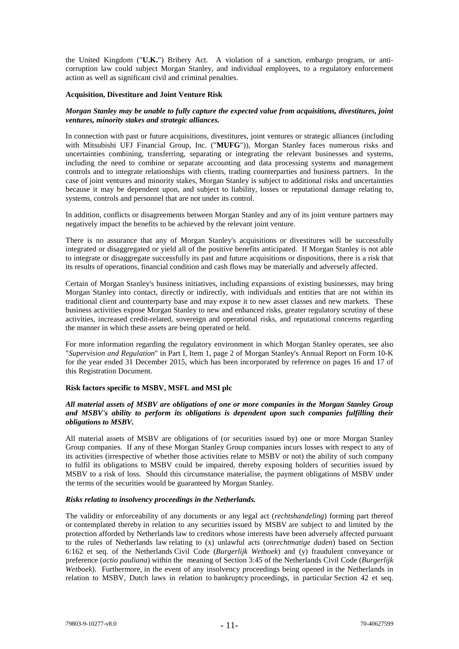the United Kingdom ("**U.K.**") Bribery Act. A violation of a sanction, embargo program, or anticorruption law could subject Morgan Stanley, and individual employees, to a regulatory enforcement action as well as significant civil and criminal penalties.

#### **Acquisition, Divestiture and Joint Venture Risk**

# *Morgan Stanley may be unable to fully capture the expected value from acquisitions, divestitures, joint ventures, minority stakes and strategic alliances.*

In connection with past or future acquisitions, divestitures, joint ventures or strategic alliances (including with Mitsubishi UFJ Financial Group, Inc. ("**MUFG**")), Morgan Stanley faces numerous risks and uncertainties combining, transferring, separating or integrating the relevant businesses and systems, including the need to combine or separate accounting and data processing systems and management controls and to integrate relationships with clients, trading counterparties and business partners. In the case of joint ventures and minority stakes, Morgan Stanley is subject to additional risks and uncertainties because it may be dependent upon, and subject to liability, losses or reputational damage relating to, systems, controls and personnel that are not under its control.

In addition, conflicts or disagreements between Morgan Stanley and any of its joint venture partners may negatively impact the benefits to be achieved by the relevant joint venture.

There is no assurance that any of Morgan Stanley's acquisitions or divestitures will be successfully integrated or disaggregated or yield all of the positive benefits anticipated. If Morgan Stanley is not able to integrate or disaggregate successfully its past and future acquisitions or dispositions, there is a risk that its results of operations, financial condition and cash flows may be materially and adversely affected.

Certain of Morgan Stanley's business initiatives, including expansions of existing businesses, may bring Morgan Stanley into contact, directly or indirectly, with individuals and entities that are not within its traditional client and counterparty base and may expose it to new asset classes and new markets. These business activities expose Morgan Stanley to new and enhanced risks, greater regulatory scrutiny of these activities, increased credit-related, sovereign and operational risks, and reputational concerns regarding the manner in which these assets are being operated or held.

For more information regarding the regulatory environment in which Morgan Stanley operates, see also "*Supervision and Regulation*" in Part I, Item 1, page 2 of Morgan Stanley's Annual Report on Form 10-K for the year ended 31 December 2015, which has been incorporated by reference on pages 16 and 17 of this Registration Document.

# **Risk factors specific to MSBV, MSFL and MSI plc**

# *All material assets of MSBV are obligations of one or more companies in the Morgan Stanley Group and MSBV's ability to perform its obligations is dependent upon such companies fulfilling their obligations to MSBV.*

All material assets of MSBV are obligations of (or securities issued by) one or more Morgan Stanley Group companies. If any of these Morgan Stanley Group companies incurs losses with respect to any of its activities (irrespective of whether those activities relate to MSBV or not) the ability of such company to fulfil its obligations to MSBV could be impaired, thereby exposing holders of securities issued by MSBV to a risk of loss. Should this circumstance materialise, the payment obligations of MSBV under the terms of the securities would be guaranteed by Morgan Stanley.

# *Risks relating to insolvency proceedings in the Netherlands.*

The validity or enforceability of any documents or any legal act (*rechtshandeling*) forming part thereof or contemplated thereby in relation to any securities issued by MSBV are subject to and limited by the protection afforded by Netherlands law to creditors whose interests have been adversely affected pursuant to the rules of Netherlands law relating to (x) unlawful acts (*onrechtmatige daden*) based on Section 6:162 et seq. of the Netherlands Civil Code (*Burgerlijk Wetboek*) and (y) fraudulent conveyance or preference (*actio pauliana*) within the meaning of Section 3:45 of the Netherlands Civil Code (*Burgerlijk Wetboek*). Furthermore, in the event of any insolvency proceedings being opened in the Netherlands in relation to MSBV, Dutch laws in relation to bankruptcy proceedings, in particular Section 42 et seq.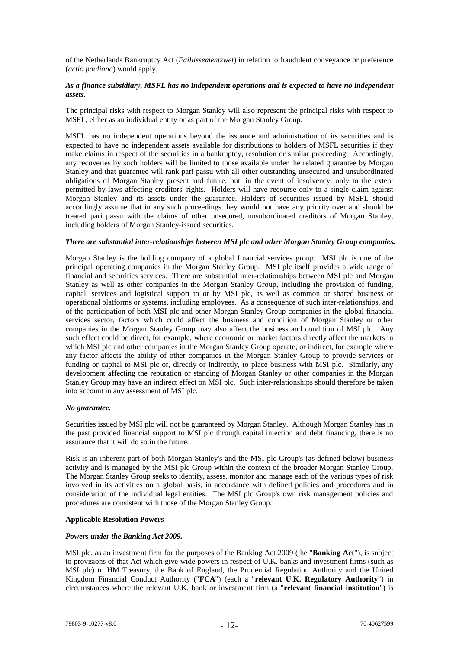of the Netherlands Bankruptcy Act (*Faillissementswet*) in relation to fraudulent conveyance or preference (*actio pauliana*) would apply.

# *As a finance subsidiary, MSFL has no independent operations and is expected to have no independent assets.*

The principal risks with respect to Morgan Stanley will also represent the principal risks with respect to MSFL, either as an individual entity or as part of the Morgan Stanley Group.

MSFL has no independent operations beyond the issuance and administration of its securities and is expected to have no independent assets available for distributions to holders of MSFL securities if they make claims in respect of the securities in a bankruptcy, resolution or similar proceeding. Accordingly, any recoveries by such holders will be limited to those available under the related guarantee by Morgan Stanley and that guarantee will rank pari passu with all other outstanding unsecured and unsubordinated obligations of Morgan Stanley present and future, but, in the event of insolvency, only to the extent permitted by laws affecting creditors' rights. Holders will have recourse only to a single claim against Morgan Stanley and its assets under the guarantee. Holders of securities issued by MSFL should accordingly assume that in any such proceedings they would not have any priority over and should be treated pari passu with the claims of other unsecured, unsubordinated creditors of Morgan Stanley, including holders of Morgan Stanley-issued securities.

#### *There are substantial inter-relationships between MSI plc and other Morgan Stanley Group companies.*

Morgan Stanley is the holding company of a global financial services group. MSI plc is one of the principal operating companies in the Morgan Stanley Group. MSI plc itself provides a wide range of financial and securities services. There are substantial inter-relationships between MSI plc and Morgan Stanley as well as other companies in the Morgan Stanley Group, including the provision of funding, capital, services and logistical support to or by MSI plc, as well as common or shared business or operational platforms or systems, including employees. As a consequence of such inter-relationships, and of the participation of both MSI plc and other Morgan Stanley Group companies in the global financial services sector, factors which could affect the business and condition of Morgan Stanley or other companies in the Morgan Stanley Group may also affect the business and condition of MSI plc. Any such effect could be direct, for example, where economic or market factors directly affect the markets in which MSI plc and other companies in the Morgan Stanley Group operate, or indirect, for example where any factor affects the ability of other companies in the Morgan Stanley Group to provide services or funding or capital to MSI plc or, directly or indirectly, to place business with MSI plc. Similarly, any development affecting the reputation or standing of Morgan Stanley or other companies in the Morgan Stanley Group may have an indirect effect on MSI plc. Such inter-relationships should therefore be taken into account in any assessment of MSI plc.

#### *No guarantee.*

Securities issued by MSI plc will not be guaranteed by Morgan Stanley. Although Morgan Stanley has in the past provided financial support to MSI plc through capital injection and debt financing, there is no assurance that it will do so in the future.

Risk is an inherent part of both Morgan Stanley's and the MSI plc Group's (as defined below) business activity and is managed by the MSI plc Group within the context of the broader Morgan Stanley Group. The Morgan Stanley Group seeks to identify, assess, monitor and manage each of the various types of risk involved in its activities on a global basis, in accordance with defined policies and procedures and in consideration of the individual legal entities. The MSI plc Group's own risk management policies and procedures are consistent with those of the Morgan Stanley Group.

#### **Applicable Resolution Powers**

#### *Powers under the Banking Act 2009.*

MSI plc, as an investment firm for the purposes of the Banking Act 2009 (the "**Banking Act**"), is subject to provisions of that Act which give wide powers in respect of U.K. banks and investment firms (such as MSI plc) to HM Treasury, the Bank of England, the Prudential Regulation Authority and the United Kingdom Financial Conduct Authority ("**FCA**") (each a "**relevant U.K. Regulatory Authority**") in circumstances where the relevant U.K. bank or investment firm (a "**relevant financial institution**") is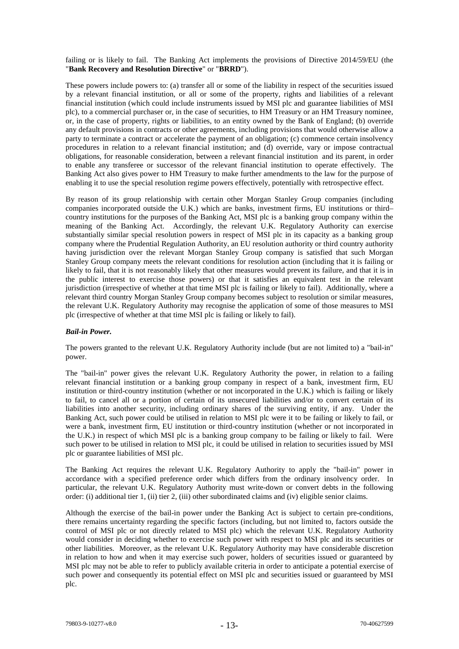failing or is likely to fail. The Banking Act implements the provisions of Directive 2014/59/EU (the "**Bank Recovery and Resolution Directive**" or "**BRRD**").

These powers include powers to: (a) transfer all or some of the liability in respect of the securities issued by a relevant financial institution, or all or some of the property, rights and liabilities of a relevant financial institution (which could include instruments issued by MSI plc and guarantee liabilities of MSI plc), to a commercial purchaser or, in the case of securities, to HM Treasury or an HM Treasury nominee, or, in the case of property, rights or liabilities, to an entity owned by the Bank of England; (b) override any default provisions in contracts or other agreements, including provisions that would otherwise allow a party to terminate a contract or accelerate the payment of an obligation; (c) commence certain insolvency procedures in relation to a relevant financial institution; and (d) override, vary or impose contractual obligations, for reasonable consideration, between a relevant financial institution and its parent, in order to enable any transferee or successor of the relevant financial institution to operate effectively. The Banking Act also gives power to HM Treasury to make further amendments to the law for the purpose of enabling it to use the special resolution regime powers effectively, potentially with retrospective effect.

By reason of its group relationship with certain other Morgan Stanley Group companies (including companies incorporated outside the U.K.) which are banks, investment firms, EU institutions or third– country institutions for the purposes of the Banking Act, MSI plc is a banking group company within the meaning of the Banking Act. Accordingly, the relevant U.K. Regulatory Authority can exercise substantially similar special resolution powers in respect of MSI plc in its capacity as a banking group company where the Prudential Regulation Authority, an EU resolution authority or third country authority having jurisdiction over the relevant Morgan Stanley Group company is satisfied that such Morgan Stanley Group company meets the relevant conditions for resolution action (including that it is failing or likely to fail, that it is not reasonably likely that other measures would prevent its failure, and that it is in the public interest to exercise those powers) or that it satisfies an equivalent test in the relevant jurisdiction (irrespective of whether at that time MSI plc is failing or likely to fail). Additionally, where a relevant third country Morgan Stanley Group company becomes subject to resolution or similar measures, the relevant U.K. Regulatory Authority may recognise the application of some of those measures to MSI plc (irrespective of whether at that time MSI plc is failing or likely to fail).

# *Bail-in Power.*

The powers granted to the relevant U.K. Regulatory Authority include (but are not limited to) a "bail-in" power.

The "bail-in" power gives the relevant U.K. Regulatory Authority the power, in relation to a failing relevant financial institution or a banking group company in respect of a bank, investment firm, EU institution or third-country institution (whether or not incorporated in the U.K.) which is failing or likely to fail, to cancel all or a portion of certain of its unsecured liabilities and/or to convert certain of its liabilities into another security, including ordinary shares of the surviving entity, if any. Under the Banking Act, such power could be utilised in relation to MSI plc were it to be failing or likely to fail, or were a bank, investment firm, EU institution or third-country institution (whether or not incorporated in the U.K.) in respect of which MSI plc is a banking group company to be failing or likely to fail. Were such power to be utilised in relation to MSI plc, it could be utilised in relation to securities issued by MSI plc or guarantee liabilities of MSI plc.

The Banking Act requires the relevant U.K. Regulatory Authority to apply the "bail-in" power in accordance with a specified preference order which differs from the ordinary insolvency order. In particular, the relevant U.K. Regulatory Authority must write-down or convert debts in the following order: (i) additional tier 1, (ii) tier 2, (iii) other subordinated claims and (iv) eligible senior claims.

Although the exercise of the bail-in power under the Banking Act is subject to certain pre-conditions, there remains uncertainty regarding the specific factors (including, but not limited to, factors outside the control of MSI plc or not directly related to MSI plc) which the relevant U.K. Regulatory Authority would consider in deciding whether to exercise such power with respect to MSI plc and its securities or other liabilities. Moreover, as the relevant U.K. Regulatory Authority may have considerable discretion in relation to how and when it may exercise such power, holders of securities issued or guaranteed by MSI plc may not be able to refer to publicly available criteria in order to anticipate a potential exercise of such power and consequently its potential effect on MSI plc and securities issued or guaranteed by MSI plc.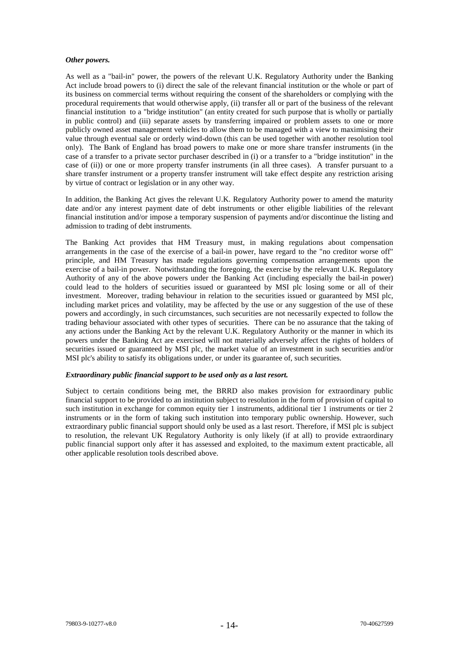#### *Other powers.*

As well as a "bail-in" power, the powers of the relevant U.K. Regulatory Authority under the Banking Act include broad powers to (i) direct the sale of the relevant financial institution or the whole or part of its business on commercial terms without requiring the consent of the shareholders or complying with the procedural requirements that would otherwise apply, (ii) transfer all or part of the business of the relevant financial institution to a "bridge institution" (an entity created for such purpose that is wholly or partially in public control) and (iii) separate assets by transferring impaired or problem assets to one or more publicly owned asset management vehicles to allow them to be managed with a view to maximising their value through eventual sale or orderly wind-down (this can be used together with another resolution tool only). The Bank of England has broad powers to make one or more share transfer instruments (in the case of a transfer to a private sector purchaser described in (i) or a transfer to a "bridge institution" in the case of (ii)) or one or more property transfer instruments (in all three cases). A transfer pursuant to a share transfer instrument or a property transfer instrument will take effect despite any restriction arising by virtue of contract or legislation or in any other way.

In addition, the Banking Act gives the relevant U.K. Regulatory Authority power to amend the maturity date and/or any interest payment date of debt instruments or other eligible liabilities of the relevant financial institution and/or impose a temporary suspension of payments and/or discontinue the listing and admission to trading of debt instruments.

The Banking Act provides that HM Treasury must, in making regulations about compensation arrangements in the case of the exercise of a bail-in power, have regard to the "no creditor worse off" principle, and HM Treasury has made regulations governing compensation arrangements upon the exercise of a bail-in power. Notwithstanding the foregoing, the exercise by the relevant U.K. Regulatory Authority of any of the above powers under the Banking Act (including especially the bail-in power) could lead to the holders of securities issued or guaranteed by MSI plc losing some or all of their investment. Moreover, trading behaviour in relation to the securities issued or guaranteed by MSI plc, including market prices and volatility, may be affected by the use or any suggestion of the use of these powers and accordingly, in such circumstances, such securities are not necessarily expected to follow the trading behaviour associated with other types of securities. There can be no assurance that the taking of any actions under the Banking Act by the relevant U.K. Regulatory Authority or the manner in which its powers under the Banking Act are exercised will not materially adversely affect the rights of holders of securities issued or guaranteed by MSI plc, the market value of an investment in such securities and/or MSI plc's ability to satisfy its obligations under, or under its guarantee of, such securities.

#### *Extraordinary public financial support to be used only as a last resort.*

Subject to certain conditions being met, the BRRD also makes provision for extraordinary public financial support to be provided to an institution subject to resolution in the form of provision of capital to such institution in exchange for common equity tier 1 instruments, additional tier 1 instruments or tier 2 instruments or in the form of taking such institution into temporary public ownership. However, such extraordinary public financial support should only be used as a last resort. Therefore, if MSI plc is subject to resolution, the relevant UK Regulatory Authority is only likely (if at all) to provide extraordinary public financial support only after it has assessed and exploited, to the maximum extent practicable, all other applicable resolution tools described above.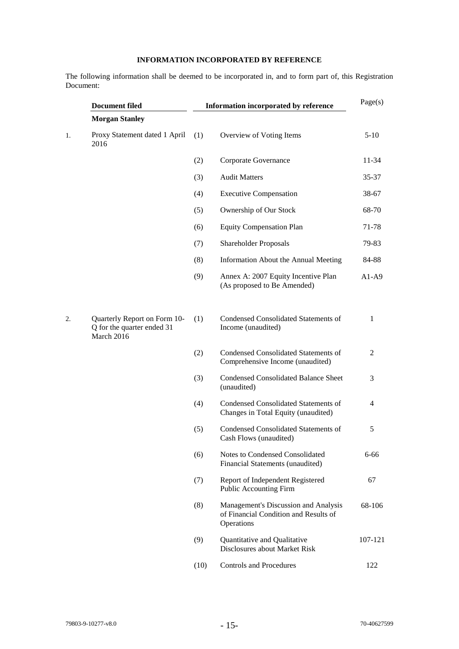# **INFORMATION INCORPORATED BY REFERENCE**

The following information shall be deemed to be incorporated in, and to form part of, this Registration Document:

|    | <b>Document filed</b>                                                    |      | Information incorporated by reference                                                       | Page(s) |
|----|--------------------------------------------------------------------------|------|---------------------------------------------------------------------------------------------|---------|
|    | <b>Morgan Stanley</b>                                                    |      |                                                                                             |         |
| 1. | Proxy Statement dated 1 April<br>2016                                    | (1)  | Overview of Voting Items                                                                    | $5-10$  |
|    |                                                                          | (2)  | Corporate Governance                                                                        | 11-34   |
|    |                                                                          | (3)  | <b>Audit Matters</b>                                                                        | 35-37   |
|    |                                                                          | (4)  | <b>Executive Compensation</b>                                                               | 38-67   |
|    |                                                                          | (5)  | Ownership of Our Stock                                                                      | 68-70   |
|    |                                                                          | (6)  | <b>Equity Compensation Plan</b>                                                             | 71-78   |
|    |                                                                          | (7)  | <b>Shareholder Proposals</b>                                                                | 79-83   |
|    |                                                                          | (8)  | Information About the Annual Meeting                                                        | 84-88   |
|    |                                                                          | (9)  | Annex A: 2007 Equity Incentive Plan<br>(As proposed to Be Amended)                          | $A1-A9$ |
| 2. | Quarterly Report on Form 10-<br>Q for the quarter ended 31<br>March 2016 | (1)  | <b>Condensed Consolidated Statements of</b><br>Income (unaudited)                           | 1       |
|    |                                                                          | (2)  | <b>Condensed Consolidated Statements of</b><br>Comprehensive Income (unaudited)             | 2       |
|    |                                                                          | (3)  | <b>Condensed Consolidated Balance Sheet</b><br>(unaudited)                                  | 3       |
|    |                                                                          | (4)  | <b>Condensed Consolidated Statements of</b><br>Changes in Total Equity (unaudited)          | 4       |
|    |                                                                          | (5)  | <b>Condensed Consolidated Statements of</b><br>Cash Flows (unaudited)                       | 5       |
|    |                                                                          | (6)  | Notes to Condensed Consolidated<br>Financial Statements (unaudited)                         | 6-66    |
|    |                                                                          | (7)  | Report of Independent Registered<br>Public Accounting Firm                                  | 67      |
|    |                                                                          | (8)  | Management's Discussion and Analysis<br>of Financial Condition and Results of<br>Operations | 68-106  |
|    |                                                                          | (9)  | Quantitative and Qualitative<br>Disclosures about Market Risk                               | 107-121 |
|    |                                                                          | (10) | <b>Controls and Procedures</b>                                                              | 122     |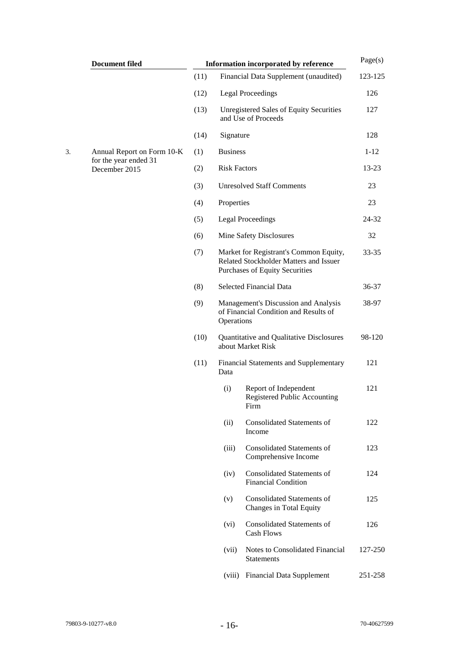| <b>Document filed</b>                  | Information incorporated by reference |                                                       |                                                                                                                           |          |  |  |  |
|----------------------------------------|---------------------------------------|-------------------------------------------------------|---------------------------------------------------------------------------------------------------------------------------|----------|--|--|--|
|                                        | (11)                                  |                                                       | Financial Data Supplement (unaudited)                                                                                     | 123-125  |  |  |  |
|                                        | (12)                                  |                                                       | <b>Legal Proceedings</b>                                                                                                  | 126      |  |  |  |
|                                        | (13)                                  |                                                       | <b>Unregistered Sales of Equity Securities</b><br>and Use of Proceeds                                                     | 127      |  |  |  |
|                                        | (14)                                  | Signature                                             |                                                                                                                           | 128      |  |  |  |
| Annual Report on Form 10-K             | (1)                                   | <b>Business</b>                                       |                                                                                                                           | $1 - 12$ |  |  |  |
| for the year ended 31<br>December 2015 | (2)                                   | <b>Risk Factors</b>                                   |                                                                                                                           | 13-23    |  |  |  |
|                                        | (3)                                   |                                                       | <b>Unresolved Staff Comments</b>                                                                                          | 23       |  |  |  |
|                                        | (4)                                   | Properties                                            | 23                                                                                                                        |          |  |  |  |
|                                        | (5)                                   |                                                       | <b>Legal Proceedings</b>                                                                                                  |          |  |  |  |
|                                        | (6)                                   |                                                       | Mine Safety Disclosures                                                                                                   |          |  |  |  |
|                                        | (7)                                   |                                                       | Market for Registrant's Common Equity,<br>Related Stockholder Matters and Issuer<br><b>Purchases of Equity Securities</b> | 33-35    |  |  |  |
|                                        | (8)                                   |                                                       | Selected Financial Data                                                                                                   |          |  |  |  |
|                                        | (9)                                   |                                                       | Management's Discussion and Analysis<br>of Financial Condition and Results of<br>Operations                               |          |  |  |  |
|                                        | (10)                                  |                                                       | Quantitative and Qualitative Disclosures<br>about Market Risk                                                             |          |  |  |  |
|                                        | (11)                                  | <b>Financial Statements and Supplementary</b><br>Data | 121                                                                                                                       |          |  |  |  |
|                                        |                                       | (i)                                                   | Report of Independent<br>Registered Public Accounting<br>Firm                                                             | 121      |  |  |  |
|                                        |                                       | (ii)                                                  | <b>Consolidated Statements of</b><br>Income                                                                               | 122      |  |  |  |
|                                        |                                       | (iii)                                                 | <b>Consolidated Statements of</b><br>Comprehensive Income                                                                 | 123      |  |  |  |
|                                        |                                       | (iv)                                                  | <b>Consolidated Statements of</b><br><b>Financial Condition</b>                                                           | 124      |  |  |  |
|                                        |                                       | (v)                                                   | <b>Consolidated Statements of</b><br>Changes in Total Equity                                                              | 125      |  |  |  |
|                                        |                                       | (vi)                                                  | <b>Consolidated Statements of</b><br><b>Cash Flows</b>                                                                    | 126      |  |  |  |
|                                        |                                       | (vii)                                                 | Notes to Consolidated Financial<br><b>Statements</b>                                                                      | 127-250  |  |  |  |
|                                        |                                       | (viii)                                                | <b>Financial Data Supplement</b>                                                                                          | 251-258  |  |  |  |
|                                        |                                       |                                                       |                                                                                                                           |          |  |  |  |

3. Annual Report on Form 10-K for the year ended 31 December 2015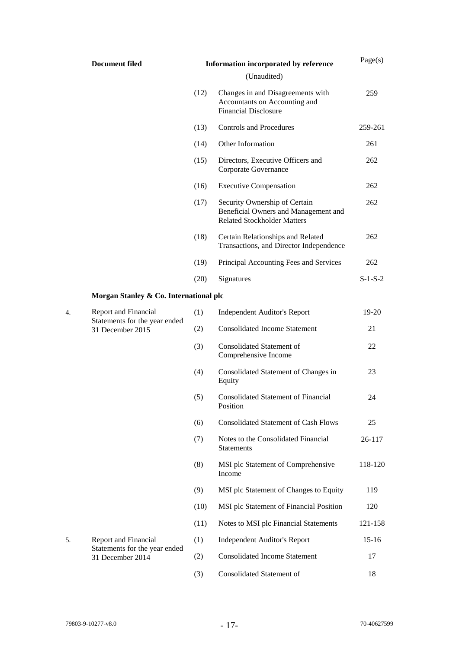| <b>Document filed</b>                             | Information incorporated by reference | Page(s)                                                                                                     |           |
|---------------------------------------------------|---------------------------------------|-------------------------------------------------------------------------------------------------------------|-----------|
|                                                   |                                       | (Unaudited)                                                                                                 |           |
|                                                   | (12)                                  | Changes in and Disagreements with<br>Accountants on Accounting and<br><b>Financial Disclosure</b>           | 259       |
|                                                   | (13)                                  | <b>Controls and Procedures</b>                                                                              | 259-261   |
|                                                   | (14)                                  | Other Information                                                                                           | 261       |
|                                                   | (15)                                  | Directors, Executive Officers and<br>Corporate Governance                                                   | 262       |
|                                                   | (16)                                  | <b>Executive Compensation</b>                                                                               | 262       |
|                                                   | (17)                                  | Security Ownership of Certain<br>Beneficial Owners and Management and<br><b>Related Stockholder Matters</b> | 262       |
|                                                   | (18)                                  | Certain Relationships and Related<br>Transactions, and Director Independence                                | 262       |
|                                                   | (19)                                  | Principal Accounting Fees and Services                                                                      | 262       |
|                                                   | (20)                                  | Signatures                                                                                                  | $S-1-S-2$ |
| Morgan Stanley & Co. International plc            |                                       |                                                                                                             |           |
| Report and Financial                              | (1)                                   | <b>Independent Auditor's Report</b>                                                                         | 19-20     |
| Statements for the year ended<br>31 December 2015 | (2)                                   | <b>Consolidated Income Statement</b>                                                                        | 21        |
|                                                   | (3)                                   | <b>Consolidated Statement of</b><br>Comprehensive Income                                                    | 22        |
|                                                   | (4)                                   | Consolidated Statement of Changes in<br>Equity                                                              | 23        |
|                                                   | (5)                                   | <b>Consolidated Statement of Financial</b><br>Position                                                      | 24        |
|                                                   | (6)                                   | <b>Consolidated Statement of Cash Flows</b>                                                                 | 25        |
|                                                   | (7)                                   | Notes to the Consolidated Financial<br><b>Statements</b>                                                    | 26-117    |
|                                                   | (8)                                   | MSI plc Statement of Comprehensive<br>Income                                                                | 118-120   |
|                                                   | (9)                                   | MSI plc Statement of Changes to Equity                                                                      | 119       |
|                                                   | (10)                                  | MSI plc Statement of Financial Position                                                                     | 120       |
|                                                   | (11)                                  | Notes to MSI plc Financial Statements                                                                       | 121-158   |
| Report and Financial                              | (1)                                   | <b>Independent Auditor's Report</b>                                                                         | $15-16$   |
| Statements for the year ended<br>31 December 2014 | (2)                                   | <b>Consolidated Income Statement</b>                                                                        | 17        |
|                                                   | (3)                                   | Consolidated Statement of                                                                                   | 18        |
|                                                   |                                       |                                                                                                             |           |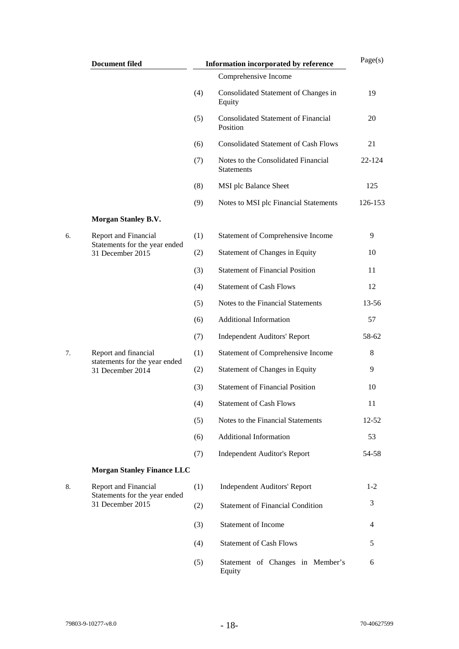|    | <b>Document filed</b>                                                     |     | Information incorporated by reference                    |           |
|----|---------------------------------------------------------------------------|-----|----------------------------------------------------------|-----------|
|    |                                                                           |     | Comprehensive Income                                     |           |
|    |                                                                           | (4) | Consolidated Statement of Changes in<br>Equity           | 19        |
|    |                                                                           | (5) | <b>Consolidated Statement of Financial</b><br>Position   | 20        |
|    |                                                                           | (6) | <b>Consolidated Statement of Cash Flows</b>              | 21        |
|    |                                                                           | (7) | Notes to the Consolidated Financial<br><b>Statements</b> | 22-124    |
|    |                                                                           | (8) | MSI plc Balance Sheet                                    | 125       |
|    |                                                                           | (9) | Notes to MSI plc Financial Statements                    | 126-153   |
|    | <b>Morgan Stanley B.V.</b>                                                |     |                                                          |           |
| б. | Report and Financial                                                      | (1) | Statement of Comprehensive Income                        | 9         |
|    | Statements for the year ended<br>31 December 2015                         | (2) | Statement of Changes in Equity                           | 10        |
|    |                                                                           | (3) | <b>Statement of Financial Position</b>                   | 11        |
|    |                                                                           | (4) | <b>Statement of Cash Flows</b>                           | 12        |
|    |                                                                           | (5) | Notes to the Financial Statements                        | 13-56     |
|    |                                                                           | (6) | Additional Information                                   | 57        |
|    |                                                                           | (7) | <b>Independent Auditors' Report</b>                      | 58-62     |
| 7. | Report and financial<br>statements for the year ended<br>31 December 2014 | (1) | <b>Statement of Comprehensive Income</b>                 | 8         |
|    |                                                                           | (2) | <b>Statement of Changes in Equity</b>                    | 9         |
|    |                                                                           | (3) | <b>Statement of Financial Position</b>                   | 10        |
|    |                                                                           | (4) | <b>Statement of Cash Flows</b>                           | 11        |
|    |                                                                           | (5) | Notes to the Financial Statements                        | $12 - 52$ |
|    |                                                                           | (6) | <b>Additional Information</b>                            | 53        |
|    |                                                                           | (7) | <b>Independent Auditor's Report</b>                      | 54-58     |
|    | <b>Morgan Stanley Finance LLC</b>                                         |     |                                                          |           |
| 8. | <b>Report and Financial</b><br>Statements for the year ended              | (1) | <b>Independent Auditors' Report</b>                      | $1-2$     |
|    | 31 December 2015                                                          | (2) | <b>Statement of Financial Condition</b>                  | 3         |
|    |                                                                           | (3) | Statement of Income                                      | 4         |
|    |                                                                           | (4) | <b>Statement of Cash Flows</b>                           | 5         |
|    |                                                                           | (5) | Statement of Changes in Member's<br>Equity               | 6         |
|    |                                                                           |     |                                                          |           |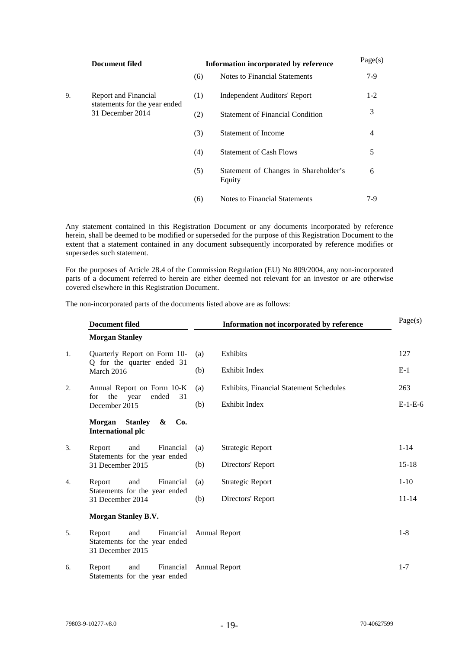|    | Document filed                                                            | Information incorporated by reference | Page(s)                                         |       |
|----|---------------------------------------------------------------------------|---------------------------------------|-------------------------------------------------|-------|
|    |                                                                           | (6)                                   | Notes to Financial Statements                   | $7-9$ |
| 9. | Report and Financial<br>statements for the year ended<br>31 December 2014 | (1)                                   | <b>Independent Auditors' Report</b>             | $1-2$ |
|    |                                                                           | (2)                                   | <b>Statement of Financial Condition</b>         | 3     |
|    |                                                                           | (3)                                   | <b>Statement of Income</b>                      | 4     |
|    |                                                                           | (4)                                   | <b>Statement of Cash Flows</b>                  | 5     |
|    |                                                                           | (5)                                   | Statement of Changes in Shareholder's<br>Equity | 6     |
|    |                                                                           | (6)                                   | <b>Notes to Financial Statements</b>            | 7-9   |

Any statement contained in this Registration Document or any documents incorporated by reference herein, shall be deemed to be modified or superseded for the purpose of this Registration Document to the extent that a statement contained in any document subsequently incorporated by reference modifies or supersedes such statement.

For the purposes of Article 28.4 of the Commission Regulation (EU) No 809/2004, any non-incorporated parts of a document referred to herein are either deemed not relevant for an investor or are otherwise covered elsewhere in this Registration Document.

The non-incorporated parts of the documents listed above are as follows:

|    | <b>Document filed</b>                                                           |     | Page(s)                                        |           |  |
|----|---------------------------------------------------------------------------------|-----|------------------------------------------------|-----------|--|
|    | <b>Morgan Stanley</b>                                                           |     |                                                |           |  |
| 1. | Quarterly Report on Form 10-                                                    | (a) | Exhibits                                       | 127       |  |
|    | Q for the quarter ended 31<br>March 2016                                        | (b) | Exhibit Index                                  | $E-1$     |  |
| 2. | Annual Report on Form 10-K                                                      | (a) | <b>Exhibits, Financial Statement Schedules</b> | 263       |  |
|    | the<br>ended<br>31<br>for<br>year<br>December 2015                              | (b) | Exhibit Index                                  | $E-1-E-6$ |  |
|    | <b>Stanley</b><br>Co.<br><b>Morgan</b><br>&<br><b>International plc</b>         |     |                                                |           |  |
| 3. | Financial<br>Report<br>and                                                      | (a) | Strategic Report                               | $1 - 14$  |  |
|    | Statements for the year ended<br>31 December 2015                               | (b) | Directors' Report                              | $15-18$   |  |
| 4. | and<br>Financial<br>Report                                                      | (a) | Strategic Report                               | $1-10$    |  |
|    | Statements for the year ended<br>31 December 2014                               | (b) | Directors' Report                              | $11 - 14$ |  |
|    | <b>Morgan Stanley B.V.</b>                                                      |     |                                                |           |  |
| 5. | Financial<br>Report<br>and<br>Statements for the year ended<br>31 December 2015 |     | Annual Report                                  |           |  |
| б. | Report<br>Financial<br>and<br>Statements for the year ended                     |     | <b>Annual Report</b>                           | $1 - 7$   |  |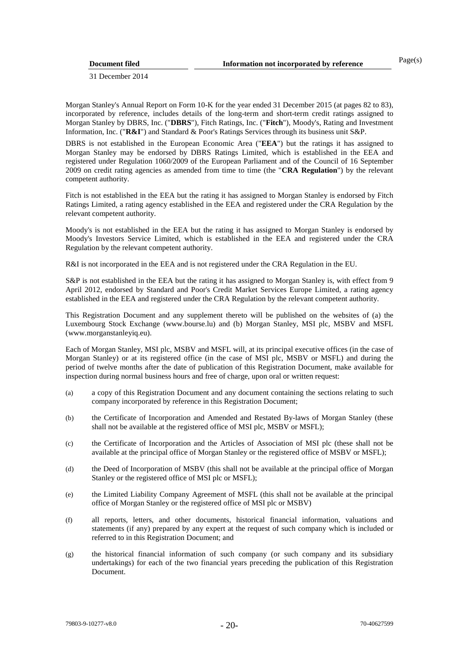31 December 2014

Morgan Stanley's Annual Report on Form 10-K for the year ended 31 December 2015 (at pages 82 to 83), incorporated by reference, includes details of the long-term and short-term credit ratings assigned to Morgan Stanley by DBRS, Inc. ("**DBRS**"), Fitch Ratings, Inc. ("**Fitch**"), Moody's, Rating and Investment Information, Inc. ("**R&I**") and Standard & Poor's Ratings Services through its business unit S&P.

DBRS is not established in the European Economic Area ("**EEA**") but the ratings it has assigned to Morgan Stanley may be endorsed by DBRS Ratings Limited, which is established in the EEA and registered under Regulation 1060/2009 of the European Parliament and of the Council of 16 September 2009 on credit rating agencies as amended from time to time (the "**CRA Regulation**") by the relevant competent authority.

Fitch is not established in the EEA but the rating it has assigned to Morgan Stanley is endorsed by Fitch Ratings Limited, a rating agency established in the EEA and registered under the CRA Regulation by the relevant competent authority.

Moody's is not established in the EEA but the rating it has assigned to Morgan Stanley is endorsed by Moody's Investors Service Limited, which is established in the EEA and registered under the CRA Regulation by the relevant competent authority.

R&I is not incorporated in the EEA and is not registered under the CRA Regulation in the EU.

S&P is not established in the EEA but the rating it has assigned to Morgan Stanley is, with effect from 9 April 2012, endorsed by Standard and Poor's Credit Market Services Europe Limited, a rating agency established in the EEA and registered under the CRA Regulation by the relevant competent authority.

This Registration Document and any supplement thereto will be published on the websites of (a) the Luxembourg Stock Exchange [\(www.bourse.lu\)](http://www.bourse.lu/) and (b) Morgan Stanley, MSI plc, MSBV and MSFL (www.morganstanleyiq.eu).

Each of Morgan Stanley, MSI plc, MSBV and MSFL will, at its principal executive offices (in the case of Morgan Stanley) or at its registered office (in the case of MSI plc, MSBV or MSFL) and during the period of twelve months after the date of publication of this Registration Document, make available for inspection during normal business hours and free of charge, upon oral or written request:

- (a) a copy of this Registration Document and any document containing the sections relating to such company incorporated by reference in this Registration Document;
- (b) the Certificate of Incorporation and Amended and Restated By-laws of Morgan Stanley (these shall not be available at the registered office of MSI plc, MSBV or MSFL);
- (c) the Certificate of Incorporation and the Articles of Association of MSI plc (these shall not be available at the principal office of Morgan Stanley or the registered office of MSBV or MSFL);
- (d) the Deed of Incorporation of MSBV (this shall not be available at the principal office of Morgan Stanley or the registered office of MSI plc or MSFL);
- (e) the Limited Liability Company Agreement of MSFL (this shall not be available at the principal office of Morgan Stanley or the registered office of MSI plc or MSBV)
- (f) all reports, letters, and other documents, historical financial information, valuations and statements (if any) prepared by any expert at the request of such company which is included or referred to in this Registration Document; and
- (g) the historical financial information of such company (or such company and its subsidiary undertakings) for each of the two financial years preceding the publication of this Registration Document.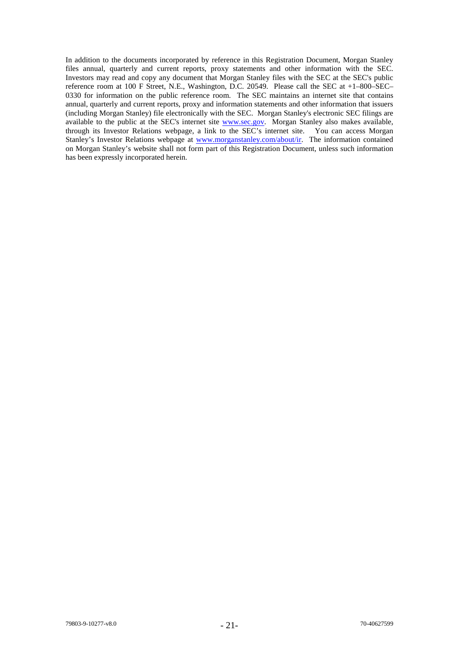In addition to the documents incorporated by reference in this Registration Document, Morgan Stanley files annual, quarterly and current reports, proxy statements and other information with the SEC. Investors may read and copy any document that Morgan Stanley files with the SEC at the SEC's public reference room at 100 F Street, N.E., Washington, D.C. 20549. Please call the SEC at +1–800–SEC– 0330 for information on the public reference room. The SEC maintains an internet site that contains 0330 for information on the public reference room. The SEC maintains an internet site that contains annual, quarterly and current reports, proxy and information statements and other information that issuers (including Morgan Stanley) file electronically with the SEC. Morgan Stanley's electronic SEC filings are available to the public at the SEC's internet site [www.sec.gov.](http://www.sec.gov/) Morgan Stanley also makes available, through its Investor Relations webpage, a link to the SEC's internet site. You can access Morgan Stanley's Investor Relations webpage at [www.morganstanley.com/about/ir.](http://www.morganstanley.com/about/ir) The information contained on Morgan Stanley's website shall not form part of this Registration Document, unless such information has been expressly incorporated herein.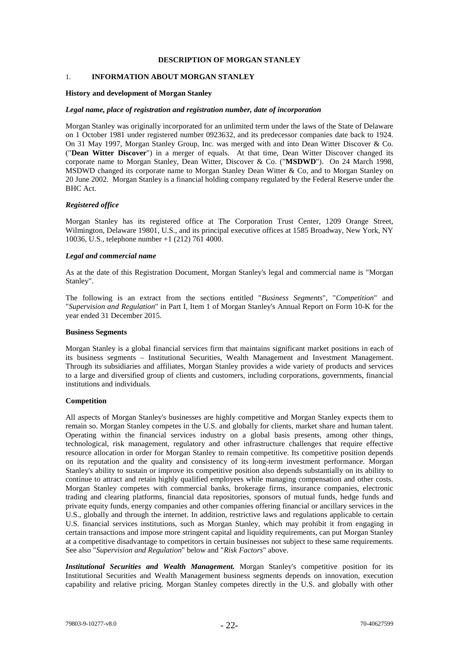# **DESCRIPTION OF MORGAN STANLEY**

# 1. **INFORMATION ABOUT MORGAN STANLEY**

#### **History and development of Morgan Stanley**

#### *Legal name, place of registration and registration number, date of incorporation*

Morgan Stanley was originally incorporated for an unlimited term under the laws of the State of Delaware on 1 October 1981 under registered number 0923632, and its predecessor companies date back to 1924. On 31 May 1997, Morgan Stanley Group, Inc. was merged with and into Dean Witter Discover & Co. ("**Dean Witter Discover**") in a merger of equals. At that time, Dean Witter Discover changed its corporate name to Morgan Stanley, Dean Witter, Discover & Co. ("**MSDWD**"). On 24 March 1998, MSDWD changed its corporate name to Morgan Stanley Dean Witter & Co, and to Morgan Stanley on 20 June 2002. Morgan Stanley is a financial holding company regulated by the Federal Reserve under the BHC Act.

#### *Registered office*

Morgan Stanley has its registered office at The Corporation Trust Center, 1209 Orange Street, Wilmington, Delaware 19801, U.S., and its principal executive offices at 1585 Broadway, New York, NY 10036, U.S., telephone number +1 (212) 761 4000.

#### *Legal and commercial name*

As at the date of this Registration Document, Morgan Stanley's legal and commercial name is "Morgan Stanley".

The following is an extract from the sections entitled "*Business Segments*", "*Competition*" and "*Supervision and Regulation*" in Part I, Item 1 of Morgan Stanley's Annual Report on Form 10-K for the year ended 31 December 2015.

#### **Business Segments**

Morgan Stanley is a global financial services firm that maintains significant market positions in each of its business segments – Institutional Securities, Wealth Management and Investment Management. Through its subsidiaries and affiliates, Morgan Stanley provides a wide variety of products and services to a large and diversified group of clients and customers, including corporations, governments, financial institutions and individuals.

#### **Competition**

All aspects of Morgan Stanley's businesses are highly competitive and Morgan Stanley expects them to remain so. Morgan Stanley competes in the U.S. and globally for clients, market share and human talent. Operating within the financial services industry on a global basis presents, among other things, technological, risk management, regulatory and other infrastructure challenges that require effective resource allocation in order for Morgan Stanley to remain competitive. Its competitive position depends on its reputation and the quality and consistency of its long-term investment performance. Morgan Stanley's ability to sustain or improve its competitive position also depends substantially on its ability to continue to attract and retain highly qualified employees while managing compensation and other costs. Morgan Stanley competes with commercial banks, brokerage firms, insurance companies, electronic trading and clearing platforms, financial data repositories, sponsors of mutual funds, hedge funds and private equity funds, energy companies and other companies offering financial or ancillary services in the U.S., globally and through the internet. In addition, restrictive laws and regulations applicable to certain U.S. financial services institutions, such as Morgan Stanley, which may prohibit it from engaging in certain transactions and impose more stringent capital and liquidity requirements, can put Morgan Stanley at a competitive disadvantage to competitors in certain businesses not subject to these same requirements. See also "*Supervision and Regulation*" below and "*Risk Factors*" above.

*Institutional Securities and Wealth Management.* Morgan Stanley's competitive position for its Institutional Securities and Wealth Management business segments depends on innovation, execution capability and relative pricing. Morgan Stanley competes directly in the U.S. and globally with other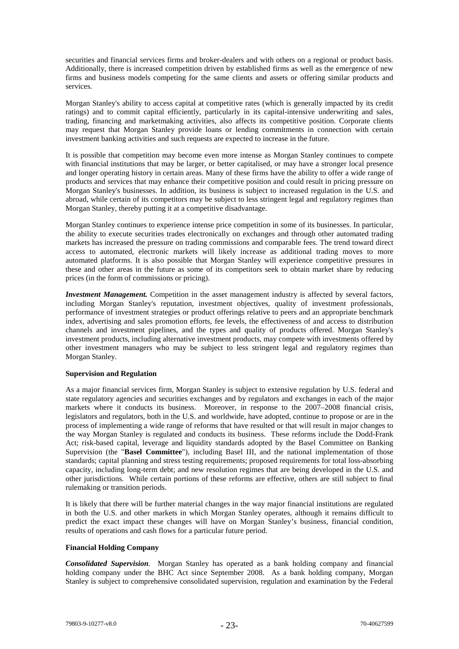securities and financial services firms and broker-dealers and with others on a regional or product basis. Additionally, there is increased competition driven by established firms as well as the emergence of new firms and business models competing for the same clients and assets or offering similar products and services.

Morgan Stanley's ability to access capital at competitive rates (which is generally impacted by its credit ratings) and to commit capital efficiently, particularly in its capital-intensive underwriting and sales, trading, financing and marketmaking activities, also affects its competitive position. Corporate clients may request that Morgan Stanley provide loans or lending commitments in connection with certain investment banking activities and such requests are expected to increase in the future.

It is possible that competition may become even more intense as Morgan Stanley continues to compete with financial institutions that may be larger, or better capitalised, or may have a stronger local presence and longer operating history in certain areas. Many of these firms have the ability to offer a wide range of products and services that may enhance their competitive position and could result in pricing pressure on Morgan Stanley's businesses. In addition, its business is subject to increased regulation in the U.S. and abroad, while certain of its competitors may be subject to less stringent legal and regulatory regimes than Morgan Stanley, thereby putting it at a competitive disadvantage.

Morgan Stanley continues to experience intense price competition in some of its businesses. In particular, the ability to execute securities trades electronically on exchanges and through other automated trading markets has increased the pressure on trading commissions and comparable fees. The trend toward direct access to automated, electronic markets will likely increase as additional trading moves to more automated platforms. It is also possible that Morgan Stanley will experience competitive pressures in these and other areas in the future as some of its competitors seek to obtain market share by reducing prices (in the form of commissions or pricing).

*Investment Management.* Competition in the asset management industry is affected by several factors, including Morgan Stanley's reputation, investment objectives, quality of investment professionals, performance of investment strategies or product offerings relative to peers and an appropriate benchmark index, advertising and sales promotion efforts, fee levels, the effectiveness of and access to distribution channels and investment pipelines, and the types and quality of products offered. Morgan Stanley's investment products, including alternative investment products, may compete with investments offered by other investment managers who may be subject to less stringent legal and regulatory regimes than Morgan Stanley.

# **Supervision and Regulation**

As a major financial services firm, Morgan Stanley is subject to extensive regulation by U.S. federal and state regulatory agencies and securities exchanges and by regulators and exchanges in each of the major markets where it conducts its business. Moreover, in response to the 2007–2008 financial crisis, legislators and regulators, both in the U.S. and worldwide, have adopted, continue to propose or are in the process of implementing a wide range of reforms that have resulted or that will result in major changes to the way Morgan Stanley is regulated and conducts its business. These reforms include the Dodd-Frank Act; risk-based capital, leverage and liquidity standards adopted by the Basel Committee on Banking Supervision (the "**Basel Committee**"), including Basel III, and the national implementation of those standards; capital planning and stress testing requirements; proposed requirements for total loss-absorbing capacity, including long-term debt; and new resolution regimes that are being developed in the U.S. and other jurisdictions. While certain portions of these reforms are effective, others are still subject to final rulemaking or transition periods.

It is likely that there will be further material changes in the way major financial institutions are regulated in both the U.S. and other markets in which Morgan Stanley operates, although it remains difficult to predict the exact impact these changes will have on Morgan Stanley's business, financial condition, results of operations and cash flows for a particular future period.

# **Financial Holding Company**

*Consolidated Supervision*. Morgan Stanley has operated as a bank holding company and financial holding company under the BHC Act since September 2008. As a bank holding company, Morgan Stanley is subject to comprehensive consolidated supervision, regulation and examination by the Federal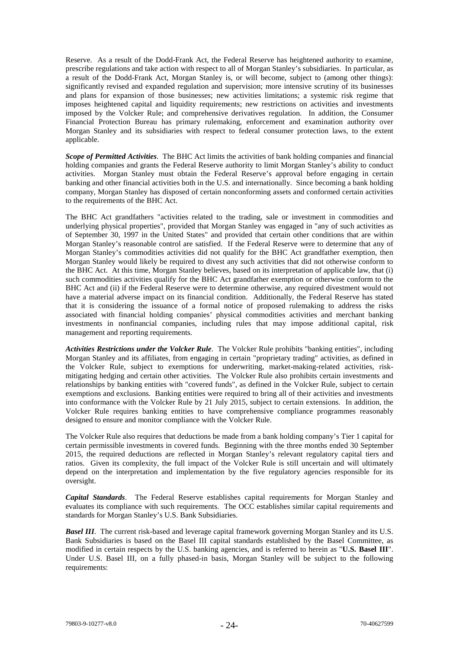Reserve. As a result of the Dodd-Frank Act, the Federal Reserve has heightened authority to examine, prescribe regulations and take action with respect to all of Morgan Stanley's subsidiaries. In particular, as a result of the Dodd-Frank Act, Morgan Stanley is, or will become, subject to (among other things): significantly revised and expanded regulation and supervision; more intensive scrutiny of its businesses and plans for expansion of those businesses; new activities limitations; a systemic risk regime that imposes heightened capital and liquidity requirements; new restrictions on activities and investments imposed by the Volcker Rule; and comprehensive derivatives regulation. In addition, the Consumer Financial Protection Bureau has primary rulemaking, enforcement and examination authority over Morgan Stanley and its subsidiaries with respect to federal consumer protection laws, to the extent applicable.

*Scope of Permitted Activities*. The BHC Act limits the activities of bank holding companies and financial holding companies and grants the Federal Reserve authority to limit Morgan Stanley's ability to conduct activities. Morgan Stanley must obtain the Federal Reserve's approval before engaging in certain banking and other financial activities both in the U.S. and internationally. Since becoming a bank holding company, Morgan Stanley has disposed of certain nonconforming assets and conformed certain activities to the requirements of the BHC Act.

The BHC Act grandfathers "activities related to the trading, sale or investment in commodities and underlying physical properties", provided that Morgan Stanley was engaged in "any of such activities as of September 30, 1997 in the United States" and provided that certain other conditions that are within Morgan Stanley's reasonable control are satisfied. If the Federal Reserve were to determine that any of Morgan Stanley's commodities activities did not qualify for the BHC Act grandfather exemption, then Morgan Stanley would likely be required to divest any such activities that did not otherwise conform to the BHC Act. At this time, Morgan Stanley believes, based on its interpretation of applicable law, that (i) such commodities activities qualify for the BHC Act grandfather exemption or otherwise conform to the BHC Act and (ii) if the Federal Reserve were to determine otherwise, any required divestment would not have a material adverse impact on its financial condition. Additionally, the Federal Reserve has stated that it is considering the issuance of a formal notice of proposed rulemaking to address the risks associated with financial holding companies' physical commodities activities and merchant banking investments in nonfinancial companies, including rules that may impose additional capital, risk management and reporting requirements.

*Activities Restrictions under the Volcker Rule*. The Volcker Rule prohibits "banking entities", including Morgan Stanley and its affiliates, from engaging in certain "proprietary trading" activities, as defined in the Volcker Rule, subject to exemptions for underwriting, market-making-related activities, riskmitigating hedging and certain other activities. The Volcker Rule also prohibits certain investments and relationships by banking entities with "covered funds", as defined in the Volcker Rule, subject to certain exemptions and exclusions. Banking entities were required to bring all of their activities and investments into conformance with the Volcker Rule by 21 July 2015, subject to certain extensions. In addition, the Volcker Rule requires banking entities to have comprehensive compliance programmes reasonably designed to ensure and monitor compliance with the Volcker Rule.

The Volcker Rule also requires that deductions be made from a bank holding company's Tier 1 capital for certain permissible investments in covered funds. Beginning with the three months ended 30 September 2015, the required deductions are reflected in Morgan Stanley's relevant regulatory capital tiers and ratios. Given its complexity, the full impact of the Volcker Rule is still uncertain and will ultimately depend on the interpretation and implementation by the five regulatory agencies responsible for its oversight.

*Capital Standards*. The Federal Reserve establishes capital requirements for Morgan Stanley and evaluates its compliance with such requirements. The OCC establishes similar capital requirements and standards for Morgan Stanley's U.S. Bank Subsidiaries.

*Basel III*. The current risk-based and leverage capital framework governing Morgan Stanley and its U.S. Bank Subsidiaries is based on the Basel III capital standards established by the Basel Committee, as modified in certain respects by the U.S. banking agencies, and is referred to herein as "**U.S. Basel III**". Under U.S. Basel III, on a fully phased-in basis, Morgan Stanley will be subject to the following requirements: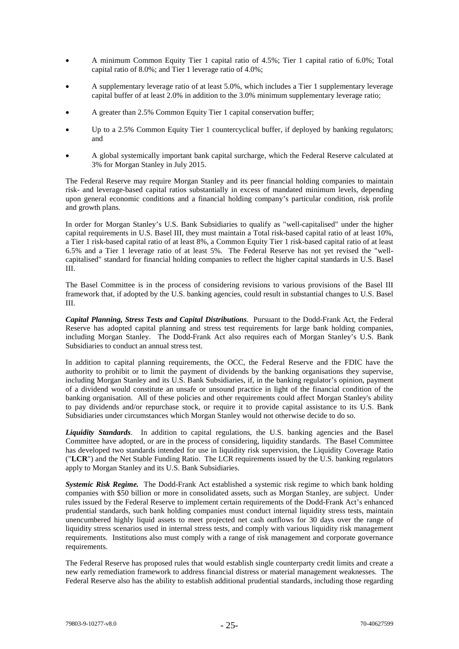- A minimum Common Equity Tier 1 capital ratio of 4.5%; Tier 1 capital ratio of 6.0%; Total capital ratio of 8.0%; and Tier 1 leverage ratio of 4.0%;
- A supplementary leverage ratio of at least 5.0%, which includes a Tier 1 supplementary leverage capital buffer of at least 2.0% in addition to the 3.0% minimum supplementary leverage ratio;
- A greater than 2.5% Common Equity Tier 1 capital conservation buffer;
- Up to a 2.5% Common Equity Tier 1 countercyclical buffer, if deployed by banking regulators; and
- A global systemically important bank capital surcharge, which the Federal Reserve calculated at 3% for Morgan Stanley in July 2015.

The Federal Reserve may require Morgan Stanley and its peer financial holding companies to maintain risk- and leverage-based capital ratios substantially in excess of mandated minimum levels, depending upon general economic conditions and a financial holding company's particular condition, risk profile and growth plans.

In order for Morgan Stanley's U.S. Bank Subsidiaries to qualify as "well-capitalised" under the higher capital requirements in U.S. Basel III, they must maintain a Total risk-based capital ratio of at least 10%, a Tier 1 risk-based capital ratio of at least 8%, a Common Equity Tier 1 risk-based capital ratio of at least 6.5% and a Tier 1 leverage ratio of at least 5%. The Federal Reserve has not yet revised the "wellcapitalised" standard for financial holding companies to reflect the higher capital standards in U.S. Basel III.

The Basel Committee is in the process of considering revisions to various provisions of the Basel III framework that, if adopted by the U.S. banking agencies, could result in substantial changes to U.S. Basel III.

*Capital Planning, Stress Tests and Capital Distributions*. Pursuant to the Dodd-Frank Act, the Federal Reserve has adopted capital planning and stress test requirements for large bank holding companies, including Morgan Stanley. The Dodd-Frank Act also requires each of Morgan Stanley's U.S. Bank Subsidiaries to conduct an annual stress test.

In addition to capital planning requirements, the OCC, the Federal Reserve and the FDIC have the authority to prohibit or to limit the payment of dividends by the banking organisations they supervise, including Morgan Stanley and its U.S. Bank Subsidiaries, if, in the banking regulator's opinion, payment of a dividend would constitute an unsafe or unsound practice in light of the financial condition of the banking organisation. All of these policies and other requirements could affect Morgan Stanley's ability to pay dividends and/or repurchase stock, or require it to provide capital assistance to its U.S. Bank Subsidiaries under circumstances which Morgan Stanley would not otherwise decide to do so.

*Liquidity Standards*. In addition to capital regulations, the U.S. banking agencies and the Basel Committee have adopted, or are in the process of considering, liquidity standards. The Basel Committee has developed two standards intended for use in liquidity risk supervision, the Liquidity Coverage Ratio ("**LCR**") and the Net Stable Funding Ratio. The LCR requirements issued by the U.S. banking regulators apply to Morgan Stanley and its U.S. Bank Subsidiaries.

*Systemic Risk Regime.* The Dodd-Frank Act established a systemic risk regime to which bank holding companies with \$50 billion or more in consolidated assets, such as Morgan Stanley, are subject. Under rules issued by the Federal Reserve to implement certain requirements of the Dodd-Frank Act's enhanced prudential standards, such bank holding companies must conduct internal liquidity stress tests, maintain unencumbered highly liquid assets to meet projected net cash outflows for 30 days over the range of liquidity stress scenarios used in internal stress tests, and comply with various liquidity risk management requirements. Institutions also must comply with a range of risk management and corporate governance requirements.

The Federal Reserve has proposed rules that would establish single counterparty credit limits and create a new early remediation framework to address financial distress or material management weaknesses. The Federal Reserve also has the ability to establish additional prudential standards, including those regarding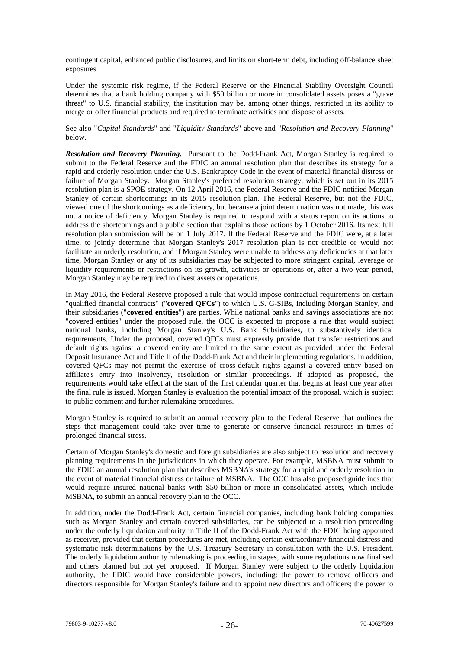contingent capital, enhanced public disclosures, and limits on short-term debt, including off-balance sheet exposures.

Under the systemic risk regime, if the Federal Reserve or the Financial Stability Oversight Council determines that a bank holding company with \$50 billion or more in consolidated assets poses a "grave threat" to U.S. financial stability, the institution may be, among other things, restricted in its ability to merge or offer financial products and required to terminate activities and dispose of assets.

See also "*Capital Standards*" and "*Liquidity Standards*" above and "*Resolution and Recovery Planning*" below.

*Resolution and Recovery Planning.* Pursuant to the Dodd-Frank Act, Morgan Stanley is required to submit to the Federal Reserve and the FDIC an annual resolution plan that describes its strategy for a rapid and orderly resolution under the U.S. Bankruptcy Code in the event of material financial distress or failure of Morgan Stanley. Morgan Stanley's preferred resolution strategy, which is set out in its 2015 resolution plan is a SPOE strategy. On 12 April 2016, the Federal Reserve and the FDIC notified Morgan Stanley of certain shortcomings in its 2015 resolution plan. The Federal Reserve, but not the FDIC, viewed one of the shortcomings as a deficiency, but because a joint determination was not made, this was not a notice of deficiency. Morgan Stanley is required to respond with a status report on its actions to address the shortcomings and a public section that explains those actions by 1 October 2016. Its next full resolution plan submission will be on 1 July 2017. If the Federal Reserve and the FDIC were, at a later time, to jointly determine that Morgan Stanley's 2017 resolution plan is not credible or would not facilitate an orderly resolution, and if Morgan Stanley were unable to address any deficiencies at that later time, Morgan Stanley or any of its subsidiaries may be subjected to more stringent capital, leverage or liquidity requirements or restrictions on its growth, activities or operations or, after a two-year period, Morgan Stanley may be required to divest assets or operations.

In May 2016, the Federal Reserve proposed a rule that would impose contractual requirements on certain "qualified financial contracts" ("**covered QFCs**") to which U.S. G-SIBs, including Morgan Stanley, and their subsidiaries ("**covered entities**") are parties. While national banks and savings associations are not "covered entities" under the proposed rule, the OCC is expected to propose a rule that would subject national banks, including Morgan Stanley's U.S. Bank Subsidiaries, to substantively identical requirements. Under the proposal, covered QFCs must expressly provide that transfer restrictions and default rights against a covered entity are limited to the same extent as provided under the Federal Deposit Insurance Act and Title II of the Dodd-Frank Act and their implementing regulations. In addition, covered QFCs may not permit the exercise of cross-default rights against a covered entity based on affiliate's entry into insolvency, resolution or similar proceedings. If adopted as proposed, the requirements would take effect at the start of the first calendar quarter that begins at least one year after the final rule is issued. Morgan Stanley is evaluation the potential impact of the proposal, which is subject to public comment and further rulemaking procedures.

Morgan Stanley is required to submit an annual recovery plan to the Federal Reserve that outlines the steps that management could take over time to generate or conserve financial resources in times of prolonged financial stress.

Certain of Morgan Stanley's domestic and foreign subsidiaries are also subject to resolution and recovery planning requirements in the jurisdictions in which they operate. For example, MSBNA must submit to the FDIC an annual resolution plan that describes MSBNA's strategy for a rapid and orderly resolution in the event of material financial distress or failure of MSBNA. The OCC has also proposed guidelines that would require insured national banks with \$50 billion or more in consolidated assets, which include MSBNA, to submit an annual recovery plan to the OCC.

In addition, under the Dodd-Frank Act, certain financial companies, including bank holding companies such as Morgan Stanley and certain covered subsidiaries, can be subjected to a resolution proceeding under the orderly liquidation authority in Title II of the Dodd-Frank Act with the FDIC being appointed as receiver, provided that certain procedures are met, including certain extraordinary financial distress and systematic risk determinations by the U.S. Treasury Secretary in consultation with the U.S. President. The orderly liquidation authority rulemaking is proceeding in stages, with some regulations now finalised and others planned but not yet proposed. If Morgan Stanley were subject to the orderly liquidation authority, the FDIC would have considerable powers, including: the power to remove officers and directors responsible for Morgan Stanley's failure and to appoint new directors and officers; the power to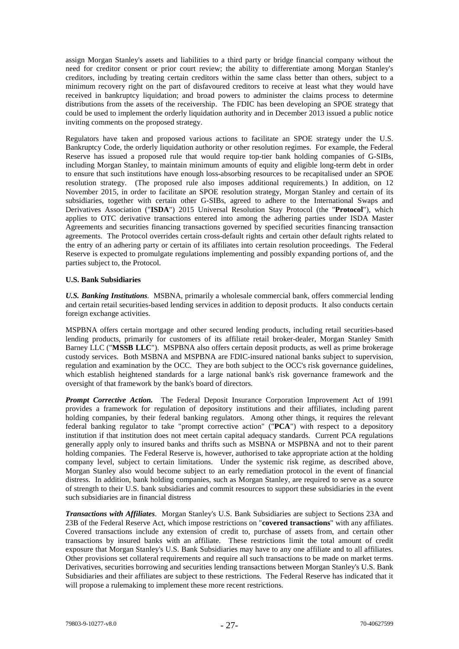assign Morgan Stanley's assets and liabilities to a third party or bridge financial company without the need for creditor consent or prior court review; the ability to differentiate among Morgan Stanley's creditors, including by treating certain creditors within the same class better than others, subject to a minimum recovery right on the part of disfavoured creditors to receive at least what they would have received in bankruptcy liquidation; and broad powers to administer the claims process to determine distributions from the assets of the receivership. The FDIC has been developing an SPOE strategy that could be used to implement the orderly liquidation authority and in December 2013 issued a public notice inviting comments on the proposed strategy.

Regulators have taken and proposed various actions to facilitate an SPOE strategy under the U.S. Bankruptcy Code, the orderly liquidation authority or other resolution regimes. For example, the Federal Reserve has issued a proposed rule that would require top-tier bank holding companies of G-SIBs, including Morgan Stanley, to maintain minimum amounts of equity and eligible long-term debt in order to ensure that such institutions have enough loss-absorbing resources to be recapitalised under an SPOE resolution strategy. (The proposed rule also imposes additional requirements.) In addition, on 12 November 2015, in order to facilitate an SPOE resolution strategy, Morgan Stanley and certain of its subsidiaries, together with certain other G-SIBs, agreed to adhere to the International Swaps and Derivatives Association ("**ISDA**") 2015 Universal Resolution Stay Protocol (the "**Protocol**"), which applies to OTC derivative transactions entered into among the adhering parties under ISDA Master Agreements and securities financing transactions governed by specified securities financing transaction agreements. The Protocol overrides certain cross-default rights and certain other default rights related to the entry of an adhering party or certain of its affiliates into certain resolution proceedings. The Federal Reserve is expected to promulgate regulations implementing and possibly expanding portions of, and the parties subject to, the Protocol.

# **U.S. Bank Subsidiaries**

*U.S. Banking Institutions.* MSBNA, primarily a wholesale commercial bank, offers commercial lending and certain retail securities-based lending services in addition to deposit products. It also conducts certain foreign exchange activities.

MSPBNA offers certain mortgage and other secured lending products, including retail securities-based lending products, primarily for customers of its affiliate retail broker-dealer, Morgan Stanley Smith Barney LLC ("**MSSB LLC**"). MSPBNA also offers certain deposit products, as well as prime brokerage custody services. Both MSBNA and MSPBNA are FDIC-insured national banks subject to supervision, regulation and examination by the OCC. They are both subject to the OCC's risk governance guidelines, which establish heightened standards for a large national bank's risk governance framework and the oversight of that framework by the bank's board of directors.

*Prompt Corrective Action.* The Federal Deposit Insurance Corporation Improvement Act of 1991 provides a framework for regulation of depository institutions and their affiliates, including parent holding companies, by their federal banking regulators. Among other things, it requires the relevant federal banking regulator to take "prompt corrective action" ("**PCA**") with respect to a depository institution if that institution does not meet certain capital adequacy standards. Current PCA regulations generally apply only to insured banks and thrifts such as MSBNA or MSPBNA and not to their parent holding companies. The Federal Reserve is, however, authorised to take appropriate action at the holding company level, subject to certain limitations. Under the systemic risk regime, as described above, Morgan Stanley also would become subject to an early remediation protocol in the event of financial distress. In addition, bank holding companies, such as Morgan Stanley, are required to serve as a source of strength to their U.S. bank subsidiaries and commit resources to support these subsidiaries in the event such subsidiaries are in financial distress

*Transactions with Affiliates*. Morgan Stanley's U.S. Bank Subsidiaries are subject to Sections 23A and 23B of the Federal Reserve Act, which impose restrictions on "**covered transactions**" with any affiliates. Covered transactions include any extension of credit to, purchase of assets from, and certain other transactions by insured banks with an affiliate. These restrictions limit the total amount of credit exposure that Morgan Stanley's U.S. Bank Subsidiaries may have to any one affiliate and to all affiliates. Other provisions set collateral requirements and require all such transactions to be made on market terms. Derivatives, securities borrowing and securities lending transactions between Morgan Stanley's U.S. Bank Subsidiaries and their affiliates are subject to these restrictions. The Federal Reserve has indicated that it will propose a rulemaking to implement these more recent restrictions.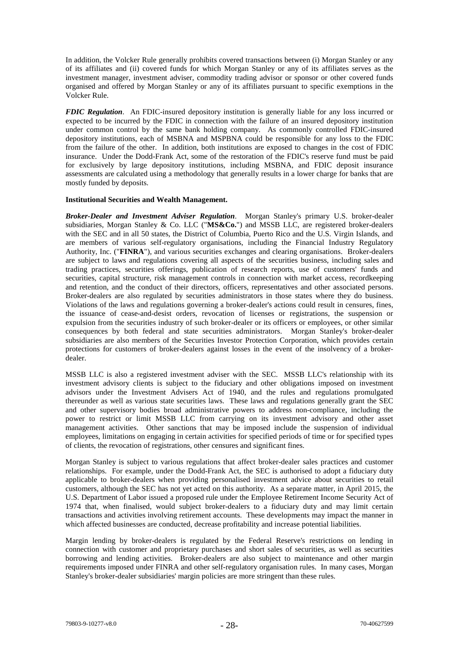In addition, the Volcker Rule generally prohibits covered transactions between (i) Morgan Stanley or any of its affiliates and (ii) covered funds for which Morgan Stanley or any of its affiliates serves as the investment manager, investment adviser, commodity trading advisor or sponsor or other covered funds organised and offered by Morgan Stanley or any of its affiliates pursuant to specific exemptions in the Volcker Rule.

*FDIC Regulation*. An FDIC-insured depository institution is generally liable for any loss incurred or expected to be incurred by the FDIC in connection with the failure of an insured depository institution under common control by the same bank holding company. As commonly controlled FDIC-insured depository institutions, each of MSBNA and MSPBNA could be responsible for any loss to the FDIC from the failure of the other. In addition, both institutions are exposed to changes in the cost of FDIC insurance. Under the Dodd-Frank Act, some of the restoration of the FDIC's reserve fund must be paid for exclusively by large depository institutions, including MSBNA, and FDIC deposit insurance assessments are calculated using a methodology that generally results in a lower charge for banks that are mostly funded by deposits.

#### **Institutional Securities and Wealth Management.**

*Broker-Dealer and Investment Adviser Regulation*. Morgan Stanley's primary U.S. broker-dealer subsidiaries, Morgan Stanley & Co. LLC ("**MS&Co.**") and MSSB LLC, are registered broker-dealers with the SEC and in all 50 states, the District of Columbia, Puerto Rico and the U.S. Virgin Islands, and are members of various self-regulatory organisations, including the Financial Industry Regulatory Authority, Inc. ("**FINRA**"), and various securities exchanges and clearing organisations. Broker-dealers are subject to laws and regulations covering all aspects of the securities business, including sales and trading practices, securities offerings, publication of research reports, use of customers' funds and securities, capital structure, risk management controls in connection with market access, recordkeeping and retention, and the conduct of their directors, officers, representatives and other associated persons. Broker-dealers are also regulated by securities administrators in those states where they do business. Violations of the laws and regulations governing a broker-dealer's actions could result in censures, fines, the issuance of cease-and-desist orders, revocation of licenses or registrations, the suspension or expulsion from the securities industry of such broker-dealer or its officers or employees, or other similar consequences by both federal and state securities administrators. Morgan Stanley's broker-dealer subsidiaries are also members of the Securities Investor Protection Corporation, which provides certain protections for customers of broker-dealers against losses in the event of the insolvency of a brokerdealer.

MSSB LLC is also a registered investment adviser with the SEC. MSSB LLC's relationship with its investment advisory clients is subject to the fiduciary and other obligations imposed on investment advisors under the Investment Advisers Act of 1940, and the rules and regulations promulgated thereunder as well as various state securities laws. These laws and regulations generally grant the SEC and other supervisory bodies broad administrative powers to address non-compliance, including the power to restrict or limit MSSB LLC from carrying on its investment advisory and other asset management activities. Other sanctions that may be imposed include the suspension of individual employees, limitations on engaging in certain activities for specified periods of time or for specified types of clients, the revocation of registrations, other censures and significant fines.

Morgan Stanley is subject to various regulations that affect broker-dealer sales practices and customer relationships. For example, under the Dodd-Frank Act, the SEC is authorised to adopt a fiduciary duty applicable to broker-dealers when providing personalised investment advice about securities to retail customers, although the SEC has not yet acted on this authority. As a separate matter, in April 2015, the U.S. Department of Labor issued a proposed rule under the Employee Retirement Income Security Act of 1974 that, when finalised, would subject broker-dealers to a fiduciary duty and may limit certain transactions and activities involving retirement accounts. These developments may impact the manner in which affected businesses are conducted, decrease profitability and increase potential liabilities.

Margin lending by broker-dealers is regulated by the Federal Reserve's restrictions on lending in connection with customer and proprietary purchases and short sales of securities, as well as securities borrowing and lending activities. Broker-dealers are also subject to maintenance and other margin requirements imposed under FINRA and other self-regulatory organisation rules. In many cases, Morgan Stanley's broker-dealer subsidiaries' margin policies are more stringent than these rules.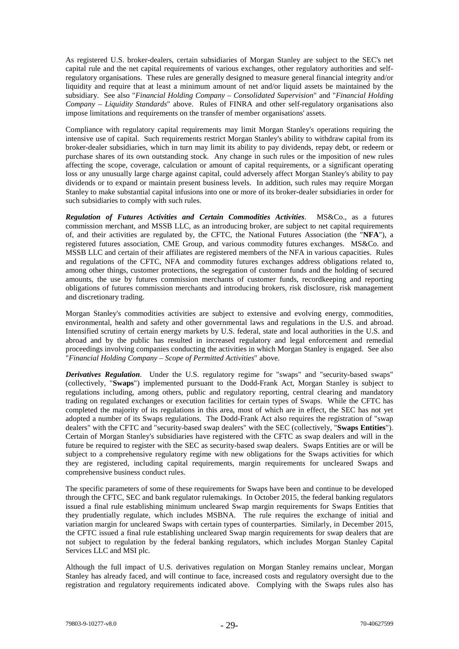As registered U.S. broker-dealers, certain subsidiaries of Morgan Stanley are subject to the SEC's net capital rule and the net capital requirements of various exchanges, other regulatory authorities and selfregulatory organisations. These rules are generally designed to measure general financial integrity and/or liquidity and require that at least a minimum amount of net and/or liquid assets be maintained by the subsidiary. See also "*Financial Holding Company – Consolidated Supervision*" and "*Financial Holding Company – Liquidity Standards*" above. Rules of FINRA and other self-regulatory organisations also impose limitations and requirements on the transfer of member organisations' assets.

Compliance with regulatory capital requirements may limit Morgan Stanley's operations requiring the intensive use of capital. Such requirements restrict Morgan Stanley's ability to withdraw capital from its broker-dealer subsidiaries, which in turn may limit its ability to pay dividends, repay debt, or redeem or purchase shares of its own outstanding stock. Any change in such rules or the imposition of new rules affecting the scope, coverage, calculation or amount of capital requirements, or a significant operating loss or any unusually large charge against capital, could adversely affect Morgan Stanley's ability to pay dividends or to expand or maintain present business levels. In addition, such rules may require Morgan Stanley to make substantial capital infusions into one or more of its broker-dealer subsidiaries in order for such subsidiaries to comply with such rules.

*Regulation of Futures Activities and Certain Commodities Activities*. MS&Co., as a futures commission merchant, and MSSB LLC, as an introducing broker, are subject to net capital requirements of, and their activities are regulated by, the CFTC, the National Futures Association (the "**NFA**"), a registered futures association, CME Group, and various commodity futures exchanges. MS&Co. and MSSB LLC and certain of their affiliates are registered members of the NFA in various capacities. Rules and regulations of the CFTC, NFA and commodity futures exchanges address obligations related to, among other things, customer protections, the segregation of customer funds and the holding of secured amounts, the use by futures commission merchants of customer funds, recordkeeping and reporting obligations of futures commission merchants and introducing brokers, risk disclosure, risk management and discretionary trading.

Morgan Stanley's commodities activities are subject to extensive and evolving energy, commodities, environmental, health and safety and other governmental laws and regulations in the U.S. and abroad. Intensified scrutiny of certain energy markets by U.S. federal, state and local authorities in the U.S. and abroad and by the public has resulted in increased regulatory and legal enforcement and remedial proceedings involving companies conducting the activities in which Morgan Stanley is engaged. See also "*Financial Holding Company – Scope of Permitted Activities*" above.

*Derivatives Regulation*. Under the U.S. regulatory regime for "swaps" and "security-based swaps" (collectively, "**Swaps**") implemented pursuant to the Dodd-Frank Act, Morgan Stanley is subject to regulations including, among others, public and regulatory reporting, central clearing and mandatory trading on regulated exchanges or execution facilities for certain types of Swaps. While the CFTC has completed the majority of its regulations in this area, most of which are in effect, the SEC has not yet adopted a number of its Swaps regulations. The Dodd-Frank Act also requires the registration of "swap dealers" with the CFTC and "security-based swap dealers" with the SEC (collectively, "**Swaps Entities**"). Certain of Morgan Stanley's subsidiaries have registered with the CFTC as swap dealers and will in the future be required to register with the SEC as security-based swap dealers. Swaps Entities are or will be subject to a comprehensive regulatory regime with new obligations for the Swaps activities for which they are registered, including capital requirements, margin requirements for uncleared Swaps and comprehensive business conduct rules.

The specific parameters of some of these requirements for Swaps have been and continue to be developed through the CFTC, SEC and bank regulator rulemakings. In October 2015, the federal banking regulators issued a final rule establishing minimum uncleared Swap margin requirements for Swaps Entities that they prudentially regulate, which includes MSBNA. The rule requires the exchange of initial and they prudentially regulate, which includes MSBNA. variation margin for uncleared Swaps with certain types of counterparties. Similarly, in December 2015, the CFTC issued a final rule establishing uncleared Swap margin requirements for swap dealers that are not subject to regulation by the federal banking regulators, which includes Morgan Stanley Capital Services LLC and MSI plc.

Although the full impact of U.S. derivatives regulation on Morgan Stanley remains unclear, Morgan Stanley has already faced, and will continue to face, increased costs and regulatory oversight due to the registration and regulatory requirements indicated above. Complying with the Swaps rules also has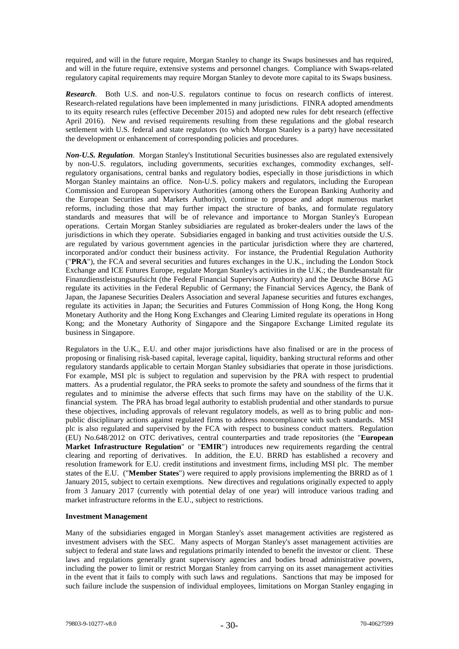required, and will in the future require, Morgan Stanley to change its Swaps businesses and has required, and will in the future require, extensive systems and personnel changes. Compliance with Swaps-related regulatory capital requirements may require Morgan Stanley to devote more capital to its Swaps business.

*Research*. Both U.S. and non-U.S. regulators continue to focus on research conflicts of interest. Research-related regulations have been implemented in many jurisdictions. FINRA adopted amendments to its equity research rules (effective December 2015) and adopted new rules for debt research (effective April 2016). New and revised requirements resulting from these regulations and the global research settlement with U.S. federal and state regulators (to which Morgan Stanley is a party) have necessitated the development or enhancement of corresponding policies and procedures.

*Non-U.S. Regulation.* Morgan Stanley's Institutional Securities businesses also are regulated extensively by non-U.S. regulators, including governments, securities exchanges, commodity exchanges, selfregulatory organisations, central banks and regulatory bodies, especially in those jurisdictions in which Morgan Stanley maintains an office. Non-U.S. policy makers and regulators, including the European Commission and European Supervisory Authorities (among others the European Banking Authority and the European Securities and Markets Authority), continue to propose and adopt numerous market reforms, including those that may further impact the structure of banks, and formulate regulatory standards and measures that will be of relevance and importance to Morgan Stanley's European operations. Certain Morgan Stanley subsidiaries are regulated as broker-dealers under the laws of the jurisdictions in which they operate. Subsidiaries engaged in banking and trust activities outside the U.S. are regulated by various government agencies in the particular jurisdiction where they are chartered, incorporated and/or conduct their business activity. For instance, the Prudential Regulation Authority ("**PRA**"), the FCA and several securities and futures exchanges in the U.K., including the London Stock Exchange and ICE Futures Europe, regulate Morgan Stanley's activities in the U.K.; the Bundesanstalt für Finanzdienstleistungsaufsicht (the Federal Financial Supervisory Authority) and the Deutsche Börse AG regulate its activities in the Federal Republic of Germany; the Financial Services Agency, the Bank of Japan, the Japanese Securities Dealers Association and several Japanese securities and futures exchanges, regulate its activities in Japan; the Securities and Futures Commission of Hong Kong, the Hong Kong Monetary Authority and the Hong Kong Exchanges and Clearing Limited regulate its operations in Hong Kong; and the Monetary Authority of Singapore and the Singapore Exchange Limited regulate its business in Singapore.

Regulators in the U.K., E.U. and other major jurisdictions have also finalised or are in the process of proposing or finalising risk-based capital, leverage capital, liquidity, banking structural reforms and other regulatory standards applicable to certain Morgan Stanley subsidiaries that operate in those jurisdictions. For example, MSI plc is subject to regulation and supervision by the PRA with respect to prudential matters. As a prudential regulator, the PRA seeks to promote the safety and soundness of the firms that it regulates and to minimise the adverse effects that such firms may have on the stability of the U.K. financial system. The PRA has broad legal authority to establish prudential and other standards to pursue these objectives, including approvals of relevant regulatory models, as well as to bring public and nonpublic disciplinary actions against regulated firms to address noncompliance with such standards. MSI plc is also regulated and supervised by the FCA with respect to business conduct matters. Regulation (EU) No.648/2012 on OTC derivatives, central counterparties and trade repositories (the "**European Market Infrastructure Regulation**" or "**EMIR**") introduces new requirements regarding the central clearing and reporting of derivatives. In addition, the E.U. BRRD has established a recovery and resolution framework for E.U. credit institutions and investment firms, including MSI plc. The member states of the E.U. ("**Member States**") were required to apply provisions implementing the BRRD as of 1 January 2015, subject to certain exemptions. New directives and regulations originally expected to apply from 3 January 2017 (currently with potential delay of one year) will introduce various trading and market infrastructure reforms in the E.U., subject to restrictions.

# **Investment Management**

Many of the subsidiaries engaged in Morgan Stanley's asset management activities are registered as investment advisers with the SEC. Many aspects of Morgan Stanley's asset management activities are subject to federal and state laws and regulations primarily intended to benefit the investor or client. These laws and regulations generally grant supervisory agencies and bodies broad administrative powers, including the power to limit or restrict Morgan Stanley from carrying on its asset management activities in the event that it fails to comply with such laws and regulations. Sanctions that may be imposed for such failure include the suspension of individual employees, limitations on Morgan Stanley engaging in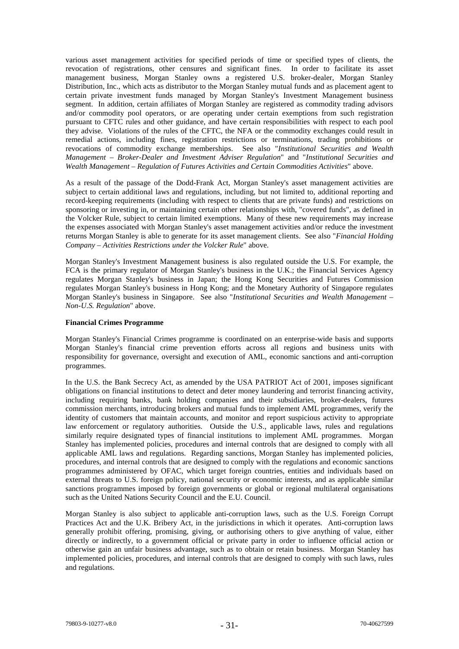various asset management activities for specified periods of time or specified types of clients, the revocation of registrations, other censures and significant fines. In order to facilitate its asset management business, Morgan Stanley owns a registered U.S. broker-dealer, Morgan Stanley Distribution, Inc., which acts as distributor to the Morgan Stanley mutual funds and as placement agent to certain private investment funds managed by Morgan Stanley's Investment Management business segment. In addition, certain affiliates of Morgan Stanley are registered as commodity trading advisors and/or commodity pool operators, or are operating under certain exemptions from such registration pursuant to CFTC rules and other guidance, and have certain responsibilities with respect to each pool they advise. Violations of the rules of the CFTC, the NFA or the commodity exchanges could result in remedial actions, including fines, registration restrictions or terminations, trading prohibitions or revocations of commodity exchange memberships. See also "*Institutional Securities and Wealth Management – Broker-Dealer and Investment Adviser Regulation*" and "*Institutional Securities and Wealth Management – Regulation of Futures Activities and Certain Commodities Activities*" above.

As a result of the passage of the Dodd-Frank Act, Morgan Stanley's asset management activities are subject to certain additional laws and regulations, including, but not limited to, additional reporting and record-keeping requirements (including with respect to clients that are private funds) and restrictions on sponsoring or investing in, or maintaining certain other relationships with, "covered funds", as defined in the Volcker Rule, subject to certain limited exemptions. Many of these new requirements may increase the expenses associated with Morgan Stanley's asset management activities and/or reduce the investment returns Morgan Stanley is able to generate for its asset management clients. See also "*Financial Holding Company – Activities Restrictions under the Volcker Rule*" above.

Morgan Stanley's Investment Management business is also regulated outside the U.S. For example, the FCA is the primary regulator of Morgan Stanley's business in the U.K.; the Financial Services Agency regulates Morgan Stanley's business in Japan; the Hong Kong Securities and Futures Commission regulates Morgan Stanley's business in Hong Kong; and the Monetary Authority of Singapore regulates Morgan Stanley's business in Singapore. See also "*Institutional Securities and Wealth Management – Non-U.S. Regulation*" above.

#### **Financial Crimes Programme**

Morgan Stanley's Financial Crimes programme is coordinated on an enterprise-wide basis and supports Morgan Stanley's financial crime prevention efforts across all regions and business units with responsibility for governance, oversight and execution of AML, economic sanctions and anti-corruption programmes.

In the U.S. the Bank Secrecy Act, as amended by the USA PATRIOT Act of 2001, imposes significant obligations on financial institutions to detect and deter money laundering and terrorist financing activity, including requiring banks, bank holding companies and their subsidiaries, broker-dealers, futures commission merchants, introducing brokers and mutual funds to implement AML programmes, verify the identity of customers that maintain accounts, and monitor and report suspicious activity to appropriate law enforcement or regulatory authorities. Outside the U.S., applicable laws, rules and regulations similarly require designated types of financial institutions to implement AML programmes. Morgan Stanley has implemented policies, procedures and internal controls that are designed to comply with all applicable AML laws and regulations. Regarding sanctions, Morgan Stanley has implemented policies, procedures, and internal controls that are designed to comply with the regulations and economic sanctions programmes administered by OFAC, which target foreign countries, entities and individuals based on external threats to U.S. foreign policy, national security or economic interests, and as applicable similar sanctions programmes imposed by foreign governments or global or regional multilateral organisations such as the United Nations Security Council and the E.U. Council.

Morgan Stanley is also subject to applicable anti-corruption laws, such as the U.S. Foreign Corrupt Practices Act and the U.K. Bribery Act, in the jurisdictions in which it operates. Anti-corruption laws generally prohibit offering, promising, giving, or authorising others to give anything of value, either directly or indirectly, to a government official or private party in order to influence official action or otherwise gain an unfair business advantage, such as to obtain or retain business. Morgan Stanley has implemented policies, procedures, and internal controls that are designed to comply with such laws, rules and regulations.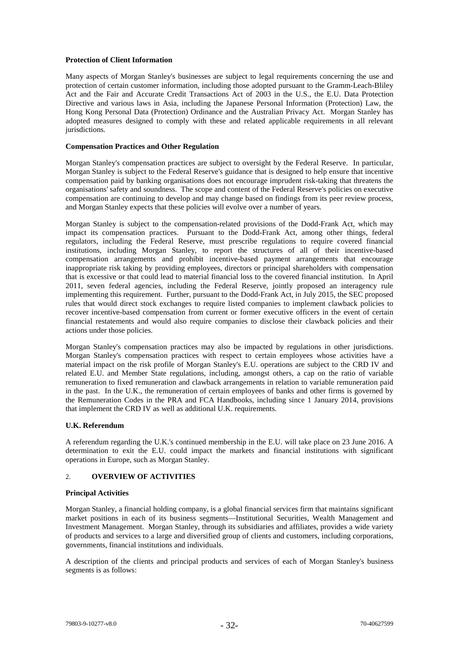# **Protection of Client Information**

Many aspects of Morgan Stanley's businesses are subject to legal requirements concerning the use and protection of certain customer information, including those adopted pursuant to the Gramm-Leach-Bliley Act and the Fair and Accurate Credit Transactions Act of 2003 in the U.S., the E.U. Data Protection Directive and various laws in Asia, including the Japanese Personal Information (Protection) Law, the Hong Kong Personal Data (Protection) Ordinance and the Australian Privacy Act. Morgan Stanley has adopted measures designed to comply with these and related applicable requirements in all relevant jurisdictions.

#### **Compensation Practices and Other Regulation**

Morgan Stanley's compensation practices are subject to oversight by the Federal Reserve. In particular, Morgan Stanley is subject to the Federal Reserve's guidance that is designed to help ensure that incentive compensation paid by banking organisations does not encourage imprudent risk-taking that threatens the organisations' safety and soundness. The scope and content of the Federal Reserve's policies on executive compensation are continuing to develop and may change based on findings from its peer review process, and Morgan Stanley expects that these policies will evolve over a number of years.

Morgan Stanley is subject to the compensation-related provisions of the Dodd-Frank Act, which may impact its compensation practices. Pursuant to the Dodd-Frank Act, among other things, federal regulators, including the Federal Reserve, must prescribe regulations to require covered financial institutions, including Morgan Stanley, to report the structures of all of their incentive-based compensation arrangements and prohibit incentive-based payment arrangements that encourage inappropriate risk taking by providing employees, directors or principal shareholders with compensation that is excessive or that could lead to material financial loss to the covered financial institution. In April 2011, seven federal agencies, including the Federal Reserve, jointly proposed an interagency rule implementing this requirement. Further, pursuant to the Dodd-Frank Act, in July 2015, the SEC proposed rules that would direct stock exchanges to require listed companies to implement clawback policies to recover incentive-based compensation from current or former executive officers in the event of certain financial restatements and would also require companies to disclose their clawback policies and their actions under those policies.

Morgan Stanley's compensation practices may also be impacted by regulations in other jurisdictions. Morgan Stanley's compensation practices with respect to certain employees whose activities have a material impact on the risk profile of Morgan Stanley's E.U. operations are subject to the CRD IV and related E.U. and Member State regulations, including, amongst others, a cap on the ratio of variable remuneration to fixed remuneration and clawback arrangements in relation to variable remuneration paid in the past. In the U.K., the remuneration of certain employees of banks and other firms is governed by the Remuneration Codes in the PRA and FCA Handbooks, including since 1 January 2014, provisions that implement the CRD IV as well as additional U.K. requirements.

# **U.K. Referendum**

A referendum regarding the U.K.'s continued membership in the E.U. will take place on 23 June 2016. A determination to exit the E.U. could impact the markets and financial institutions with significant operations in Europe, such as Morgan Stanley.

# 2. **OVERVIEW OF ACTIVITIES**

#### **Principal Activities**

Morgan Stanley, a financial holding company, is a global financial services firm that maintains significant market positions in each of its business segments—Institutional Securities, Wealth Management and Investment Management. Morgan Stanley, through its subsidiaries and affiliates, provides a wide variety of products and services to a large and diversified group of clients and customers, including corporations, governments, financial institutions and individuals.

A description of the clients and principal products and services of each of Morgan Stanley's business segments is as follows: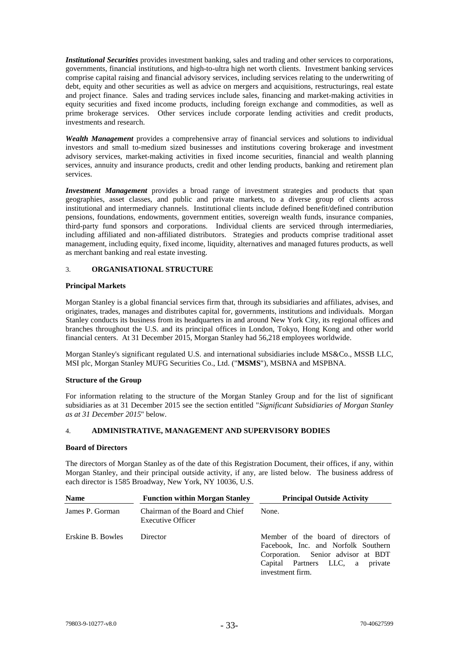*Institutional Securities* provides investment banking, sales and trading and other services to corporations, governments, financial institutions, and high-to-ultra high net worth clients. Investment banking services comprise capital raising and financial advisory services, including services relating to the underwriting of debt, equity and other securities as well as advice on mergers and acquisitions, restructurings, real estate and project finance. Sales and trading services include sales, financing and market-making activities in equity securities and fixed income products, including foreign exchange and commodities, as well as prime brokerage services. Other services include corporate lending activities and credit products, investments and research.

*Wealth Management* provides a comprehensive array of financial services and solutions to individual investors and small to-medium sized businesses and institutions covering brokerage and investment advisory services, market-making activities in fixed income securities, financial and wealth planning services, annuity and insurance products, credit and other lending products, banking and retirement plan services.

*Investment Management* provides a broad range of investment strategies and products that span geographies, asset classes, and public and private markets, to a diverse group of clients across institutional and intermediary channels. Institutional clients include defined benefit/defined contribution pensions, foundations, endowments, government entities, sovereign wealth funds, insurance companies, third-party fund sponsors and corporations. Individual clients are serviced through intermediaries, including affiliated and non-affiliated distributors. Strategies and products comprise traditional asset management, including equity, fixed income, liquidity, alternatives and managed futures products, as well as merchant banking and real estate investing.

# 3. **ORGANISATIONAL STRUCTURE**

# **Principal Markets**

Morgan Stanley is a global financial services firm that, through its subsidiaries and affiliates, advises, and originates, trades, manages and distributes capital for, governments, institutions and individuals. Morgan Stanley conducts its business from its headquarters in and around New York City, its regional offices and branches throughout the U.S. and its principal offices in London, Tokyo, Hong Kong and other world financial centers. At 31 December 2015, Morgan Stanley had 56,218 employees worldwide.

Morgan Stanley's significant regulated U.S. and international subsidiaries include MS&Co., MSSB LLC, MSI plc, Morgan Stanley MUFG Securities Co., Ltd. ("**MSMS**"), MSBNA and MSPBNA.

# **Structure of the Group**

For information relating to the structure of the Morgan Stanley Group and for the list of significant subsidiaries as at 31 December 2015 see the section entitled "*Significant Subsidiaries of Morgan Stanley as at 31 December 2015*" below.

# 4. **ADMINISTRATIVE, MANAGEMENT AND SUPERVISORY BODIES**

# **Board of Directors**

The directors of Morgan Stanley as of the date of this Registration Document, their offices, if any, within Morgan Stanley, and their principal outside activity, if any, are listed below. The business address of each director is 1585 Broadway, New York, NY 10036, U.S.

| <b>Name</b>       | <b>Function within Morgan Stanley</b>                       | <b>Principal Outside Activity</b>                                                                                                                                       |
|-------------------|-------------------------------------------------------------|-------------------------------------------------------------------------------------------------------------------------------------------------------------------------|
| James P. Gorman   | Chairman of the Board and Chief<br><b>Executive Officer</b> | None.                                                                                                                                                                   |
| Erskine B. Bowles | Director                                                    | Member of the board of directors of<br>Facebook, Inc. and Norfolk Southern<br>Corporation. Senior advisor at BDT<br>Capital Partners LLC, a private<br>investment firm. |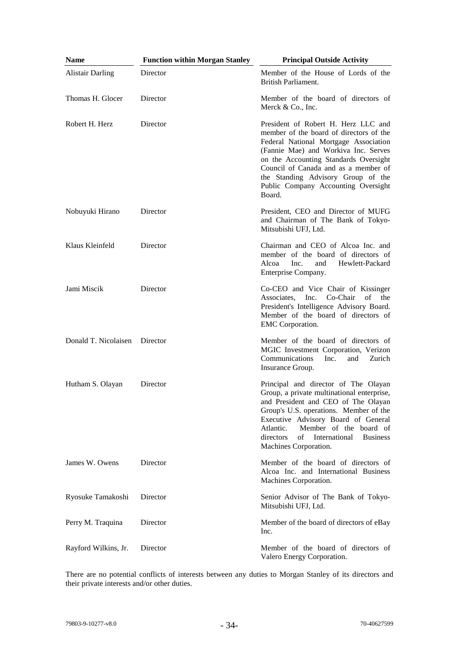| <b>Name</b>                   | <b>Function within Morgan Stanley</b> | <b>Principal Outside Activity</b>                                                                                                                                                                                                                                                                                                       |
|-------------------------------|---------------------------------------|-----------------------------------------------------------------------------------------------------------------------------------------------------------------------------------------------------------------------------------------------------------------------------------------------------------------------------------------|
| <b>Alistair Darling</b>       | Director                              | Member of the House of Lords of the<br>British Parliament.                                                                                                                                                                                                                                                                              |
| Thomas H. Glocer              | Director                              | Member of the board of directors of<br>Merck & Co., Inc.                                                                                                                                                                                                                                                                                |
| Robert H. Herz                | Director                              | President of Robert H. Herz LLC and<br>member of the board of directors of the<br>Federal National Mortgage Association<br>(Fannie Mae) and Workiva Inc. Serves<br>on the Accounting Standards Oversight<br>Council of Canada and as a member of<br>the Standing Advisory Group of the<br>Public Company Accounting Oversight<br>Board. |
| Nobuyuki Hirano               | Director                              | President, CEO and Director of MUFG<br>and Chairman of The Bank of Tokyo-<br>Mitsubishi UFJ, Ltd.                                                                                                                                                                                                                                       |
| Klaus Kleinfeld               | Director                              | Chairman and CEO of Alcoa Inc. and<br>member of the board of directors of<br>Alcoa<br>Inc.<br>and<br>Hewlett-Packard<br>Enterprise Company.                                                                                                                                                                                             |
| Jami Miscik                   | Director                              | Co-CEO and Vice Chair of Kissinger<br>Associates,<br>Inc.<br>Co-Chair<br>of<br>the<br>President's Intelligence Advisory Board.<br>Member of the board of directors of<br>EMC Corporation.                                                                                                                                               |
| Donald T. Nicolaisen Director |                                       | Member of the board of directors of<br>MGIC Investment Corporation, Verizon<br>Communications<br>Inc.<br>Zurich<br>and<br>Insurance Group.                                                                                                                                                                                              |
| Hutham S. Olayan              | Director                              | Principal and director of The Olayan<br>Group, a private multinational enterprise,<br>and President and CEO of The Olayan<br>Group's U.S. operations. Member of the<br>Executive Advisory Board of General<br>Member of the board of<br>Atlantic.<br>directors<br>of<br>International<br><b>Business</b><br>Machines Corporation.       |
| James W. Owens                | Director                              | Member of the board of directors of<br>Alcoa Inc. and International Business<br>Machines Corporation.                                                                                                                                                                                                                                   |
| Ryosuke Tamakoshi             | Director                              | Senior Advisor of The Bank of Tokyo-<br>Mitsubishi UFJ, Ltd.                                                                                                                                                                                                                                                                            |
| Perry M. Traquina             | Director                              | Member of the board of directors of eBay<br>Inc.                                                                                                                                                                                                                                                                                        |
| Rayford Wilkins, Jr.          | Director                              | Member of the board of directors of<br>Valero Energy Corporation.                                                                                                                                                                                                                                                                       |

There are no potential conflicts of interests between any duties to Morgan Stanley of its directors and their private interests and/or other duties.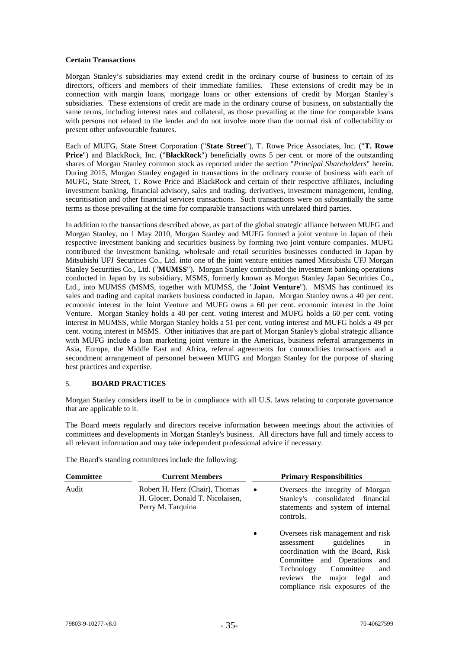# **Certain Transactions**

Morgan Stanley's subsidiaries may extend credit in the ordinary course of business to certain of its directors, officers and members of their immediate families. These extensions of credit may be in connection with margin loans, mortgage loans or other extensions of credit by Morgan Stanley's subsidiaries. These extensions of credit are made in the ordinary course of business, on substantially the same terms, including interest rates and collateral, as those prevailing at the time for comparable loans with persons not related to the lender and do not involve more than the normal risk of collectability or present other unfavourable features.

Each of MUFG, State Street Corporation ("**State Street**"), T. Rowe Price Associates, Inc. ("**T. Rowe Price**") and BlackRock, Inc. ("**BlackRock**") beneficially owns 5 per cent. or more of the outstanding shares of Morgan Stanley common stock as reported under the section "*Principal Shareholders*" herein. During 2015, Morgan Stanley engaged in transactions in the ordinary course of business with each of MUFG, State Street, T. Rowe Price and BlackRock and certain of their respective affiliates, including investment banking, financial advisory, sales and trading, derivatives, investment management, lending, securitisation and other financial services transactions. Such transactions were on substantially the same terms as those prevailing at the time for comparable transactions with unrelated third parties.

In addition to the transactions described above, as part of the global strategic alliance between MUFG and Morgan Stanley, on 1 May 2010, Morgan Stanley and MUFG formed a joint venture in Japan of their respective investment banking and securities business by forming two joint venture companies. MUFG contributed the investment banking, wholesale and retail securities businesses conducted in Japan by Mitsubishi UFJ Securities Co., Ltd. into one of the joint venture entities named Mitsubishi UFJ Morgan Stanley Securities Co., Ltd. ("**MUMSS**"). Morgan Stanley contributed the investment banking operations conducted in Japan by its subsidiary, MSMS, formerly known as Morgan Stanley Japan Securities Co., Ltd., into MUMSS (MSMS, together with MUMSS, the "**Joint Venture**"). MSMS has continued its sales and trading and capital markets business conducted in Japan. Morgan Stanley owns a 40 per cent. economic interest in the Joint Venture and MUFG owns a 60 per cent. economic interest in the Joint Venture. Morgan Stanley holds a 40 per cent. voting interest and MUFG holds a 60 per cent. voting interest in MUMSS, while Morgan Stanley holds a 51 per cent. voting interest and MUFG holds a 49 per cent. voting interest in MSMS. Other initiatives that are part of Morgan Stanley's global strategic alliance with MUFG include a loan marketing joint venture in the Americas, business referral arrangements in Asia, Europe, the Middle East and Africa, referral agreements for commodities transactions and a secondment arrangement of personnel between MUFG and Morgan Stanley for the purpose of sharing best practices and expertise.

# 5. **BOARD PRACTICES**

Morgan Stanley considers itself to be in compliance with all U.S. laws relating to corporate governance that are applicable to it.

The Board meets regularly and directors receive information between meetings about the activities of committees and developments in Morgan Stanley's business. All directors have full and timely access to all relevant information and may take independent professional advice if necessary.

The Board's standing committees include the following:

| <b>Committee</b> | <b>Current Members</b>                                                                  |           | <b>Primary Responsibilities</b>                                                                                                                                                                                                                     |
|------------------|-----------------------------------------------------------------------------------------|-----------|-----------------------------------------------------------------------------------------------------------------------------------------------------------------------------------------------------------------------------------------------------|
| Audit            | Robert H. Herz (Chair), Thomas<br>H. Glocer, Donald T. Nicolaisen,<br>Perry M. Tarquina | $\bullet$ | Oversees the integrity of Morgan<br>Stanley's consolidated financial<br>statements and system of internal<br>controls.                                                                                                                              |
|                  |                                                                                         | $\bullet$ | Oversees risk management and risk<br>guidelines<br>assessment<br>in<br>coordination with the Board, Risk<br>Committee and Operations and<br>Technology<br>Committee<br>and<br>major legal and<br>the<br>reviews<br>compliance risk exposures of the |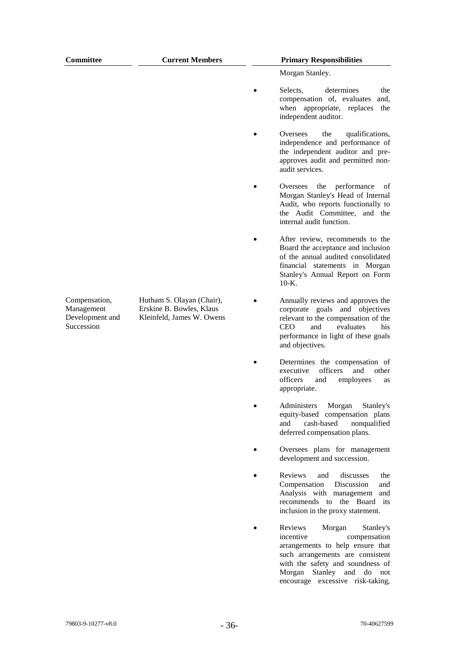| Committee                                                    | <b>Current Members</b>                                                             | <b>Primary Responsibilities</b>                                                                                                                                                                                  |
|--------------------------------------------------------------|------------------------------------------------------------------------------------|------------------------------------------------------------------------------------------------------------------------------------------------------------------------------------------------------------------|
|                                                              |                                                                                    | Morgan Stanley.                                                                                                                                                                                                  |
|                                                              |                                                                                    | determines<br>Selects.<br>the<br>compensation of, evaluates<br>and,<br>when appropriate, replaces<br>the<br>independent auditor.                                                                                 |
|                                                              |                                                                                    | Oversees<br>the<br>qualifications,<br>independence and performance of<br>the independent auditor and pre-<br>approves audit and permitted non-<br>audit services.                                                |
|                                                              |                                                                                    | the performance<br>of<br>Oversees<br>Morgan Stanley's Head of Internal<br>Audit, who reports functionally to<br>the Audit Committee, and the<br>internal audit function.                                         |
|                                                              |                                                                                    | After review, recommends to the<br>Board the acceptance and inclusion<br>of the annual audited consolidated<br>financial statements in Morgan<br>Stanley's Annual Report on Form<br>$10-K$ .                     |
| Compensation,<br>Management<br>Development and<br>Succession | Hutham S. Olayan (Chair),<br>Erskine B. Bowles, Klaus<br>Kleinfeld, James W. Owens | Annually reviews and approves the<br>corporate goals and objectives<br>relevant to the compensation of the<br>CEO<br>and<br>evaluates<br>his<br>performance in light of these goals<br>and objectives.           |
|                                                              |                                                                                    | Determines the compensation of<br>officers<br>other<br>executive<br>and<br>officers<br>and<br>employees<br>as<br>appropriate.                                                                                    |
|                                                              |                                                                                    | Morgan<br>Administers<br>Stanley's<br>equity-based compensation plans<br>cash-based<br>and<br>nonqualified<br>deferred compensation plans.                                                                       |
|                                                              |                                                                                    | Oversees plans for management<br>development and succession.                                                                                                                                                     |
|                                                              |                                                                                    | Reviews<br>discusses<br>and<br>the<br>Compensation<br>Discussion<br>and<br>Analysis with management<br>and<br>recommends to the Board<br>its<br>inclusion in the proxy statement.                                |
|                                                              |                                                                                    | Reviews<br>Morgan<br>Stanley's<br>incentive<br>compensation<br>arrangements to help ensure that<br>such arrangements are consistent<br>with the safety and soundness of<br>Morgan<br>Stanley<br>and<br>do<br>not |

encourage excessive risk-taking,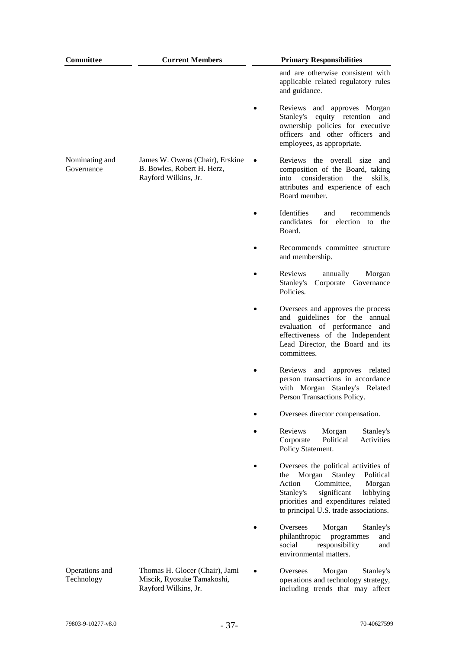| Committee                    | <b>Current Members</b>                                                                | <b>Primary Responsibilities</b>                                                                                                                                                                                                         |
|------------------------------|---------------------------------------------------------------------------------------|-----------------------------------------------------------------------------------------------------------------------------------------------------------------------------------------------------------------------------------------|
|                              |                                                                                       | and are otherwise consistent with<br>applicable related regulatory rules<br>and guidance.                                                                                                                                               |
|                              |                                                                                       | Reviews and approves Morgan<br>equity retention<br>Stanley's<br>and<br>ownership policies for executive<br>officers and other officers<br>and<br>employees, as appropriate.                                                             |
| Nominating and<br>Governance | James W. Owens (Chair), Erskine<br>B. Bowles, Robert H. Herz,<br>Rayford Wilkins, Jr. | Reviews the overall size<br>and<br>composition of the Board, taking<br>into consideration<br>the<br>skills,<br>attributes and experience of each<br>Board member.                                                                       |
|                              |                                                                                       | Identifies<br>and<br>recommends<br>candidates<br>for election to<br>the<br>Board.                                                                                                                                                       |
|                              |                                                                                       | Recommends committee structure<br>and membership.                                                                                                                                                                                       |
|                              |                                                                                       | Reviews<br>annually<br>Morgan<br>Stanley's<br>Corporate Governance<br>Policies.                                                                                                                                                         |
|                              |                                                                                       | Oversees and approves the process<br>and guidelines for the annual<br>evaluation of performance and<br>effectiveness of the Independent<br>Lead Director, the Board and its<br>committees.                                              |
|                              |                                                                                       | Reviews<br>and<br>approves related<br>person transactions in accordance<br>with Morgan Stanley's Related<br>Person Transactions Policy.                                                                                                 |
|                              |                                                                                       | Oversees director compensation.                                                                                                                                                                                                         |
|                              |                                                                                       | Reviews<br>Morgan<br>Stanley's<br>Corporate<br>Political<br>Activities<br>Policy Statement.                                                                                                                                             |
|                              |                                                                                       | Oversees the political activities of<br>Morgan<br>Stanley<br>Political<br>the<br>Action<br>Committee,<br>Morgan<br>significant<br>lobbying<br>Stanley's<br>priorities and expenditures related<br>to principal U.S. trade associations. |
|                              |                                                                                       | Oversees<br>Morgan<br>Stanley's<br>philanthropic<br>programmes<br>and<br>responsibility<br>social<br>and<br>environmental matters.                                                                                                      |
| Operations and<br>Technology | Thomas H. Glocer (Chair), Jami<br>Miscik, Ryosuke Tamakoshi,<br>Rayford Wilkins, Jr.  | Oversees<br>Morgan<br>Stanley's<br>operations and technology strategy,<br>including trends that may affect                                                                                                                              |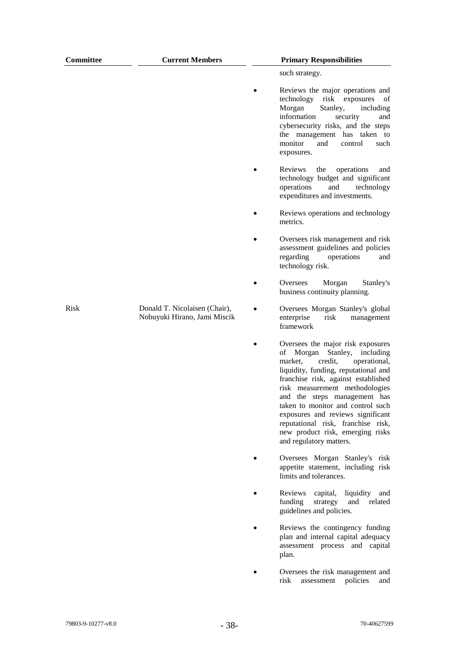| Committee   | <b>Current Members</b>                                        | <b>Primary Responsibilities</b>                                                                                                                                                                                                                                                                                                                                                                                                                  |
|-------------|---------------------------------------------------------------|--------------------------------------------------------------------------------------------------------------------------------------------------------------------------------------------------------------------------------------------------------------------------------------------------------------------------------------------------------------------------------------------------------------------------------------------------|
|             |                                                               | such strategy.                                                                                                                                                                                                                                                                                                                                                                                                                                   |
|             |                                                               | Reviews the major operations and<br>technology risk exposures<br>of<br>Stanley,<br>Morgan<br>including<br>information<br>security<br>and<br>cybersecurity risks, and the steps<br>the management has taken to<br>monitor<br>and<br>control<br>such<br>exposures.                                                                                                                                                                                 |
|             |                                                               | Reviews<br>the<br>operations<br>and<br>technology budget and significant<br>operations<br>and<br>technology<br>expenditures and investments.                                                                                                                                                                                                                                                                                                     |
|             |                                                               | Reviews operations and technology<br>metrics.                                                                                                                                                                                                                                                                                                                                                                                                    |
|             |                                                               | Oversees risk management and risk<br>assessment guidelines and policies<br>regarding<br>operations<br>and<br>technology risk.                                                                                                                                                                                                                                                                                                                    |
|             |                                                               | Oversees<br>Morgan<br>Stanley's<br>business continuity planning.                                                                                                                                                                                                                                                                                                                                                                                 |
| <b>Risk</b> | Donald T. Nicolaisen (Chair),<br>Nobuyuki Hirano, Jami Miscik | Oversees Morgan Stanley's global<br>enterprise<br>risk<br>management<br>framework                                                                                                                                                                                                                                                                                                                                                                |
|             |                                                               | Oversees the major risk exposures<br>Stanley,<br>Morgan<br>including<br>οf<br>credit,<br>market.<br>operational,<br>liquidity, funding, reputational and<br>franchise risk, against established<br>risk measurement methodologies<br>and the steps management has<br>taken to monitor and control such<br>exposures and reviews significant<br>reputational risk, franchise risk,<br>new product risk, emerging risks<br>and regulatory matters. |
|             |                                                               | Oversees Morgan Stanley's risk<br>appetite statement, including risk<br>limits and tolerances.                                                                                                                                                                                                                                                                                                                                                   |
|             |                                                               | Reviews<br>capital,<br>liquidity<br>and<br>funding<br>and<br>related<br>strategy<br>guidelines and policies.                                                                                                                                                                                                                                                                                                                                     |
|             |                                                               | Reviews the contingency funding<br>plan and internal capital adequacy<br>assessment process and capital<br>plan.                                                                                                                                                                                                                                                                                                                                 |
|             |                                                               | Oversees the risk management and<br>risk<br>assessment<br>policies<br>and                                                                                                                                                                                                                                                                                                                                                                        |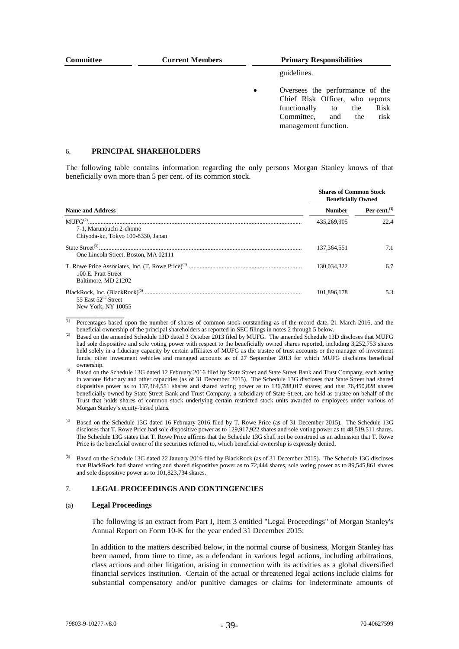| <b>Committee</b> | <b>Current Members</b> | <b>Primary Responsibilities</b>                                                                                                                                                  |             |  |  |  |  |
|------------------|------------------------|----------------------------------------------------------------------------------------------------------------------------------------------------------------------------------|-------------|--|--|--|--|
|                  |                        |                                                                                                                                                                                  | guidelines. |  |  |  |  |
|                  |                        | Oversees the performance of the<br>$\bullet$<br>Chief Risk Officer, who reports<br>Risk<br>functionally<br>the<br>to<br>risk<br>Committee,<br>the<br>and<br>management function. |             |  |  |  |  |

#### 6. **PRINCIPAL SHAREHOLDERS**

The following table contains information regarding the only persons Morgan Stanley knows of that beneficially own more than 5 per cent. of its common stock.

|                                                                                     | <b>Shares of Common Stock</b><br><b>Beneficially Owned</b> |                    |  |  |
|-------------------------------------------------------------------------------------|------------------------------------------------------------|--------------------|--|--|
| <b>Name and Address</b>                                                             | <b>Number</b>                                              | Per cent. $^{(1)}$ |  |  |
| MIFG <sup>(2)</sup><br>7-1. Marunouchi 2-chome<br>Chiyoda-ku, Tokyo 100-8330, Japan | 435,269,905                                                | 22.4               |  |  |
| One Lincoln Street, Boston, MA 02111                                                | 137.364.551                                                | 7.1                |  |  |
| 100 E. Pratt Street<br>Baltimore, MD 21202                                          | 130.034.322                                                | 6.7                |  |  |
| 55 East 52 <sup>nd</sup> Street<br>New York, NY 10055                               | 101.896.178                                                | 5.3                |  |  |

 $\overline{p}$  Percentages based upon the number of shares of common stock outstanding as of the record date, 21 March 2016, and the beneficial ownership of the principal shareholders as reported in SEC filings in notes 2 through 5 below.

#### 7. **LEGAL PROCEEDINGS AND CONTINGENCIES**

#### (a) **Legal Proceedings**

\_\_\_\_\_\_\_\_\_\_\_\_\_\_\_

The following is an extract from Part I, Item 3 entitled "Legal Proceedings" of Morgan Stanley's Annual Report on Form 10-K for the year ended 31 December 2015:

In addition to the matters described below, in the normal course of business, Morgan Stanley has been named, from time to time, as a defendant in various legal actions, including arbitrations, class actions and other litigation, arising in connection with its activities as a global diversified financial services institution. Certain of the actual or threatened legal actions include claims for substantial compensatory and/or punitive damages or claims for indeterminate amounts of

Based on the amended Schedule 13D dated 3 October 2013 filed by MUFG. The amended Schedule 13D discloses that MUFG had sole dispositive and sole voting power with respect to the beneficially owned shares reported, including 3,252,753 shares held solely in a fiduciary capacity by certain affiliates of MUFG as the trustee of trust accounts or the manager of investment funds, other investment vehicles and managed accounts as of 27 September 2013 for which MUFG disclaims beneficial ownership.

<sup>&</sup>lt;sup>(3)</sup> Based on the Schedule 13G dated 12 February 2016 filed by State Street and State Street Bank and Trust Company, each acting in various fiduciary and other capacities (as of 31 December 2015). The Schedule 13G discloses that State Street had shared dispositive power as to 137,364,551 shares and shared voting power as to 136,788,017 shares; and that 76,450,828 shares beneficially owned by State Street Bank and Trust Company, a subsidiary of State Street, are held as trustee on behalf of the Trust that holds shares of common stock underlying certain restricted stock units awarded to employees under various of Morgan Stanley's equity-based plans.

<sup>(4)</sup> Based on the Schedule 13G dated 16 February 2016 filed by T. Rowe Price (as of 31 December 2015). The Schedule 13G discloses that T. Rowe Price had sole dispositive power as to 129,917,922 shares and sole voting power as to 48,519,511 shares. The Schedule 13G states that T. Rowe Price affirms that the Schedule 13G shall not be construed as an admission that T. Rowe Price is the beneficial owner of the securities referred to, which beneficial ownership is expressly denied.

<sup>(5)</sup> Based on the Schedule 13G dated 22 January 2016 filed by BlackRock (as of 31 December 2015). The Schedule 13G discloses that BlackRock had shared voting and shared dispositive power as to 72,444 shares, sole voting power as to 89,545,861 shares and sole dispositive power as to 101,823,734 shares.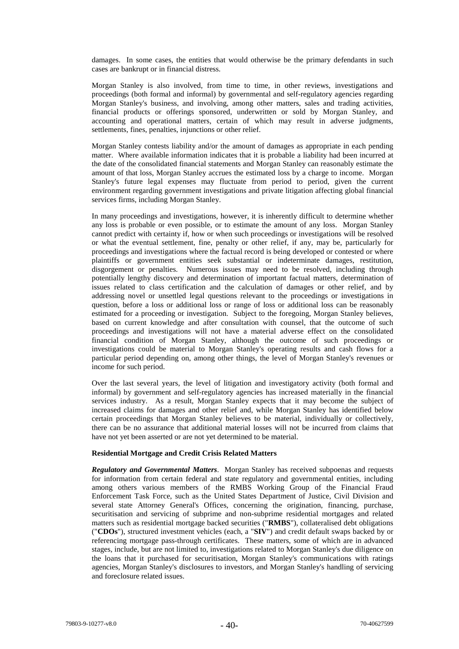damages. In some cases, the entities that would otherwise be the primary defendants in such cases are bankrupt or in financial distress.

Morgan Stanley is also involved, from time to time, in other reviews, investigations and proceedings (both formal and informal) by governmental and self-regulatory agencies regarding Morgan Stanley's business, and involving, among other matters, sales and trading activities, financial products or offerings sponsored, underwritten or sold by Morgan Stanley, and accounting and operational matters, certain of which may result in adverse judgments, settlements, fines, penalties, injunctions or other relief.

Morgan Stanley contests liability and/or the amount of damages as appropriate in each pending matter. Where available information indicates that it is probable a liability had been incurred at the date of the consolidated financial statements and Morgan Stanley can reasonably estimate the amount of that loss, Morgan Stanley accrues the estimated loss by a charge to income. Morgan Stanley's future legal expenses may fluctuate from period to period, given the current environment regarding government investigations and private litigation affecting global financial services firms, including Morgan Stanley.

In many proceedings and investigations, however, it is inherently difficult to determine whether any loss is probable or even possible, or to estimate the amount of any loss. Morgan Stanley cannot predict with certainty if, how or when such proceedings or investigations will be resolved or what the eventual settlement, fine, penalty or other relief, if any, may be, particularly for proceedings and investigations where the factual record is being developed or contested or where plaintiffs or government entities seek substantial or indeterminate damages, restitution, disgorgement or penalties. Numerous issues may need to be resolved, including through potentially lengthy discovery and determination of important factual matters, determination of issues related to class certification and the calculation of damages or other relief, and by addressing novel or unsettled legal questions relevant to the proceedings or investigations in question, before a loss or additional loss or range of loss or additional loss can be reasonably estimated for a proceeding or investigation. Subject to the foregoing, Morgan Stanley believes, based on current knowledge and after consultation with counsel, that the outcome of such proceedings and investigations will not have a material adverse effect on the consolidated financial condition of Morgan Stanley, although the outcome of such proceedings or investigations could be material to Morgan Stanley's operating results and cash flows for a particular period depending on, among other things, the level of Morgan Stanley's revenues or income for such period.

Over the last several years, the level of litigation and investigatory activity (both formal and informal) by government and self-regulatory agencies has increased materially in the financial services industry. As a result, Morgan Stanley expects that it may become the subject of increased claims for damages and other relief and, while Morgan Stanley has identified below certain proceedings that Morgan Stanley believes to be material, individually or collectively, there can be no assurance that additional material losses will not be incurred from claims that have not yet been asserted or are not yet determined to be material.

#### **Residential Mortgage and Credit Crisis Related Matters**

*Regulatory and Governmental Matters*. Morgan Stanley has received subpoenas and requests for information from certain federal and state regulatory and governmental entities, including among others various members of the RMBS Working Group of the Financial Fraud Enforcement Task Force, such as the United States Department of Justice, Civil Division and several state Attorney General's Offices, concerning the origination, financing, purchase, securitisation and servicing of subprime and non-subprime residential mortgages and related matters such as residential mortgage backed securities ("**RMBS**"), collateralised debt obligations ("**CDOs**"), structured investment vehicles (each, a "**SIV**") and credit default swaps backed by or referencing mortgage pass-through certificates. These matters, some of which are in advanced stages, include, but are not limited to, investigations related to Morgan Stanley's due diligence on the loans that it purchased for securitisation, Morgan Stanley's communications with ratings agencies, Morgan Stanley's disclosures to investors, and Morgan Stanley's handling of servicing and foreclosure related issues.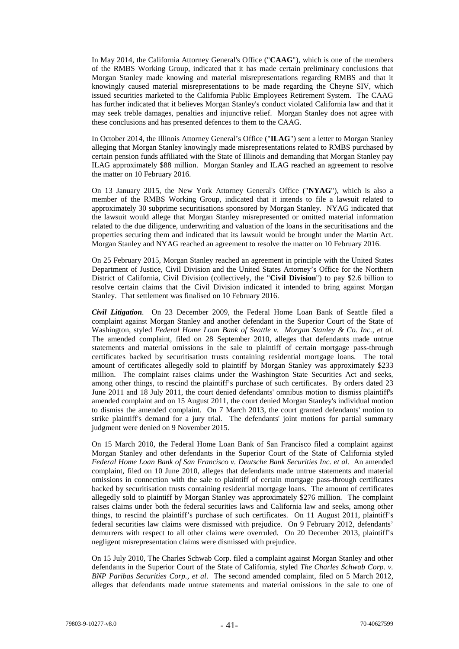In May 2014, the California Attorney General's Office ("**CAAG**"), which is one of the members of the RMBS Working Group, indicated that it has made certain preliminary conclusions that Morgan Stanley made knowing and material misrepresentations regarding RMBS and that it knowingly caused material misrepresentations to be made regarding the Cheyne SIV, which issued securities marketed to the California Public Employees Retirement System. The CAAG has further indicated that it believes Morgan Stanley's conduct violated California law and that it may seek treble damages, penalties and injunctive relief. Morgan Stanley does not agree with these conclusions and has presented defences to them to the CAAG.

In October 2014, the Illinois Attorney General's Office ("**ILAG**") sent a letter to Morgan Stanley alleging that Morgan Stanley knowingly made misrepresentations related to RMBS purchased by certain pension funds affiliated with the State of Illinois and demanding that Morgan Stanley pay ILAG approximately \$88 million. Morgan Stanley and ILAG reached an agreement to resolve the matter on 10 February 2016.

On 13 January 2015, the New York Attorney General's Office ("**NYAG**"), which is also a member of the RMBS Working Group, indicated that it intends to file a lawsuit related to approximately 30 subprime securitisations sponsored by Morgan Stanley. NYAG indicated that the lawsuit would allege that Morgan Stanley misrepresented or omitted material information related to the due diligence, underwriting and valuation of the loans in the securitisations and the properties securing them and indicated that its lawsuit would be brought under the Martin Act. Morgan Stanley and NYAG reached an agreement to resolve the matter on 10 February 2016.

On 25 February 2015, Morgan Stanley reached an agreement in principle with the United States Department of Justice, Civil Division and the United States Attorney's Office for the Northern District of California, Civil Division (collectively, the "**Civil Division**") to pay \$2.6 billion to resolve certain claims that the Civil Division indicated it intended to bring against Morgan Stanley. That settlement was finalised on 10 February 2016.

*Civil Litigation*. On 23 December 2009, the Federal Home Loan Bank of Seattle filed a complaint against Morgan Stanley and another defendant in the Superior Court of the State of Washington, styled *Federal Home Loan Bank of Seattle v. Morgan Stanley & Co. Inc., et al.*  The amended complaint, filed on 28 September 2010, alleges that defendants made untrue statements and material omissions in the sale to plaintiff of certain mortgage pass-through certificates backed by securitisation trusts containing residential mortgage loans. The total amount of certificates allegedly sold to plaintiff by Morgan Stanley was approximately \$233 million. The complaint raises claims under the Washington State Securities Act and seeks, among other things, to rescind the plaintiff's purchase of such certificates. By orders dated 23 June 2011 and 18 July 2011, the court denied defendants' omnibus motion to dismiss plaintiff's amended complaint and on 15 August 2011, the court denied Morgan Stanley's individual motion to dismiss the amended complaint. On 7 March 2013, the court granted defendants' motion to strike plaintiff's demand for a jury trial. The defendants' joint motions for partial summary judgment were denied on 9 November 2015.

On 15 March 2010, the Federal Home Loan Bank of San Francisco filed a complaint against Morgan Stanley and other defendants in the Superior Court of the State of California styled *Federal Home Loan Bank of San Francisco v. Deutsche Bank Securities Inc. et al.* An amended complaint, filed on 10 June 2010, alleges that defendants made untrue statements and material omissions in connection with the sale to plaintiff of certain mortgage pass-through certificates backed by securitisation trusts containing residential mortgage loans. The amount of certificates allegedly sold to plaintiff by Morgan Stanley was approximately \$276 million. The complaint raises claims under both the federal securities laws and California law and seeks, among other things, to rescind the plaintiff's purchase of such certificates. On 11 August 2011, plaintiff's federal securities law claims were dismissed with prejudice. On 9 February 2012, defendants' demurrers with respect to all other claims were overruled. On 20 December 2013, plaintiff's negligent misrepresentation claims were dismissed with prejudice.

On 15 July 2010, The Charles Schwab Corp. filed a complaint against Morgan Stanley and other defendants in the Superior Court of the State of California, styled *The Charles Schwab Corp. v. BNP Paribas Securities Corp., et al*. The second amended complaint, filed on 5 March 2012, alleges that defendants made untrue statements and material omissions in the sale to one of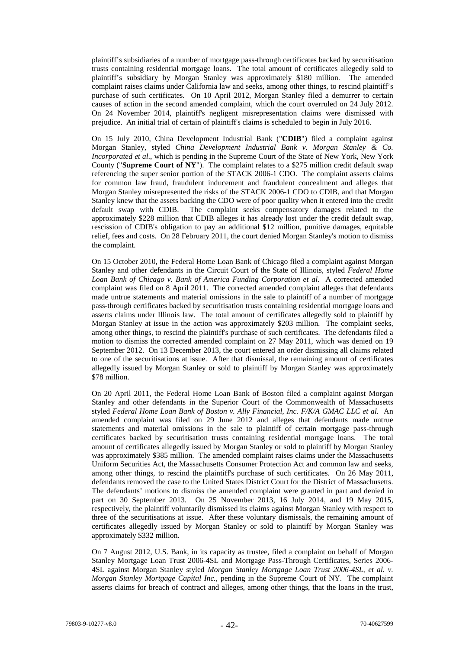plaintiff's subsidiaries of a number of mortgage pass-through certificates backed by securitisation trusts containing residential mortgage loans. The total amount of certificates allegedly sold to plaintiff's subsidiary by Morgan Stanley was approximately \$180 million. The amended complaint raises claims under California law and seeks, among other things, to rescind plaintiff's purchase of such certificates. On 10 April 2012, Morgan Stanley filed a demurrer to certain causes of action in the second amended complaint, which the court overruled on 24 July 2012. On 24 November 2014, plaintiff's negligent misrepresentation claims were dismissed with prejudice. An initial trial of certain of plaintiff's claims is scheduled to begin in July 2016.

On 15 July 2010, China Development Industrial Bank ("**CDIB**") filed a complaint against Morgan Stanley, styled *China Development Industrial Bank v. Morgan Stanley & Co. Incorporated et al*., which is pending in the Supreme Court of the State of New York, New York County ("**Supreme Court of NY**"). The complaint relates to a \$275 million credit default swap referencing the super senior portion of the STACK 2006-1 CDO. The complaint asserts claims for common law fraud, fraudulent inducement and fraudulent concealment and alleges that Morgan Stanley misrepresented the risks of the STACK 2006-1 CDO to CDIB, and that Morgan Stanley knew that the assets backing the CDO were of poor quality when it entered into the credit default swap with CDIB. The complaint seeks compensatory damages related to the approximately \$228 million that CDIB alleges it has already lost under the credit default swap, rescission of CDIB's obligation to pay an additional \$12 million, punitive damages, equitable relief, fees and costs. On 28 February 2011, the court denied Morgan Stanley's motion to dismiss the complaint.

On 15 October 2010, the Federal Home Loan Bank of Chicago filed a complaint against Morgan Stanley and other defendants in the Circuit Court of the State of Illinois, styled *Federal Home Loan Bank of Chicago v. Bank of America Funding Corporation et al*. A corrected amended complaint was filed on 8 April 2011. The corrected amended complaint alleges that defendants made untrue statements and material omissions in the sale to plaintiff of a number of mortgage pass-through certificates backed by securitisation trusts containing residential mortgage loans and asserts claims under Illinois law. The total amount of certificates allegedly sold to plaintiff by Morgan Stanley at issue in the action was approximately \$203 million. The complaint seeks, among other things, to rescind the plaintiff's purchase of such certificates. The defendants filed a motion to dismiss the corrected amended complaint on 27 May 2011, which was denied on 19 September 2012. On 13 December 2013, the court entered an order dismissing all claims related to one of the securitisations at issue. After that dismissal, the remaining amount of certificates allegedly issued by Morgan Stanley or sold to plaintiff by Morgan Stanley was approximately \$78 million.

On 20 April 2011, the Federal Home Loan Bank of Boston filed a complaint against Morgan Stanley and other defendants in the Superior Court of the Commonwealth of Massachusetts styled *Federal Home Loan Bank of Boston v. Ally Financial, Inc. F/K/A GMAC LLC et al.* An amended complaint was filed on 29 June 2012 and alleges that defendants made untrue statements and material omissions in the sale to plaintiff of certain mortgage pass-through certificates backed by securitisation trusts containing residential mortgage loans. The total amount of certificates allegedly issued by Morgan Stanley or sold to plaintiff by Morgan Stanley was approximately \$385 million. The amended complaint raises claims under the Massachusetts Uniform Securities Act, the Massachusetts Consumer Protection Act and common law and seeks, among other things, to rescind the plaintiff's purchase of such certificates. On 26 May 2011, defendants removed the case to the United States District Court for the District of Massachusetts. The defendants' motions to dismiss the amended complaint were granted in part and denied in part on 30 September 2013. On 25 November 2013, 16 July 2014, and 19 May 2015, respectively, the plaintiff voluntarily dismissed its claims against Morgan Stanley with respect to three of the securitisations at issue. After these voluntary dismissals, the remaining amount of certificates allegedly issued by Morgan Stanley or sold to plaintiff by Morgan Stanley was approximately \$332 million.

On 7 August 2012, U.S. Bank, in its capacity as trustee, filed a complaint on behalf of Morgan Stanley Mortgage Loan Trust 2006-4SL and Mortgage Pass-Through Certificates, Series 2006- 4SL against Morgan Stanley styled *Morgan Stanley Mortgage Loan Trust 2006-4SL, et al. v. Morgan Stanley Mortgage Capital Inc.*, pending in the Supreme Court of NY. The complaint asserts claims for breach of contract and alleges, among other things, that the loans in the trust,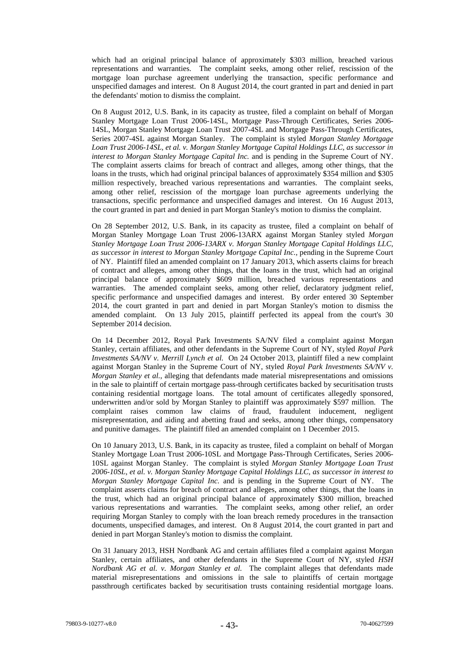which had an original principal balance of approximately \$303 million, breached various representations and warranties. The complaint seeks, among other relief, rescission of the mortgage loan purchase agreement underlying the transaction, specific performance and unspecified damages and interest. On 8 August 2014, the court granted in part and denied in part the defendants' motion to dismiss the complaint.

On 8 August 2012, U.S. Bank, in its capacity as trustee, filed a complaint on behalf of Morgan Stanley Mortgage Loan Trust 2006-14SL, Mortgage Pass-Through Certificates, Series 2006- 14SL, Morgan Stanley Mortgage Loan Trust 2007-4SL and Mortgage Pass-Through Certificates, Series 2007-4SL against Morgan Stanley. The complaint is styled *Morgan Stanley Mortgage Loan Trust 2006-14SL, et al. v. Morgan Stanley Mortgage Capital Holdings LLC, as successor in interest to Morgan Stanley Mortgage Capital Inc.* and is pending in the Supreme Court of NY. The complaint asserts claims for breach of contract and alleges, among other things, that the loans in the trusts, which had original principal balances of approximately \$354 million and \$305 million respectively, breached various representations and warranties. The complaint seeks, among other relief, rescission of the mortgage loan purchase agreements underlying the transactions, specific performance and unspecified damages and interest. On 16 August 2013, the court granted in part and denied in part Morgan Stanley's motion to dismiss the complaint.

On 28 September 2012, U.S. Bank, in its capacity as trustee, filed a complaint on behalf of Morgan Stanley Mortgage Loan Trust 2006-13ARX against Morgan Stanley styled *Morgan Stanley Mortgage Loan Trust 2006-13ARX v. Morgan Stanley Mortgage Capital Holdings LLC, as successor in interest to Morgan Stanley Mortgage Capital Inc.*, pending in the Supreme Court of NY. Plaintiff filed an amended complaint on 17 January 2013, which asserts claims for breach of contract and alleges, among other things, that the loans in the trust, which had an original principal balance of approximately \$609 million, breached various representations and warranties. The amended complaint seeks, among other relief, declaratory judgment relief, specific performance and unspecified damages and interest. By order entered 30 September 2014, the court granted in part and denied in part Morgan Stanley's motion to dismiss the amended complaint. On 13 July 2015, plaintiff perfected its appeal from the court's 30 September 2014 decision.

On 14 December 2012, Royal Park Investments SA/NV filed a complaint against Morgan Stanley, certain affiliates, and other defendants in the Supreme Court of NY, styled *Royal Park Investments SA/NV v. Merrill Lynch et al.* On 24 October 2013, plaintiff filed a new complaint against Morgan Stanley in the Supreme Court of NY, styled *Royal Park Investments SA/NV v. Morgan Stanley et al.*, alleging that defendants made material misrepresentations and omissions in the sale to plaintiff of certain mortgage pass-through certificates backed by securitisation trusts containing residential mortgage loans. The total amount of certificates allegedly sponsored, underwritten and/or sold by Morgan Stanley to plaintiff was approximately \$597 million. The complaint raises common law claims of fraud, fraudulent inducement, negligent misrepresentation, and aiding and abetting fraud and seeks, among other things, compensatory and punitive damages. The plaintiff filed an amended complaint on 1 December 2015.

On 10 January 2013, U.S. Bank, in its capacity as trustee, filed a complaint on behalf of Morgan Stanley Mortgage Loan Trust 2006-10SL and Mortgage Pass-Through Certificates, Series 2006- 10SL against Morgan Stanley. The complaint is styled *Morgan Stanley Mortgage Loan Trust 2006-10SL, et al. v. Morgan Stanley Mortgage Capital Holdings LLC, as successor in interest to Morgan Stanley Mortgage Capital Inc.* and is pending in the Supreme Court of NY. The complaint asserts claims for breach of contract and alleges, among other things, that the loans in the trust, which had an original principal balance of approximately \$300 million, breached various representations and warranties. The complaint seeks, among other relief, an order requiring Morgan Stanley to comply with the loan breach remedy procedures in the transaction documents, unspecified damages, and interest. On 8 August 2014, the court granted in part and denied in part Morgan Stanley's motion to dismiss the complaint.

On 31 January 2013, HSH Nordbank AG and certain affiliates filed a complaint against Morgan Stanley, certain affiliates, and other defendants in the Supreme Court of NY, styled *HSH Nordbank AG et al. v. Morgan Stanley et al.* The complaint alleges that defendants made material misrepresentations and omissions in the sale to plaintiffs of certain mortgage passthrough certificates backed by securitisation trusts containing residential mortgage loans.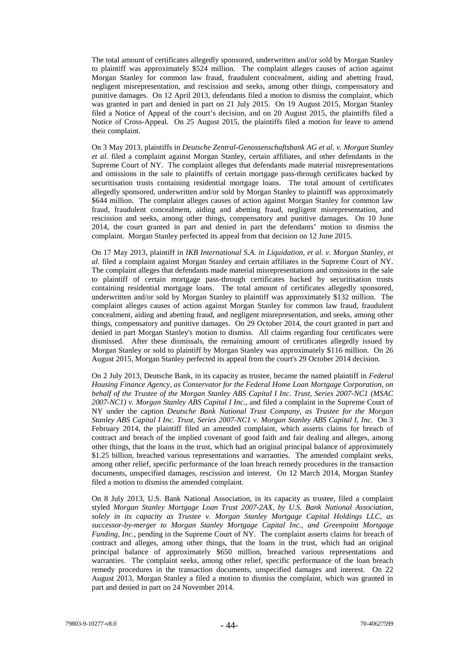The total amount of certificates allegedly sponsored, underwritten and/or sold by Morgan Stanley to plaintiff was approximately \$524 million. The complaint alleges causes of action against Morgan Stanley for common law fraud, fraudulent concealment, aiding and abetting fraud, negligent misrepresentation, and rescission and seeks, among other things, compensatory and punitive damages. On 12 April 2013, defendants filed a motion to dismiss the complaint, which was granted in part and denied in part on 21 July 2015. On 19 August 2015, Morgan Stanley filed a Notice of Appeal of the court's decision, and on 20 August 2015, the plaintiffs filed a Notice of Cross-Appeal. On 25 August 2015, the plaintiffs filed a motion for leave to amend their complaint.

On 3 May 2013, plaintiffs in *Deutsche Zentral-Genossenschaftsbank AG et al. v. Morgan Stanley et al.* filed a complaint against Morgan Stanley, certain affiliates, and other defendants in the Supreme Court of NY. The complaint alleges that defendants made material misrepresentations and omissions in the sale to plaintiffs of certain mortgage pass-through certificates backed by securitisation trusts containing residential mortgage loans. The total amount of certificates allegedly sponsored, underwritten and/or sold by Morgan Stanley to plaintiff was approximately \$644 million. The complaint alleges causes of action against Morgan Stanley for common law fraud, fraudulent concealment, aiding and abetting fraud, negligent misrepresentation, and rescission and seeks, among other things, compensatory and punitive damages. On 10 June 2014, the court granted in part and denied in part the defendants' motion to dismiss the complaint. Morgan Stanley perfected its appeal from that decision on 12 June 2015.

On 17 May 2013, plaintiff in *IKB International S.A. in Liquidation, et al. v. Morgan Stanley, et al.* filed a complaint against Morgan Stanley and certain affiliates in the Supreme Court of NY. The complaint alleges that defendants made material misrepresentations and omissions in the sale to plaintiff of certain mortgage pass-through certificates backed by securitisation trusts containing residential mortgage loans. The total amount of certificates allegedly sponsored, underwritten and/or sold by Morgan Stanley to plaintiff was approximately \$132 million. The complaint alleges causes of action against Morgan Stanley for common law fraud, fraudulent concealment, aiding and abetting fraud, and negligent misrepresentation, and seeks, among other things, compensatory and punitive damages. On 29 October 2014, the court granted in part and denied in part Morgan Stanley's motion to dismiss. All claims regarding four certificates were dismissed. After these dismissals, the remaining amount of certificates allegedly issued by Morgan Stanley or sold to plaintiff by Morgan Stanley was approximately \$116 million. On 26 August 2015, Morgan Stanley perfected its appeal from the court's 29 October 2014 decision.

On 2 July 2013, Deutsche Bank, in its capacity as trustee, became the named plaintiff in *Federal Housing Finance Agency, as Conservator for the Federal Home Loan Mortgage Corporation, on behalf of the Trustee of the Morgan Stanley ABS Capital I Inc. Trust, Series 2007-NC1 (MSAC 2007-NC1) v. Morgan Stanley ABS Capital I Inc.*, and filed a complaint in the Supreme Court of NY under the caption *Deutsche Bank National Trust Company, as Trustee for the Morgan Stanley ABS Capital I Inc. Trust, Series 2007-NC1 v. Morgan Stanley ABS Capital I, Inc.* On 3 February 2014, the plaintiff filed an amended complaint, which asserts claims for breach of contract and breach of the implied covenant of good faith and fair dealing and alleges, among other things, that the loans in the trust, which had an original principal balance of approximately \$1.25 billion, breached various representations and warranties. The amended complaint seeks, among other relief, specific performance of the loan breach remedy procedures in the transaction documents, unspecified damages, rescission and interest. On 12 March 2014, Morgan Stanley filed a motion to dismiss the amended complaint.

On 8 July 2013, U.S. Bank National Association, in its capacity as trustee, filed a complaint styled *Morgan Stanley Mortgage Loan Trust 2007-2AX, by U.S. Bank National Association, solely in its capacity as Trustee v. Morgan Stanley Mortgage Capital Holdings LLC, as successor-by-merger to Morgan Stanley Mortgage Capital Inc., and Greenpoint Mortgage Funding, Inc., pending in the Supreme Court of NY. The complaint asserts claims for breach of* contract and alleges, among other things, that the loans in the trust, which had an original principal balance of approximately \$650 million, breached various representations and warranties. The complaint seeks, among other relief, specific performance of the loan breach remedy procedures in the transaction documents, unspecified damages and interest. On 22 August 2013, Morgan Stanley a filed a motion to dismiss the complaint, which was granted in part and denied in part on 24 November 2014.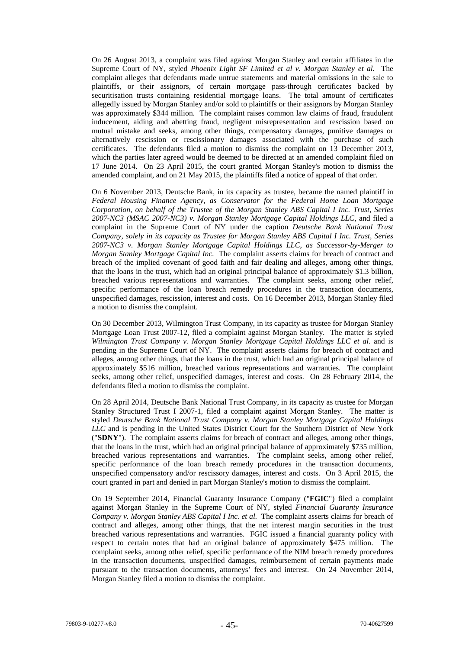On 26 August 2013, a complaint was filed against Morgan Stanley and certain affiliates in the Supreme Court of NY, styled *Phoenix Light SF Limited et al v. Morgan Stanley et al.* The complaint alleges that defendants made untrue statements and material omissions in the sale to plaintiffs, or their assignors, of certain mortgage pass-through certificates backed by securitisation trusts containing residential mortgage loans. The total amount of certificates allegedly issued by Morgan Stanley and/or sold to plaintiffs or their assignors by Morgan Stanley was approximately \$344 million. The complaint raises common law claims of fraud, fraudulent inducement, aiding and abetting fraud, negligent misrepresentation and rescission based on mutual mistake and seeks, among other things, compensatory damages, punitive damages or alternatively rescission or rescissionary damages associated with the purchase of such certificates. The defendants filed a motion to dismiss the complaint on 13 December 2013, which the parties later agreed would be deemed to be directed at an amended complaint filed on 17 June 2014. On 23 April 2015, the court granted Morgan Stanley's motion to dismiss the amended complaint, and on 21 May 2015, the plaintiffs filed a notice of appeal of that order.

On 6 November 2013, Deutsche Bank, in its capacity as trustee, became the named plaintiff in *Federal Housing Finance Agency, as Conservator for the Federal Home Loan Mortgage Corporation, on behalf of the Trustee of the Morgan Stanley ABS Capital I Inc. Trust, Series 2007-NC3 (MSAC 2007-NC3) v. Morgan Stanley Mortgage Capital Holdings LLC*, and filed a complaint in the Supreme Court of NY under the caption *Deutsche Bank National Trust Company, solely in its capacity as Trustee for Morgan Stanley ABS Capital I Inc. Trust, Series 2007-NC3 v. Morgan Stanley Mortgage Capital Holdings LLC, as Successor-by-Merger to Morgan Stanley Mortgage Capital Inc.* The complaint asserts claims for breach of contract and breach of the implied covenant of good faith and fair dealing and alleges, among other things, that the loans in the trust, which had an original principal balance of approximately \$1.3 billion, breached various representations and warranties. The complaint seeks, among other relief, specific performance of the loan breach remedy procedures in the transaction documents, unspecified damages, rescission, interest and costs. On 16 December 2013, Morgan Stanley filed a motion to dismiss the complaint.

On 30 December 2013, Wilmington Trust Company, in its capacity as trustee for Morgan Stanley Mortgage Loan Trust 2007-12, filed a complaint against Morgan Stanley. The matter is styled *Wilmington Trust Company v. Morgan Stanley Mortgage Capital Holdings LLC et al.* and is pending in the Supreme Court of NY. The complaint asserts claims for breach of contract and alleges, among other things, that the loans in the trust, which had an original principal balance of approximately \$516 million, breached various representations and warranties. The complaint seeks, among other relief, unspecified damages, interest and costs. On 28 February 2014, the defendants filed a motion to dismiss the complaint.

On 28 April 2014, Deutsche Bank National Trust Company, in its capacity as trustee for Morgan Stanley Structured Trust I 2007-1, filed a complaint against Morgan Stanley. The matter is styled *Deutsche Bank National Trust Company v. Morgan Stanley Mortgage Capital Holdings LLC* and is pending in the United States District Court for the Southern District of New York ("**SDNY**"). The complaint asserts claims for breach of contract and alleges, among other things, that the loans in the trust, which had an original principal balance of approximately \$735 million, breached various representations and warranties. The complaint seeks, among other relief, specific performance of the loan breach remedy procedures in the transaction documents, unspecified compensatory and/or rescissory damages, interest and costs. On 3 April 2015, the court granted in part and denied in part Morgan Stanley's motion to dismiss the complaint.

On 19 September 2014, Financial Guaranty Insurance Company ("**FGIC**") filed a complaint against Morgan Stanley in the Supreme Court of NY, styled *Financial Guaranty Insurance Company v. Morgan Stanley ABS Capital I Inc. et al.* The complaint asserts claims for breach of contract and alleges, among other things, that the net interest margin securities in the trust breached various representations and warranties. FGIC issued a financial guaranty policy with respect to certain notes that had an original balance of approximately \$475 million. The complaint seeks, among other relief, specific performance of the NIM breach remedy procedures in the transaction documents, unspecified damages, reimbursement of certain payments made pursuant to the transaction documents, attorneys' fees and interest. On 24 November 2014, Morgan Stanley filed a motion to dismiss the complaint.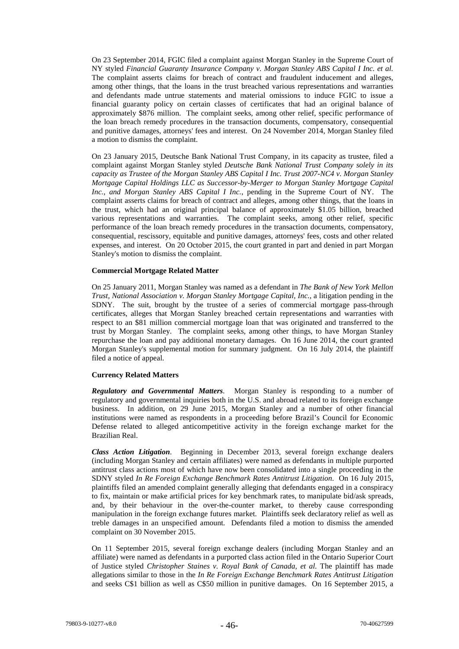On 23 September 2014, FGIC filed a complaint against Morgan Stanley in the Supreme Court of NY styled *Financial Guaranty Insurance Company v. Morgan Stanley ABS Capital I Inc. et al.*  The complaint asserts claims for breach of contract and fraudulent inducement and alleges, among other things, that the loans in the trust breached various representations and warranties and defendants made untrue statements and material omissions to induce FGIC to issue a financial guaranty policy on certain classes of certificates that had an original balance of approximately \$876 million. The complaint seeks, among other relief, specific performance of the loan breach remedy procedures in the transaction documents, compensatory, consequential and punitive damages, attorneys' fees and interest. On 24 November 2014, Morgan Stanley filed a motion to dismiss the complaint.

On 23 January 2015, Deutsche Bank National Trust Company, in its capacity as trustee, filed a complaint against Morgan Stanley styled *Deutsche Bank National Trust Company solely in its capacity as Trustee of the Morgan Stanley ABS Capital I Inc. Trust 2007-NC4 v. Morgan Stanley Mortgage Capital Holdings LLC as Successor-by-Merger to Morgan Stanley Mortgage Capital Inc., and Morgan Stanley ABS Capital I Inc.*, pending in the Supreme Court of NY. The complaint asserts claims for breach of contract and alleges, among other things, that the loans in the trust, which had an original principal balance of approximately \$1.05 billion, breached various representations and warranties. The complaint seeks, among other relief, specific performance of the loan breach remedy procedures in the transaction documents, compensatory, consequential, rescissory, equitable and punitive damages, attorneys' fees, costs and other related expenses, and interest. On 20 October 2015, the court granted in part and denied in part Morgan Stanley's motion to dismiss the complaint.

### **Commercial Mortgage Related Matter**

On 25 January 2011, Morgan Stanley was named as a defendant in *The Bank of New York Mellon Trust, National Association v. Morgan Stanley Mortgage Capital, Inc.*, a litigation pending in the SDNY. The suit, brought by the trustee of a series of commercial mortgage pass-through certificates, alleges that Morgan Stanley breached certain representations and warranties with respect to an \$81 million commercial mortgage loan that was originated and transferred to the trust by Morgan Stanley. The complaint seeks, among other things, to have Morgan Stanley repurchase the loan and pay additional monetary damages. On 16 June 2014, the court granted Morgan Stanley's supplemental motion for summary judgment. On 16 July 2014, the plaintiff filed a notice of appeal.

# **Currency Related Matters**

*Regulatory and Governmental Matters*. Morgan Stanley is responding to a number of regulatory and governmental inquiries both in the U.S. and abroad related to its foreign exchange business. In addition, on 29 June 2015, Morgan Stanley and a number of other financial institutions were named as respondents in a proceeding before Brazil's Council for Economic Defense related to alleged anticompetitive activity in the foreign exchange market for the Brazilian Real.

*Class Action Litigation*. Beginning in December 2013, several foreign exchange dealers (including Morgan Stanley and certain affiliates) were named as defendants in multiple purported antitrust class actions most of which have now been consolidated into a single proceeding in the SDNY styled *In Re Foreign Exchange Benchmark Rates Antitrust Litigation*. On 16 July 2015, plaintiffs filed an amended complaint generally alleging that defendants engaged in a conspiracy to fix, maintain or make artificial prices for key benchmark rates, to manipulate bid/ask spreads, and, by their behaviour in the over-the-counter market, to thereby cause corresponding manipulation in the foreign exchange futures market. Plaintiffs seek declaratory relief as well as treble damages in an unspecified amount. Defendants filed a motion to dismiss the amended complaint on 30 November 2015.

On 11 September 2015, several foreign exchange dealers (including Morgan Stanley and an affiliate) were named as defendants in a purported class action filed in the Ontario Superior Court of Justice styled *Christopher Staines v. Royal Bank of Canada, et al.* The plaintiff has made allegations similar to those in the *In Re Foreign Exchange Benchmark Rates Antitrust Litigation* and seeks C\$1 billion as well as C\$50 million in punitive damages. On 16 September 2015, a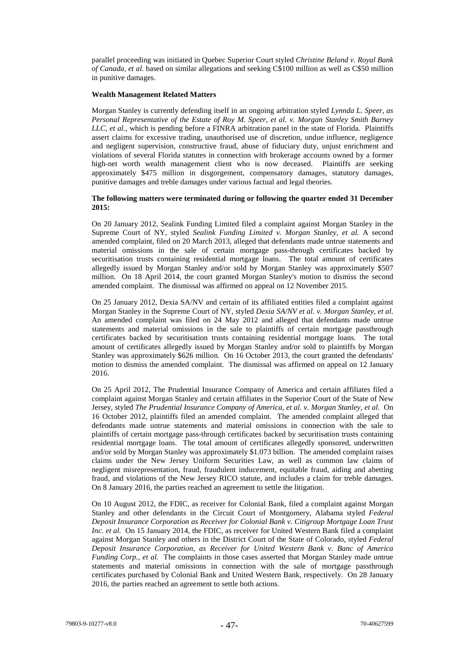parallel proceeding was initiated in Quebec Superior Court styled *Christine Beland v. Royal Bank of Canada, et al.* based on similar allegations and seeking C\$100 million as well as C\$50 million in punitive damages.

#### **Wealth Management Related Matters**

Morgan Stanley is currently defending itself in an ongoing arbitration styled *Lynnda L. Speer, as Personal Representative of the Estate of Roy M. Speer, et al. v. Morgan Stanley Smith Barney LLC, et al.*, which is pending before a FINRA arbitration panel in the state of Florida. Plaintiffs assert claims for excessive trading, unauthorised use of discretion, undue influence, negligence and negligent supervision, constructive fraud, abuse of fiduciary duty, unjust enrichment and violations of several Florida statutes in connection with brokerage accounts owned by a former high-net worth wealth management client who is now deceased. Plaintiffs are seeking approximately \$475 million in disgorgement, compensatory damages, statutory damages, punitive damages and treble damages under various factual and legal theories.

### **The following matters were terminated during or following the quarter ended 31 December 2015:**

On 20 January 2012, Sealink Funding Limited filed a complaint against Morgan Stanley in the Supreme Court of NY, styled *Sealink Funding Limited v. Morgan Stanley, et al.* A second amended complaint, filed on 20 March 2013, alleged that defendants made untrue statements and material omissions in the sale of certain mortgage pass-through certificates backed by securitisation trusts containing residential mortgage loans. The total amount of certificates allegedly issued by Morgan Stanley and/or sold by Morgan Stanley was approximately \$507 million. On 18 April 2014, the court granted Morgan Stanley's motion to dismiss the second amended complaint. The dismissal was affirmed on appeal on 12 November 2015.

On 25 January 2012, Dexia SA/NV and certain of its affiliated entities filed a complaint against Morgan Stanley in the Supreme Court of NY, styled *Dexia SA/NV et al. v. Morgan Stanley, et al.*  An amended complaint was filed on 24 May 2012 and alleged that defendants made untrue statements and material omissions in the sale to plaintiffs of certain mortgage passthrough certificates backed by securitisation trusts containing residential mortgage loans. The total amount of certificates allegedly issued by Morgan Stanley and/or sold to plaintiffs by Morgan Stanley was approximately \$626 million. On 16 October 2013, the court granted the defendants' motion to dismiss the amended complaint. The dismissal was affirmed on appeal on 12 January 2016.

On 25 April 2012, The Prudential Insurance Company of America and certain affiliates filed a complaint against Morgan Stanley and certain affiliates in the Superior Court of the State of New Jersey, styled *The Prudential Insurance Company of America, et al. v. Morgan Stanley, et al.* On 16 October 2012, plaintiffs filed an amended complaint. The amended complaint alleged that defendants made untrue statements and material omissions in connection with the sale to plaintiffs of certain mortgage pass-through certificates backed by securitisation trusts containing residential mortgage loans. The total amount of certificates allegedly sponsored, underwritten and/or sold by Morgan Stanley was approximately \$1.073 billion. The amended complaint raises claims under the New Jersey Uniform Securities Law, as well as common law claims of negligent misrepresentation, fraud, fraudulent inducement, equitable fraud, aiding and abetting fraud, and violations of the New Jersey RICO statute, and includes a claim for treble damages. On 8 January 2016, the parties reached an agreement to settle the litigation.

On 10 August 2012, the FDIC, as receiver for Colonial Bank, filed a complaint against Morgan Stanley and other defendants in the Circuit Court of Montgomery, Alabama styled *Federal Deposit Insurance Corporation as Receiver for Colonial Bank v. Citigroup Mortgage Loan Trust Inc. et al.* On 15 January 2014, the FDIC, as receiver for United Western Bank filed a complaint against Morgan Stanley and others in the District Court of the State of Colorado, styled *Federal Deposit Insurance Corporation, as Receiver for United Western Bank v. Banc of America Funding Corp., et al.* The complaints in those cases asserted that Morgan Stanley made untrue statements and material omissions in connection with the sale of mortgage passthrough certificates purchased by Colonial Bank and United Western Bank, respectively. On 28 January 2016, the parties reached an agreement to settle both actions.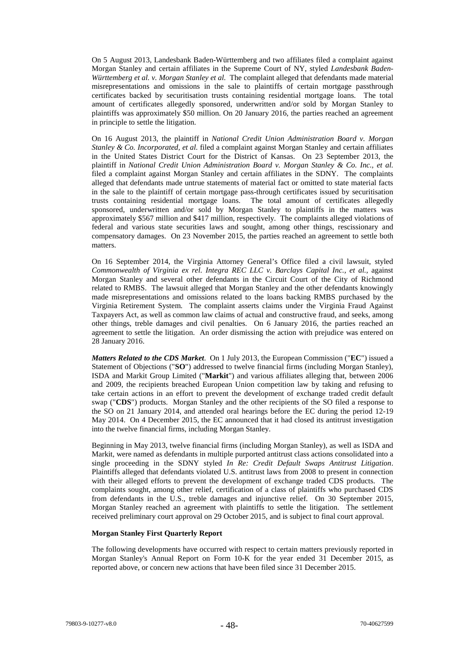On 5 August 2013, Landesbank Baden-Württemberg and two affiliates filed a complaint against Morgan Stanley and certain affiliates in the Supreme Court of NY, styled *Landesbank Baden-Württemberg et al. v. Morgan Stanley et al.* The complaint alleged that defendants made material misrepresentations and omissions in the sale to plaintiffs of certain mortgage passthrough certificates backed by securitisation trusts containing residential mortgage loans. The total amount of certificates allegedly sponsored, underwritten and/or sold by Morgan Stanley to plaintiffs was approximately \$50 million. On 20 January 2016, the parties reached an agreement in principle to settle the litigation.

On 16 August 2013, the plaintiff in *National Credit Union Administration Board v. Morgan Stanley & Co. Incorporated, et al.* filed a complaint against Morgan Stanley and certain affiliates in the United States District Court for the District of Kansas. On 23 September 2013, the plaintiff in *National Credit Union Administration Board v. Morgan Stanley & Co. Inc., et al.* filed a complaint against Morgan Stanley and certain affiliates in the SDNY. The complaints alleged that defendants made untrue statements of material fact or omitted to state material facts in the sale to the plaintiff of certain mortgage pass-through certificates issued by securitisation trusts containing residential mortgage loans. The total amount of certificates allegedly sponsored, underwritten and/or sold by Morgan Stanley to plaintiffs in the matters was approximately \$567 million and \$417 million, respectively. The complaints alleged violations of federal and various state securities laws and sought, among other things, rescissionary and compensatory damages. On 23 November 2015, the parties reached an agreement to settle both matters.

On 16 September 2014, the Virginia Attorney General's Office filed a civil lawsuit, styled *Commonwealth of Virginia ex rel. Integra REC LLC v. Barclays Capital Inc., et al.*, against Morgan Stanley and several other defendants in the Circuit Court of the City of Richmond related to RMBS. The lawsuit alleged that Morgan Stanley and the other defendants knowingly made misrepresentations and omissions related to the loans backing RMBS purchased by the Virginia Retirement System. The complaint asserts claims under the Virginia Fraud Against Taxpayers Act, as well as common law claims of actual and constructive fraud, and seeks, among other things, treble damages and civil penalties. On 6 January 2016, the parties reached an agreement to settle the litigation. An order dismissing the action with prejudice was entered on 28 January 2016.

*Matters Related to the CDS Market*. On 1 July 2013, the European Commission ("**EC**") issued a Statement of Objections ("**SO**") addressed to twelve financial firms (including Morgan Stanley), ISDA and Markit Group Limited ("**Markit**") and various affiliates alleging that, between 2006 and 2009, the recipients breached European Union competition law by taking and refusing to take certain actions in an effort to prevent the development of exchange traded credit default swap ("**CDS**") products. Morgan Stanley and the other recipients of the SO filed a response to the SO on 21 January 2014, and attended oral hearings before the EC during the period 12-19 May 2014. On 4 December 2015, the EC announced that it had closed its antitrust investigation into the twelve financial firms, including Morgan Stanley.

Beginning in May 2013, twelve financial firms (including Morgan Stanley), as well as ISDA and Markit, were named as defendants in multiple purported antitrust class actions consolidated into a single proceeding in the SDNY styled *In Re: Credit Default Swaps Antitrust Litigation*. Plaintiffs alleged that defendants violated U.S. antitrust laws from 2008 to present in connection with their alleged efforts to prevent the development of exchange traded CDS products. The complaints sought, among other relief, certification of a class of plaintiffs who purchased CDS from defendants in the U.S., treble damages and injunctive relief. On 30 September 2015, Morgan Stanley reached an agreement with plaintiffs to settle the litigation. The settlement received preliminary court approval on 29 October 2015, and is subject to final court approval.

#### **Morgan Stanley First Quarterly Report**

The following developments have occurred with respect to certain matters previously reported in Morgan Stanley's Annual Report on Form 10-K for the year ended 31 December 2015, as reported above, or concern new actions that have been filed since 31 December 2015.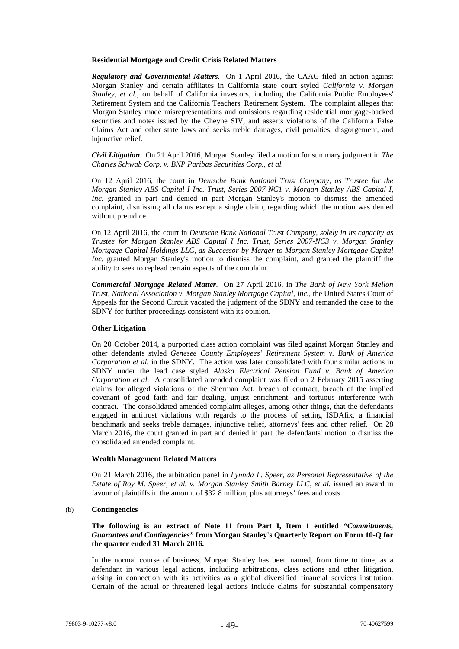### **Residential Mortgage and Credit Crisis Related Matters**

*Regulatory and Governmental Matters*. On 1 April 2016, the CAAG filed an action against Morgan Stanley and certain affiliates in California state court styled *California v. Morgan Stanley, et al.*, on behalf of California investors, including the California Public Employees' Retirement System and the California Teachers' Retirement System. The complaint alleges that Morgan Stanley made misrepresentations and omissions regarding residential mortgage-backed securities and notes issued by the Cheyne SIV, and asserts violations of the California False Claims Act and other state laws and seeks treble damages, civil penalties, disgorgement, and injunctive relief.

*Civil Litigation*. On 21 April 2016, Morgan Stanley filed a motion for summary judgment in *The Charles Schwab Corp. v. BNP Paribas Securities Corp., et al.*

On 12 April 2016, the court in *Deutsche Bank National Trust Company, as Trustee for the Morgan Stanley ABS Capital I Inc. Trust, Series 2007-NC1 v. Morgan Stanley ABS Capital I, Inc.* granted in part and denied in part Morgan Stanley's motion to dismiss the amended complaint, dismissing all claims except a single claim, regarding which the motion was denied without prejudice.

On 12 April 2016, the court in *Deutsche Bank National Trust Company, solely in its capacity as Trustee for Morgan Stanley ABS Capital I Inc. Trust, Series 2007-NC3 v. Morgan Stanley Mortgage Capital Holdings LLC, as Successor-by-Merger to Morgan Stanley Mortgage Capital Inc.* granted Morgan Stanley's motion to dismiss the complaint, and granted the plaintiff the ability to seek to replead certain aspects of the complaint.

*Commercial Mortgage Related Matter*. On 27 April 2016, in *The Bank of New York Mellon Trust, National Association v. Morgan Stanley Mortgage Capital, Inc.*, the United States Court of Appeals for the Second Circuit vacated the judgment of the SDNY and remanded the case to the SDNY for further proceedings consistent with its opinion.

#### **Other Litigation**

On 20 October 2014, a purported class action complaint was filed against Morgan Stanley and other defendants styled *Genesee County Employees' Retirement System v. Bank of America Corporation et al.* in the SDNY. The action was later consolidated with four similar actions in SDNY under the lead case styled *Alaska Electrical Pension Fund v. Bank of America Corporation et al.* A consolidated amended complaint was filed on 2 February 2015 asserting claims for alleged violations of the Sherman Act, breach of contract, breach of the implied covenant of good faith and fair dealing, unjust enrichment, and tortuous interference with contract. The consolidated amended complaint alleges, among other things, that the defendants engaged in antitrust violations with regards to the process of setting ISDAfix, a financial benchmark and seeks treble damages, injunctive relief, attorneys' fees and other relief. On 28 March 2016, the court granted in part and denied in part the defendants' motion to dismiss the consolidated amended complaint.

### **Wealth Management Related Matters**

On 21 March 2016, the arbitration panel in *Lynnda L. Speer, as Personal Representative of the Estate of Roy M. Speer, et al. v. Morgan Stanley Smith Barney LLC, et al.* issued an award in favour of plaintiffs in the amount of \$32.8 million, plus attorneys' fees and costs.

### (b) **Contingencies**

**The following is an extract of Note 11 from Part I, Item 1 entitled** *"Commitments, Guarantees and Contingencies"* **from Morgan Stanley's Quarterly Report on Form 10-Q for the quarter ended 31 March 2016.**

In the normal course of business, Morgan Stanley has been named, from time to time, as a defendant in various legal actions, including arbitrations, class actions and other litigation, arising in connection with its activities as a global diversified financial services institution. Certain of the actual or threatened legal actions include claims for substantial compensatory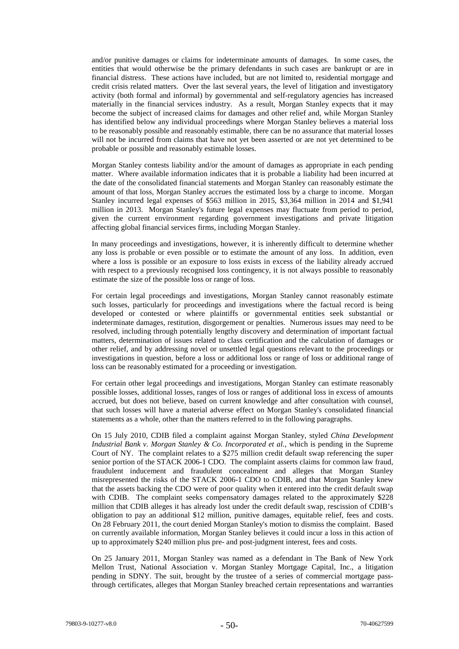and/or punitive damages or claims for indeterminate amounts of damages. In some cases, the entities that would otherwise be the primary defendants in such cases are bankrupt or are in financial distress. These actions have included, but are not limited to, residential mortgage and credit crisis related matters. Over the last several years, the level of litigation and investigatory activity (both formal and informal) by governmental and self-regulatory agencies has increased materially in the financial services industry. As a result, Morgan Stanley expects that it may become the subject of increased claims for damages and other relief and, while Morgan Stanley has identified below any individual proceedings where Morgan Stanley believes a material loss to be reasonably possible and reasonably estimable, there can be no assurance that material losses will not be incurred from claims that have not yet been asserted or are not yet determined to be probable or possible and reasonably estimable losses.

Morgan Stanley contests liability and/or the amount of damages as appropriate in each pending matter. Where available information indicates that it is probable a liability had been incurred at the date of the consolidated financial statements and Morgan Stanley can reasonably estimate the amount of that loss, Morgan Stanley accrues the estimated loss by a charge to income. Morgan Stanley incurred legal expenses of \$563 million in 2015, \$3,364 million in 2014 and \$1,941 million in 2013. Morgan Stanley's future legal expenses may fluctuate from period to period, given the current environment regarding government investigations and private litigation affecting global financial services firms, including Morgan Stanley.

In many proceedings and investigations, however, it is inherently difficult to determine whether any loss is probable or even possible or to estimate the amount of any loss. In addition, even where a loss is possible or an exposure to loss exists in excess of the liability already accrued with respect to a previously recognised loss contingency, it is not always possible to reasonably estimate the size of the possible loss or range of loss.

For certain legal proceedings and investigations, Morgan Stanley cannot reasonably estimate such losses, particularly for proceedings and investigations where the factual record is being developed or contested or where plaintiffs or governmental entities seek substantial or indeterminate damages, restitution, disgorgement or penalties. Numerous issues may need to be resolved, including through potentially lengthy discovery and determination of important factual matters, determination of issues related to class certification and the calculation of damages or other relief, and by addressing novel or unsettled legal questions relevant to the proceedings or investigations in question, before a loss or additional loss or range of loss or additional range of loss can be reasonably estimated for a proceeding or investigation.

For certain other legal proceedings and investigations, Morgan Stanley can estimate reasonably possible losses, additional losses, ranges of loss or ranges of additional loss in excess of amounts accrued, but does not believe, based on current knowledge and after consultation with counsel, that such losses will have a material adverse effect on Morgan Stanley's consolidated financial statements as a whole, other than the matters referred to in the following paragraphs.

On 15 July 2010, CDIB filed a complaint against Morgan Stanley, styled *China Development Industrial Bank v. Morgan Stanley & Co. Incorporated et al.*, which is pending in the Supreme Court of NY. The complaint relates to a \$275 million credit default swap referencing the super senior portion of the STACK 2006-1 CDO. The complaint asserts claims for common law fraud, fraudulent inducement and fraudulent concealment and alleges that Morgan Stanley misrepresented the risks of the STACK 2006-1 CDO to CDIB, and that Morgan Stanley knew that the assets backing the CDO were of poor quality when it entered into the credit default swap with CDIB. The complaint seeks compensatory damages related to the approximately \$228 million that CDIB alleges it has already lost under the credit default swap, rescission of CDIB's obligation to pay an additional \$12 million, punitive damages, equitable relief, fees and costs. On 28 February 2011, the court denied Morgan Stanley's motion to dismiss the complaint. Based on currently available information, Morgan Stanley believes it could incur a loss in this action of up to approximately \$240 million plus pre- and post-judgment interest, fees and costs.

On 25 January 2011, Morgan Stanley was named as a defendant in The Bank of New York Mellon Trust, National Association v. Morgan Stanley Mortgage Capital, Inc., a litigation pending in SDNY. The suit, brought by the trustee of a series of commercial mortgage passthrough certificates, alleges that Morgan Stanley breached certain representations and warranties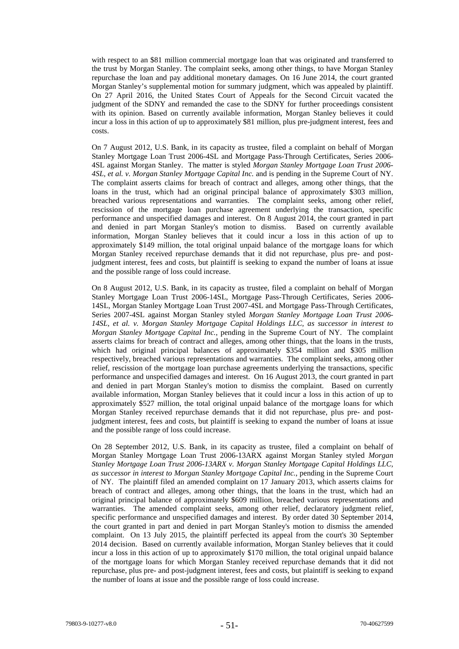with respect to an \$81 million commercial mortgage loan that was originated and transferred to the trust by Morgan Stanley. The complaint seeks, among other things, to have Morgan Stanley repurchase the loan and pay additional monetary damages. On 16 June 2014, the court granted Morgan Stanley's supplemental motion for summary judgment, which was appealed by plaintiff. On 27 April 2016, the United States Court of Appeals for the Second Circuit vacated the judgment of the SDNY and remanded the case to the SDNY for further proceedings consistent with its opinion. Based on currently available information, Morgan Stanley believes it could incur a loss in this action of up to approximately \$81 million, plus pre-judgment interest, fees and costs.

On 7 August 2012, U.S. Bank, in its capacity as trustee, filed a complaint on behalf of Morgan Stanley Mortgage Loan Trust 2006-4SL and Mortgage Pass-Through Certificates, Series 2006- 4SL against Morgan Stanley. The matter is styled *Morgan Stanley Mortgage Loan Trust 2006- 4SL, et al. v. Morgan Stanley Mortgage Capital Inc.* and is pending in the Supreme Court of NY. The complaint asserts claims for breach of contract and alleges, among other things, that the loans in the trust, which had an original principal balance of approximately \$303 million, breached various representations and warranties. The complaint seeks, among other relief, rescission of the mortgage loan purchase agreement underlying the transaction, specific performance and unspecified damages and interest. On 8 August 2014, the court granted in part and denied in part Morgan Stanley's motion to dismiss. Based on currently available information, Morgan Stanley believes that it could incur a loss in this action of up to approximately \$149 million, the total original unpaid balance of the mortgage loans for which Morgan Stanley received repurchase demands that it did not repurchase, plus pre- and postjudgment interest, fees and costs, but plaintiff is seeking to expand the number of loans at issue and the possible range of loss could increase.

On 8 August 2012, U.S. Bank, in its capacity as trustee, filed a complaint on behalf of Morgan Stanley Mortgage Loan Trust 2006-14SL, Mortgage Pass-Through Certificates, Series 2006- 14SL, Morgan Stanley Mortgage Loan Trust 2007-4SL and Mortgage Pass-Through Certificates, Series 2007-4SL against Morgan Stanley styled *Morgan Stanley Mortgage Loan Trust 2006- 14SL, et al. v. Morgan Stanley Mortgage Capital Holdings LLC, as successor in interest to Morgan Stanley Mortgage Capital Inc.*, pending in the Supreme Court of NY. The complaint asserts claims for breach of contract and alleges, among other things, that the loans in the trusts, which had original principal balances of approximately \$354 million and \$305 million respectively, breached various representations and warranties. The complaint seeks, among other relief, rescission of the mortgage loan purchase agreements underlying the transactions, specific performance and unspecified damages and interest. On 16 August 2013, the court granted in part and denied in part Morgan Stanley's motion to dismiss the complaint. Based on currently available information, Morgan Stanley believes that it could incur a loss in this action of up to approximately \$527 million, the total original unpaid balance of the mortgage loans for which Morgan Stanley received repurchase demands that it did not repurchase, plus pre- and postjudgment interest, fees and costs, but plaintiff is seeking to expand the number of loans at issue and the possible range of loss could increase.

On 28 September 2012, U.S. Bank, in its capacity as trustee, filed a complaint on behalf of Morgan Stanley Mortgage Loan Trust 2006-13ARX against Morgan Stanley styled *Morgan Stanley Mortgage Loan Trust 2006-13ARX v. Morgan Stanley Mortgage Capital Holdings LLC, as successor in interest to Morgan Stanley Mortgage Capital Inc.*, pending in the Supreme Court of NY. The plaintiff filed an amended complaint on 17 January 2013, which asserts claims for breach of contract and alleges, among other things, that the loans in the trust, which had an original principal balance of approximately \$609 million, breached various representations and warranties. The amended complaint seeks, among other relief, declaratory judgment relief, specific performance and unspecified damages and interest. By order dated 30 September 2014, the court granted in part and denied in part Morgan Stanley's motion to dismiss the amended complaint. On 13 July 2015, the plaintiff perfected its appeal from the court's 30 September 2014 decision. Based on currently available information, Morgan Stanley believes that it could incur a loss in this action of up to approximately \$170 million, the total original unpaid balance of the mortgage loans for which Morgan Stanley received repurchase demands that it did not repurchase, plus pre- and post-judgment interest, fees and costs, but plaintiff is seeking to expand the number of loans at issue and the possible range of loss could increase.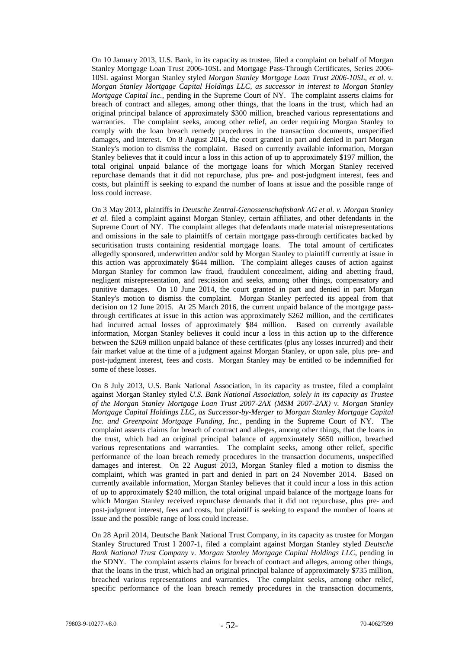On 10 January 2013, U.S. Bank, in its capacity as trustee, filed a complaint on behalf of Morgan Stanley Mortgage Loan Trust 2006-10SL and Mortgage Pass-Through Certificates, Series 2006- 10SL against Morgan Stanley styled *Morgan Stanley Mortgage Loan Trust 2006-10SL, et al. v. Morgan Stanley Mortgage Capital Holdings LLC, as successor in interest to Morgan Stanley Mortgage Capital Inc.*, pending in the Supreme Court of NY. The complaint asserts claims for breach of contract and alleges, among other things, that the loans in the trust, which had an original principal balance of approximately \$300 million, breached various representations and warranties. The complaint seeks, among other relief, an order requiring Morgan Stanley to comply with the loan breach remedy procedures in the transaction documents, unspecified damages, and interest. On 8 August 2014, the court granted in part and denied in part Morgan Stanley's motion to dismiss the complaint. Based on currently available information, Morgan Stanley believes that it could incur a loss in this action of up to approximately \$197 million, the total original unpaid balance of the mortgage loans for which Morgan Stanley received repurchase demands that it did not repurchase, plus pre- and post-judgment interest, fees and costs, but plaintiff is seeking to expand the number of loans at issue and the possible range of loss could increase.

On 3 May 2013, plaintiffs in *Deutsche Zentral-Genossenschaftsbank AG et al. v. Morgan Stanley et al.* filed a complaint against Morgan Stanley, certain affiliates, and other defendants in the Supreme Court of NY. The complaint alleges that defendants made material misrepresentations and omissions in the sale to plaintiffs of certain mortgage pass-through certificates backed by securitisation trusts containing residential mortgage loans. The total amount of certificates allegedly sponsored, underwritten and/or sold by Morgan Stanley to plaintiff currently at issue in this action was approximately \$644 million. The complaint alleges causes of action against Morgan Stanley for common law fraud, fraudulent concealment, aiding and abetting fraud, negligent misrepresentation, and rescission and seeks, among other things, compensatory and punitive damages. On 10 June 2014, the court granted in part and denied in part Morgan Stanley's motion to dismiss the complaint. Morgan Stanley perfected its appeal from that decision on 12 June 2015. At 25 March 2016, the current unpaid balance of the mortgage passthrough certificates at issue in this action was approximately \$262 million, and the certificates had incurred actual losses of approximately \$84 million. Based on currently available information, Morgan Stanley believes it could incur a loss in this action up to the difference between the \$269 million unpaid balance of these certificates (plus any losses incurred) and their fair market value at the time of a judgment against Morgan Stanley, or upon sale, plus pre- and post-judgment interest, fees and costs. Morgan Stanley may be entitled to be indemnified for some of these losses.

On 8 July 2013, U.S. Bank National Association, in its capacity as trustee, filed a complaint against Morgan Stanley styled *U.S. Bank National Association, solely in its capacity as Trustee of the Morgan Stanley Mortgage Loan Trust 2007-2AX (MSM 2007-2AX) v. Morgan Stanley Mortgage Capital Holdings LLC, as Successor-by-Merger to Morgan Stanley Mortgage Capital Inc. and Greenpoint Mortgage Funding, Inc.*, pending in the Supreme Court of NY. The complaint asserts claims for breach of contract and alleges, among other things, that the loans in the trust, which had an original principal balance of approximately \$650 million, breached various representations and warranties. The complaint seeks, among other relief, specific performance of the loan breach remedy procedures in the transaction documents, unspecified damages and interest. On 22 August 2013, Morgan Stanley filed a motion to dismiss the complaint, which was granted in part and denied in part on 24 November 2014. Based on currently available information, Morgan Stanley believes that it could incur a loss in this action of up to approximately \$240 million, the total original unpaid balance of the mortgage loans for which Morgan Stanley received repurchase demands that it did not repurchase, plus pre- and post-judgment interest, fees and costs, but plaintiff is seeking to expand the number of loans at issue and the possible range of loss could increase.

On 28 April 2014, Deutsche Bank National Trust Company, in its capacity as trustee for Morgan Stanley Structured Trust I 2007-1, filed a complaint against Morgan Stanley styled *Deutsche Bank National Trust Company v. Morgan Stanley Mortgage Capital Holdings LLC*, pending in the SDNY. The complaint asserts claims for breach of contract and alleges, among other things, that the loans in the trust, which had an original principal balance of approximately \$735 million, breached various representations and warranties. The complaint seeks, among other relief, specific performance of the loan breach remedy procedures in the transaction documents,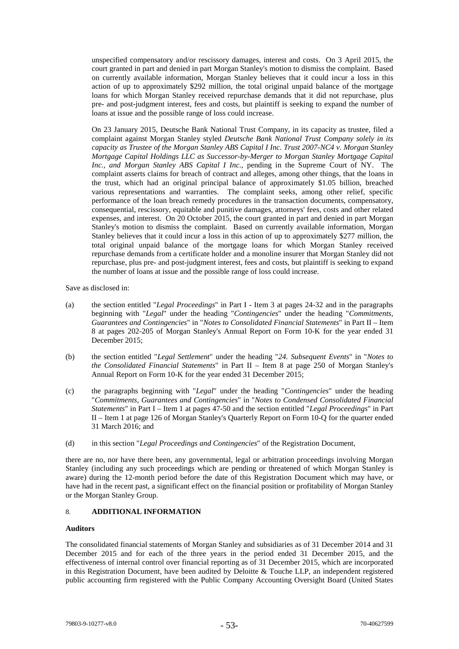unspecified compensatory and/or rescissory damages, interest and costs. On 3 April 2015, the court granted in part and denied in part Morgan Stanley's motion to dismiss the complaint. Based on currently available information, Morgan Stanley believes that it could incur a loss in this action of up to approximately \$292 million, the total original unpaid balance of the mortgage loans for which Morgan Stanley received repurchase demands that it did not repurchase, plus pre- and post-judgment interest, fees and costs, but plaintiff is seeking to expand the number of loans at issue and the possible range of loss could increase.

On 23 January 2015, Deutsche Bank National Trust Company, in its capacity as trustee, filed a complaint against Morgan Stanley styled *Deutsche Bank National Trust Company solely in its capacity as Trustee of the Morgan Stanley ABS Capital I Inc. Trust 2007-NC4 v. Morgan Stanley Mortgage Capital Holdings LLC as Successor-by-Merger to Morgan Stanley Mortgage Capital Inc., and Morgan Stanley ABS Capital I Inc.*, pending in the Supreme Court of NY. The complaint asserts claims for breach of contract and alleges, among other things, that the loans in the trust, which had an original principal balance of approximately \$1.05 billion, breached various representations and warranties. The complaint seeks, among other relief, specific performance of the loan breach remedy procedures in the transaction documents, compensatory, consequential, rescissory, equitable and punitive damages, attorneys' fees, costs and other related expenses, and interest. On 20 October 2015, the court granted in part and denied in part Morgan Stanley's motion to dismiss the complaint. Based on currently available information, Morgan Stanley believes that it could incur a loss in this action of up to approximately \$277 million, the total original unpaid balance of the mortgage loans for which Morgan Stanley received repurchase demands from a certificate holder and a monoline insurer that Morgan Stanley did not repurchase, plus pre- and post-judgment interest, fees and costs, but plaintiff is seeking to expand the number of loans at issue and the possible range of loss could increase.

Save as disclosed in:

- (a) the section entitled "*Legal Proceedings*" in Part I Item 3 at pages 24-32 and in the paragraphs beginning with "*Legal*" under the heading "*Contingencies*" under the heading "*Commitments, Guarantees and Contingencies*" in "*Notes to Consolidated Financial Statements*" in Part II – Item 8 at pages 202-205 of Morgan Stanley's Annual Report on Form 10-K for the year ended 31 December 2015;
- (b) the section entitled "*Legal Settlement*" under the heading "*24. Subsequent Events*" in "*Notes to the Consolidated Financial Statements*" in Part II – Item 8 at page 250 of Morgan Stanley's Annual Report on Form 10-K for the year ended 31 December 2015;
- (c) the paragraphs beginning with "*Legal*" under the heading "*Contingencies*" under the heading "*Commitments, Guarantees and Contingencies*" in "*Notes to Condensed Consolidated Financial Statements*" in Part I – Item 1 at pages 47-50 and the section entitled "*Legal Proceedings*" in Part II – Item 1 at page 126 of Morgan Stanley's Quarterly Report on Form 10-Q for the quarter ended 31 March 2016; and
- (d) in this section "*Legal Proceedings and Contingencies*" of the Registration Document,

there are no, nor have there been, any governmental, legal or arbitration proceedings involving Morgan Stanley (including any such proceedings which are pending or threatened of which Morgan Stanley is aware) during the 12-month period before the date of this Registration Document which may have, or have had in the recent past, a significant effect on the financial position or profitability of Morgan Stanley or the Morgan Stanley Group.

# 8. **ADDITIONAL INFORMATION**

# **Auditors**

The consolidated financial statements of Morgan Stanley and subsidiaries as of 31 December 2014 and 31 December 2015 and for each of the three years in the period ended 31 December 2015, and the effectiveness of internal control over financial reporting as of 31 December 2015, which are incorporated in this Registration Document, have been audited by Deloitte & Touche LLP, an independent registered public accounting firm registered with the Public Company Accounting Oversight Board (United States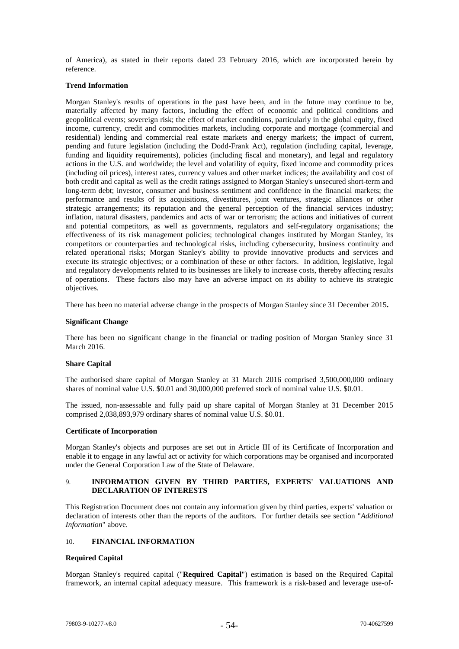of America), as stated in their reports dated 23 February 2016, which are incorporated herein by reference.

### **Trend Information**

Morgan Stanley's results of operations in the past have been, and in the future may continue to be, materially affected by many factors, including the effect of economic and political conditions and geopolitical events; sovereign risk; the effect of market conditions, particularly in the global equity, fixed income, currency, credit and commodities markets, including corporate and mortgage (commercial and residential) lending and commercial real estate markets and energy markets; the impact of current, pending and future legislation (including the Dodd-Frank Act), regulation (including capital, leverage, funding and liquidity requirements), policies (including fiscal and monetary), and legal and regulatory actions in the U.S. and worldwide; the level and volatility of equity, fixed income and commodity prices (including oil prices), interest rates, currency values and other market indices; the availability and cost of both credit and capital as well as the credit ratings assigned to Morgan Stanley's unsecured short-term and long-term debt; investor, consumer and business sentiment and confidence in the financial markets; the performance and results of its acquisitions, divestitures, joint ventures, strategic alliances or other strategic arrangements; its reputation and the general perception of the financial services industry; inflation, natural disasters, pandemics and acts of war or terrorism; the actions and initiatives of current and potential competitors, as well as governments, regulators and self-regulatory organisations; the effectiveness of its risk management policies; technological changes instituted by Morgan Stanley, its competitors or counterparties and technological risks, including cybersecurity, business continuity and related operational risks; Morgan Stanley's ability to provide innovative products and services and execute its strategic objectives; or a combination of these or other factors. In addition, legislative, legal and regulatory developments related to its businesses are likely to increase costs, thereby affecting results of operations. These factors also may have an adverse impact on its ability to achieve its strategic objectives.

There has been no material adverse change in the prospects of Morgan Stanley since 31 December 2015**.**

### **Significant Change**

There has been no significant change in the financial or trading position of Morgan Stanley since 31 March 2016.

#### **Share Capital**

The authorised share capital of Morgan Stanley at 31 March 2016 comprised 3,500,000,000 ordinary shares of nominal value U.S. \$0.01 and 30,000,000 preferred stock of nominal value U.S. \$0.01.

The issued, non-assessable and fully paid up share capital of Morgan Stanley at 31 December 2015 comprised 2,038,893,979 ordinary shares of nominal value U.S. \$0.01.

### **Certificate of Incorporation**

Morgan Stanley's objects and purposes are set out in Article III of its Certificate of Incorporation and enable it to engage in any lawful act or activity for which corporations may be organised and incorporated under the General Corporation Law of the State of Delaware.

# 9. **INFORMATION GIVEN BY THIRD PARTIES, EXPERTS' VALUATIONS AND DECLARATION OF INTERESTS**

This Registration Document does not contain any information given by third parties, experts' valuation or declaration of interests other than the reports of the auditors. For further details see section "*Additional Information*" above.

# 10. **FINANCIAL INFORMATION**

# **Required Capital**

Morgan Stanley's required capital ("**Required Capital**") estimation is based on the Required Capital framework, an internal capital adequacy measure. This framework is a risk-based and leverage use-of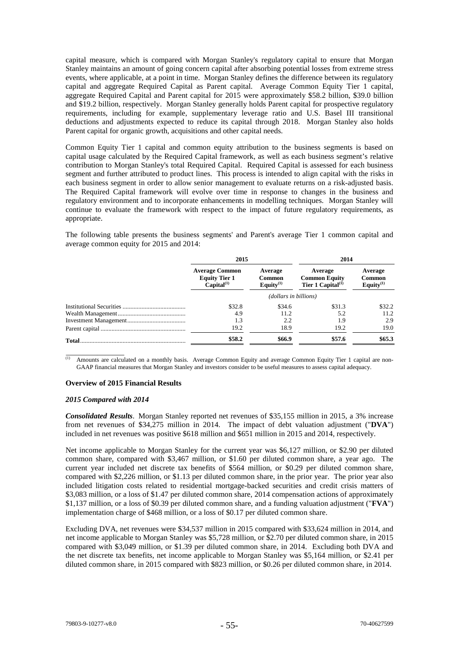capital measure, which is compared with Morgan Stanley's regulatory capital to ensure that Morgan Stanley maintains an amount of going concern capital after absorbing potential losses from extreme stress events, where applicable, at a point in time. Morgan Stanley defines the difference between its regulatory capital and aggregate Required Capital as Parent capital. Average Common Equity Tier 1 capital, aggregate Required Capital and Parent capital for 2015 were approximately \$58.2 billion, \$39.0 billion and \$19.2 billion, respectively. Morgan Stanley generally holds Parent capital for prospective regulatory requirements, including for example, supplementary leverage ratio and U.S. Basel III transitional deductions and adjustments expected to reduce its capital through 2018. Morgan Stanley also holds Parent capital for organic growth, acquisitions and other capital needs.

Common Equity Tier 1 capital and common equity attribution to the business segments is based on capital usage calculated by the Required Capital framework, as well as each business segment's relative contribution to Morgan Stanley's total Required Capital. Required Capital is assessed for each business segment and further attributed to product lines. This process is intended to align capital with the risks in each business segment in order to allow senior management to evaluate returns on a risk-adjusted basis. The Required Capital framework will evolve over time in response to changes in the business and regulatory environment and to incorporate enhancements in modelling techniques. Morgan Stanley will continue to evaluate the framework with respect to the impact of future regulatory requirements, as appropriate.

The following table presents the business segments' and Parent's average Tier 1 common capital and average common equity for 2015 and 2014:

|              | 2015                                                                    |                                   | 2014                                                             |                                             |  |  |  |
|--------------|-------------------------------------------------------------------------|-----------------------------------|------------------------------------------------------------------|---------------------------------------------|--|--|--|
|              | <b>Average Common</b><br><b>Equity Tier 1</b><br>Capital <sup>(1)</sup> | Average<br>Common<br>Equity $(1)$ | Average<br><b>Common Equity</b><br>Tier 1 Capital <sup>(1)</sup> | Average<br><b>Common</b><br>Equity $^{(1)}$ |  |  |  |
|              |                                                                         | (dollars in billions)             |                                                                  |                                             |  |  |  |
|              | \$32.8                                                                  | \$34.6                            | \$31.3                                                           | \$32.2\$                                    |  |  |  |
|              | 4.9                                                                     | 11.2                              | 5.2                                                              | 11.2                                        |  |  |  |
|              | 1.3                                                                     | 2.2                               | 1.9                                                              | 2.9                                         |  |  |  |
|              | 19.2                                                                    | 18.9                              | 19.2                                                             | 19.0                                        |  |  |  |
| <b>Total</b> | \$58.2                                                                  | \$66.9                            | \$57.6                                                           | \$65.3                                      |  |  |  |

\_\_\_\_\_\_\_\_\_\_\_\_\_\_\_  $<sup>(1)</sup>$  Amounts are calculated on a monthly basis. Average Common Equity and average Common Equity Tier 1 capital are non-</sup> GAAP financial measures that Morgan Stanley and investors consider to be useful measures to assess capital adequacy.

#### **Overview of 2015 Financial Results**

#### *2015 Compared with 2014*

*Consolidated Results*. Morgan Stanley reported net revenues of \$35,155 million in 2015, a 3% increase from net revenues of \$34,275 million in 2014. The impact of debt valuation adjustment ("**DVA**") included in net revenues was positive \$618 million and \$651 million in 2015 and 2014, respectively.

Net income applicable to Morgan Stanley for the current year was \$6,127 million, or \$2.90 per diluted common share, compared with \$3,467 million, or \$1.60 per diluted common share, a year ago. The current year included net discrete tax benefits of \$564 million, or \$0.29 per diluted common share, compared with \$2,226 million, or \$1.13 per diluted common share, in the prior year. The prior year also included litigation costs related to residential mortgage-backed securities and credit crisis matters of \$3,083 million, or a loss of \$1.47 per diluted common share, 2014 compensation actions of approximately \$1,137 million, or a loss of \$0.39 per diluted common share, and a funding valuation adjustment ("**FVA**") implementation charge of \$468 million, or a loss of \$0.17 per diluted common share.

Excluding DVA, net revenues were \$34,537 million in 2015 compared with \$33,624 million in 2014, and net income applicable to Morgan Stanley was \$5,728 million, or \$2.70 per diluted common share, in 2015 compared with \$3,049 million, or \$1.39 per diluted common share, in 2014. Excluding both DVA and the net discrete tax benefits, net income applicable to Morgan Stanley was \$5,164 million, or \$2.41 per diluted common share, in 2015 compared with \$823 million, or \$0.26 per diluted common share, in 2014.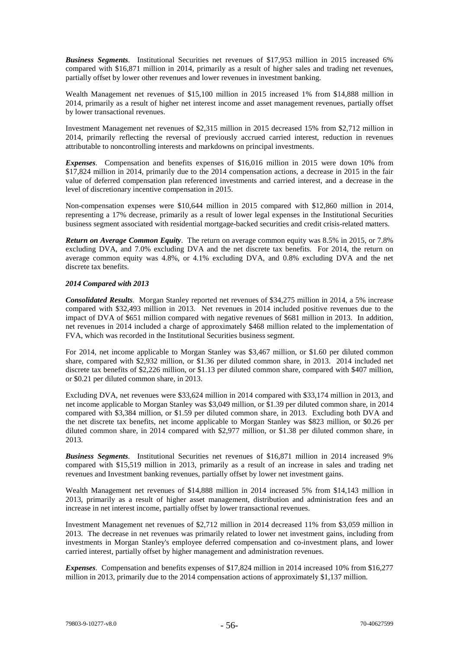*Business Segments*. Institutional Securities net revenues of \$17,953 million in 2015 increased 6% compared with \$16,871 million in 2014, primarily as a result of higher sales and trading net revenues, partially offset by lower other revenues and lower revenues in investment banking.

Wealth Management net revenues of \$15,100 million in 2015 increased 1% from \$14,888 million in 2014, primarily as a result of higher net interest income and asset management revenues, partially offset by lower transactional revenues.

Investment Management net revenues of \$2,315 million in 2015 decreased 15% from \$2,712 million in 2014, primarily reflecting the reversal of previously accrued carried interest, reduction in revenues attributable to noncontrolling interests and markdowns on principal investments.

*Expenses*. Compensation and benefits expenses of \$16,016 million in 2015 were down 10% from \$17,824 million in 2014, primarily due to the 2014 compensation actions, a decrease in 2015 in the fair value of deferred compensation plan referenced investments and carried interest, and a decrease in the level of discretionary incentive compensation in 2015.

Non-compensation expenses were \$10,644 million in 2015 compared with \$12,860 million in 2014, representing a 17% decrease, primarily as a result of lower legal expenses in the Institutional Securities business segment associated with residential mortgage-backed securities and credit crisis-related matters.

*Return on Average Common Equity*. The return on average common equity was 8.5% in 2015, or 7.8% excluding DVA, and 7.0% excluding DVA and the net discrete tax benefits. For 2014, the return on average common equity was 4.8%, or 4.1% excluding DVA, and 0.8% excluding DVA and the net discrete tax benefits.

# *2014 Compared with 2013*

*Consolidated Results*. Morgan Stanley reported net revenues of \$34,275 million in 2014, a 5% increase compared with \$32,493 million in 2013. Net revenues in 2014 included positive revenues due to the impact of DVA of \$651 million compared with negative revenues of \$681 million in 2013. In addition, net revenues in 2014 included a charge of approximately \$468 million related to the implementation of FVA, which was recorded in the Institutional Securities business segment.

For 2014, net income applicable to Morgan Stanley was \$3,467 million, or \$1.60 per diluted common share, compared with \$2,932 million, or \$1.36 per diluted common share, in 2013. 2014 included net discrete tax benefits of \$2,226 million, or \$1.13 per diluted common share, compared with \$407 million, or \$0.21 per diluted common share, in 2013.

Excluding DVA, net revenues were \$33,624 million in 2014 compared with \$33,174 million in 2013, and net income applicable to Morgan Stanley was \$3,049 million, or \$1.39 per diluted common share, in 2014 compared with \$3,384 million, or \$1.59 per diluted common share, in 2013. Excluding both DVA and the net discrete tax benefits, net income applicable to Morgan Stanley was \$823 million, or \$0.26 per diluted common share, in 2014 compared with \$2,977 million, or \$1.38 per diluted common share, in 2013.

*Business Segments*. Institutional Securities net revenues of \$16,871 million in 2014 increased 9% compared with \$15,519 million in 2013, primarily as a result of an increase in sales and trading net revenues and Investment banking revenues, partially offset by lower net investment gains.

Wealth Management net revenues of \$14,888 million in 2014 increased 5% from \$14,143 million in 2013, primarily as a result of higher asset management, distribution and administration fees and an increase in net interest income, partially offset by lower transactional revenues.

Investment Management net revenues of \$2,712 million in 2014 decreased 11% from \$3,059 million in 2013. The decrease in net revenues was primarily related to lower net investment gains, including from investments in Morgan Stanley's employee deferred compensation and co-investment plans, and lower carried interest, partially offset by higher management and administration revenues.

*Expenses*. Compensation and benefits expenses of \$17,824 million in 2014 increased 10% from \$16,277 million in 2013, primarily due to the 2014 compensation actions of approximately \$1,137 million.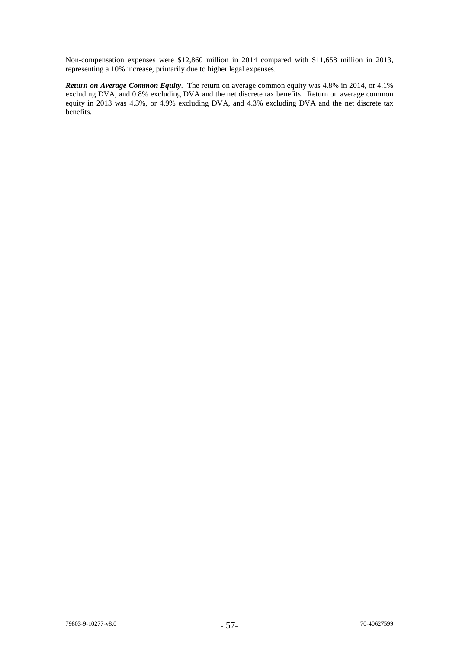Non-compensation expenses were \$12,860 million in 2014 compared with \$11,658 million in 2013, representing a 10% increase, primarily due to higher legal expenses.

*Return on Average Common Equity*. The return on average common equity was 4.8% in 2014, or 4.1% excluding DVA, and 0.8% excluding DVA and the net discrete tax benefits. Return on average common equity in 2013 was 4.3%, or 4.9% excluding DVA, and 4.3% excluding DVA and the net discrete tax benefits.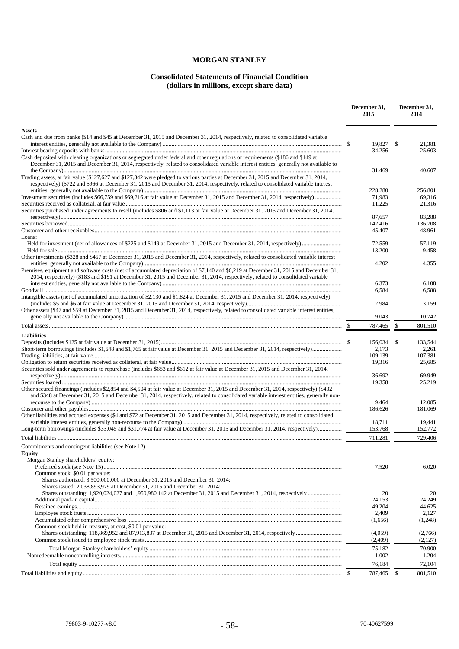# **MORGAN STANLEY**

# **Consolidated Statements of Financial Condition (dollars in millions, except share data)**

|                                                                                                                                                                                                                                                                                                                            |                    | December 31,<br>2014 |                    |
|----------------------------------------------------------------------------------------------------------------------------------------------------------------------------------------------------------------------------------------------------------------------------------------------------------------------------|--------------------|----------------------|--------------------|
| <b>Assets</b>                                                                                                                                                                                                                                                                                                              |                    |                      |                    |
| Cash and due from banks (\$14 and \$45 at December 31, 2015 and December 31, 2014, respectively, related to consolidated variable                                                                                                                                                                                          | 19,827             | - \$                 | 21,381             |
|                                                                                                                                                                                                                                                                                                                            | 34,256             |                      | 25,603             |
| Cash deposited with clearing organizations or segregated under federal and other regulations or requirements (\$186 and \$149 at<br>December 31, 2015 and December 31, 2014, respectively, related to consolidated variable interest entities, generally not available to                                                  |                    |                      | 40,607             |
| Trading assets, at fair value (\$127,627 and \$127,342 were pledged to various parties at December 31, 2015 and December 31, 2014,<br>respectively) (\$722 and \$966 at December 31, 2015 and December 31, 2014, respectively, related to consolidated variable interest                                                   | 31,469             |                      |                    |
|                                                                                                                                                                                                                                                                                                                            | 228,280<br>71.983  |                      | 256,801<br>69.316  |
|                                                                                                                                                                                                                                                                                                                            | 11,225             |                      | 21.316             |
| Securities purchased under agreements to resell (includes \$806 and \$1,113 at fair value at December 31, 2015 and December 31, 2014,                                                                                                                                                                                      | 87,657             |                      | 83,288             |
|                                                                                                                                                                                                                                                                                                                            | 142,416            |                      | 136,708            |
| Loans:                                                                                                                                                                                                                                                                                                                     | 45,407             |                      | 48,961             |
|                                                                                                                                                                                                                                                                                                                            | 72,559<br>13,200   |                      | 57,119<br>9,458    |
| Other investments (\$328 and \$467 at December 31, 2015 and December 31, 2014, respectively, related to consolidated variable interest                                                                                                                                                                                     |                    |                      |                    |
| Premises, equipment and software costs (net of accumulated depreciation of \$7,140 and \$6,219 at December 31, 2015 and December 31,                                                                                                                                                                                       | 4,202              |                      | 4,355              |
| 2014, respectively) (\$183 and \$191 at December 31, 2015 and December 31, 2014, respectively, related to consolidated variable                                                                                                                                                                                            |                    |                      |                    |
|                                                                                                                                                                                                                                                                                                                            | 6,373              |                      | 6,108              |
| Intangible assets (net of accumulated amortization of \$2,130 and \$1,824 at December 31, 2015 and December 31, 2014, respectively)                                                                                                                                                                                        | 6,584<br>2.984     |                      | 6,588<br>3,159     |
| Other assets (\$47 and \$59 at December 31, 2015 and December 31, 2014, respectively, related to consolidated variable interest entities,                                                                                                                                                                                  | 9,043              |                      | 10,742             |
|                                                                                                                                                                                                                                                                                                                            | 787,465            | $\frac{1}{2}$        | 801,510            |
| <b>Liabilities</b>                                                                                                                                                                                                                                                                                                         |                    |                      |                    |
| Deposits (includes \$125 at fair value at December 31, 2015). $\ldots$ . $\ldots$ . $\ldots$ . $\ldots$ . $\ldots$ . $\ldots$ . $\ldots$ . $\ldots$ . $\ldots$ . $\ldots$ . $\ldots$ . $\ldots$ . $\ldots$ . $\ldots$ . $\ldots$ . $\ldots$ . $\ldots$ . $\ldots$ . $\ldots$ . $\ldots$ . $\ldots$ . $\ldots$ . $\ldots$ . | 156,034 \$         |                      | 133,544            |
|                                                                                                                                                                                                                                                                                                                            | 2,173              |                      | 2,261              |
|                                                                                                                                                                                                                                                                                                                            | 109,139            |                      | 107,381            |
|                                                                                                                                                                                                                                                                                                                            | 19,316             |                      | 25,685             |
| Securities sold under agreements to repurchase (includes \$683 and \$612 at fair value at December 31, 2015 and December 31, 2014,                                                                                                                                                                                         | 36,692             |                      | 69,949             |
|                                                                                                                                                                                                                                                                                                                            | 19,358             |                      | 25,219             |
| Other secured financings (includes \$2,854 and \$4,504 at fair value at December 31, 2015 and December 31, 2014, respectively) (\$432<br>and \$348 at December 31, 2015 and December 31, 2014, respectively, related to consolidated variable interest entities, generally non-                                            |                    |                      |                    |
|                                                                                                                                                                                                                                                                                                                            | 9,464<br>186,626   |                      | 12,085<br>181,069  |
| Other liabilities and accrued expenses (\$4 and \$72 at December 31, 2015 and December 31, 2014, respectively, related to consolidated                                                                                                                                                                                     | 18,711             |                      | 19,441             |
| Long-term borrowings (includes \$33,045 and \$31,774 at fair value at December 31, 2015 and December 31, 2014, respectively)                                                                                                                                                                                               | 153,768            |                      | 152,772            |
|                                                                                                                                                                                                                                                                                                                            | 711,281            |                      | 729,406            |
| Commitments and contingent liabilities (see Note 12)<br><b>Equity</b>                                                                                                                                                                                                                                                      |                    |                      |                    |
| Morgan Stanley shareholders' equity:                                                                                                                                                                                                                                                                                       |                    |                      |                    |
|                                                                                                                                                                                                                                                                                                                            | 7,520              |                      | 6,020              |
| Common stock, \$0.01 par value:<br>Shares authorized: 3,500,000,000 at December 31, 2015 and December 31, 2014;<br>Shares issued: 2,038,893,979 at December 31, 2015 and December 31, 2014;                                                                                                                                |                    |                      |                    |
|                                                                                                                                                                                                                                                                                                                            | 20                 |                      | 20                 |
|                                                                                                                                                                                                                                                                                                                            | 24,153             |                      | 24.249             |
|                                                                                                                                                                                                                                                                                                                            | 49,204             |                      | 44,625             |
|                                                                                                                                                                                                                                                                                                                            | 2,409              |                      | 2,127              |
|                                                                                                                                                                                                                                                                                                                            | (1,656)            |                      | (1,248)            |
| Common stock held in treasury, at cost, \$0.01 par value:                                                                                                                                                                                                                                                                  | (4,059)<br>(2,409) |                      | (2,766)<br>(2,127) |
|                                                                                                                                                                                                                                                                                                                            | 75,182             |                      | 70,900             |
|                                                                                                                                                                                                                                                                                                                            | 1,002              |                      | 1,204              |
|                                                                                                                                                                                                                                                                                                                            | 76,184             |                      | 72,104             |
|                                                                                                                                                                                                                                                                                                                            | 787,465            | - \$                 | 801,510            |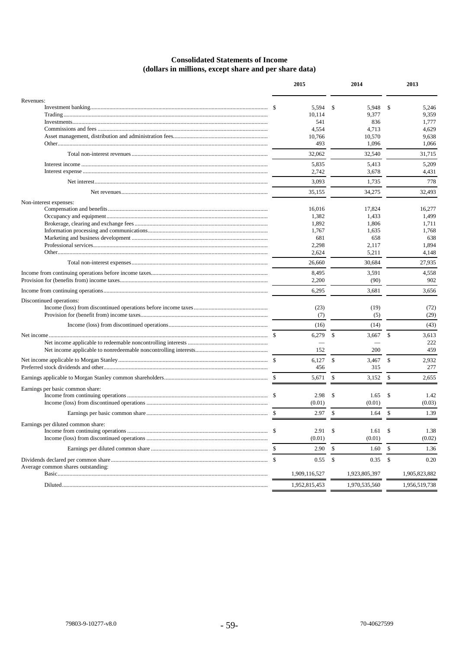# **Consolidated Statements of Income** (dollars in millions, except share and per share data)

|                                    | 2015          |                    | 2014          |                    | 2013          |
|------------------------------------|---------------|--------------------|---------------|--------------------|---------------|
| Revenues:                          |               |                    |               |                    |               |
|                                    | 5,594         | \$                 | 5,948         | \$                 | 5,246         |
|                                    | 10,114        |                    | 9,377         |                    | 9,359         |
|                                    | 541           |                    | 836           |                    | 1,777         |
|                                    | 4,554         |                    | 4,713         |                    | 4,629         |
|                                    | 10,766        |                    | 10,570        |                    | 9,638         |
|                                    | 493           |                    | 1,096         |                    | 1,066         |
|                                    | 32,062        |                    | 32,540        |                    | 31,715        |
|                                    | 5,835         |                    | 5,413         |                    | 5,209         |
|                                    | 2,742         |                    | 3,678         |                    | 4,431         |
|                                    | 3,093         |                    | 1,735         |                    | 778           |
|                                    | 35,155        |                    | 34,275        |                    | 32,493        |
| Non-interest expenses:             |               |                    |               |                    |               |
|                                    | 16,016        |                    | 17,824        |                    | 16,277        |
|                                    | 1,382         |                    | 1,433         |                    | 1,499         |
|                                    |               |                    |               |                    |               |
|                                    | 1,892         |                    | 1,806         |                    | 1,711         |
|                                    | 1,767         |                    | 1,635         |                    | 1,768         |
|                                    | 681           |                    | 658           |                    | 638           |
|                                    | 2,298         |                    | 2,117         |                    | 1,894         |
|                                    | 2,624         |                    | 5,211         |                    | 4,148         |
|                                    | 26,660        |                    | 30,684        |                    | 27,935        |
|                                    | 8,495         |                    | 3,591         |                    | 4,558         |
|                                    | 2,200         |                    | (90)          |                    | 902           |
|                                    | 6,295         |                    | 3,681         |                    | 3,656         |
| Discontinued operations:           |               |                    |               |                    |               |
|                                    | (23)          |                    | (19)          |                    | (72)          |
|                                    | (7)           |                    | (5)           |                    | (29)          |
|                                    | (16)          |                    | (14)          |                    | (43)          |
|                                    | 6,279         | \$                 | 3,667         | \$                 | 3,613         |
|                                    |               |                    |               |                    | 222           |
|                                    | 152           |                    | 200           |                    | 459           |
|                                    | 6,127         | $\mathbb{S}$       | 3,467         | $\mathbf{\hat{S}}$ | 2,932         |
|                                    | 456           |                    | 315           |                    | 277           |
|                                    | 5,671         | \$                 | 3,152         | \$                 | 2,655         |
| Earnings per basic common share:   |               |                    |               |                    |               |
|                                    | 2.98          | -S                 | 1.65          | -\$                | 1.42          |
|                                    | (0.01)        |                    | (0.01)        |                    | (0.03)        |
|                                    | 2.97          | $\mathbf{\hat{S}}$ | 1.64          | \$                 | 1.39          |
|                                    |               |                    |               |                    |               |
| Earnings per diluted common share: |               |                    |               |                    |               |
|                                    |               | 2.91S              | 1.61          | -\$                | 1.38          |
|                                    | (0.01)        |                    | (0.01)        |                    | (0.02)        |
|                                    | 2.90          | \$                 | 1.60          | \$                 | 1.36          |
|                                    | 0.55          | -\$                | 0.35          | $\sqrt{3}$         | 0.20          |
| Average common shares outstanding: | 1,909,116,527 |                    | 1,923,805,397 |                    | 1,905,823,882 |
|                                    | 1,952,815,453 |                    | 1,970,535,560 |                    | 1,956,519,738 |
|                                    |               |                    |               |                    |               |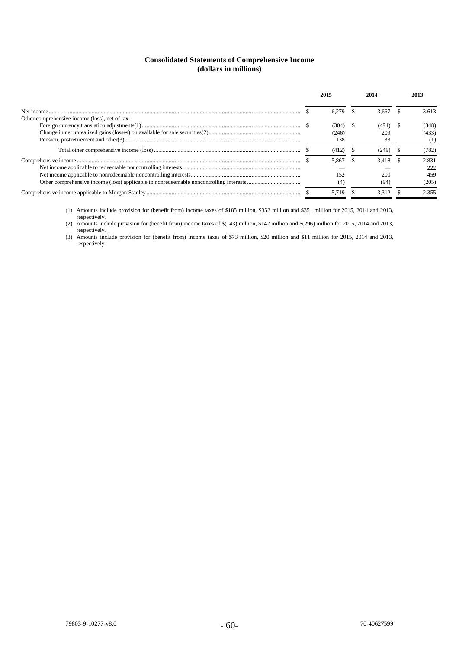# **Consolidated Statements of Comprehensive Income (dollars in millions)**

|                                                |       | 3 667 | 3.613 |
|------------------------------------------------|-------|-------|-------|
| Other comprehensive income (loss), net of tax: |       |       |       |
|                                                |       | (491) | (348) |
|                                                | 246)  | 209   | (433) |
|                                                | 138   |       | (1)   |
|                                                |       | (249) | (782) |
|                                                | 5.867 | 3.418 | 2.831 |
|                                                |       |       | 222   |
|                                                | 152   | 200   | 459   |
|                                                |       | (94)  | (205) |
|                                                |       |       | 2.355 |

(1) Amounts include provision for (benefit from) income taxes of \$185 million, \$352 million and \$351 million for 2015, 2014 and 2013, respectively.

(2) Amounts include provision for (benefit from) income taxes of \$(143) million, \$142 million and \$(296) million for 2015, 2014 and 2013, respectively.

(3) Amounts include provision for (benefit from) income taxes of \$73 million, \$20 million and \$11 million for 2015, 2014 and 2013, respectively.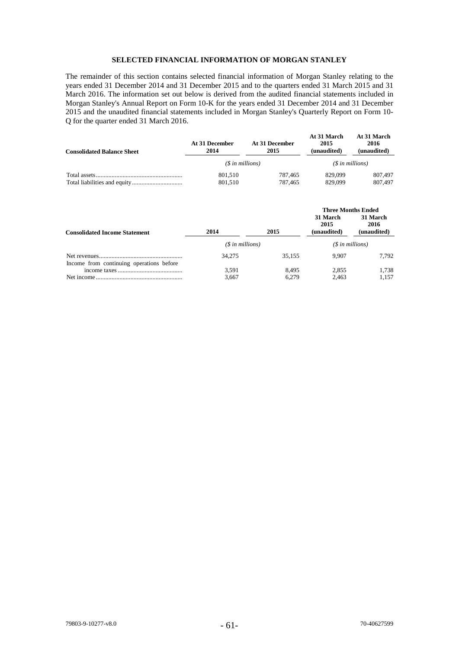# **SELECTED FINANCIAL INFORMATION OF MORGAN STANLEY**

The remainder of this section contains selected financial information of Morgan Stanley relating to the years ended 31 December 2014 and 31 December 2015 and to the quarters ended 31 March 2015 and 31 March 2016. The information set out below is derived from the audited financial statements included in Morgan Stanley's Annual Report on Form 10-K for the years ended 31 December 2014 and 31 December 2015 and the unaudited financial statements included in Morgan Stanley's Quarterly Report on Form 10- Q for the quarter ended 31 March 2016.

| <b>Consolidated Balance Sheet</b> | At 31 December<br>2014 | At 31 December<br>2015 | <b>At 31 March</b><br>2015<br>(unaudited) | At 31 March<br>2016<br>(unaudited) |
|-----------------------------------|------------------------|------------------------|-------------------------------------------|------------------------------------|
|                                   |                        | $(S \in millions)$     | $(S$ in millions)                         |                                    |
|                                   | 801.510                | 787.465                | 829.099                                   | 807,497                            |
|                                   | 801.510                | 787.465                | 829.099                                   | 807,497                            |

| <b>Consolidated Income Statement</b>     | 2014               | 2015   | <b>Three Months Ended</b><br>31 March<br>31 March<br>2016<br>2015<br>(unaudited)<br>(unaudited) |       |
|------------------------------------------|--------------------|--------|-------------------------------------------------------------------------------------------------|-------|
|                                          | $(S \in millions)$ |        | $(S \in millions)$                                                                              |       |
| Income from continuing operations before | 34,275             | 35.155 | 9.907                                                                                           | 7.792 |
|                                          | 3,591              | 8.495  | 2.855                                                                                           | 1.738 |
|                                          | 3.667              | 6.279  | 2.463                                                                                           | 1.157 |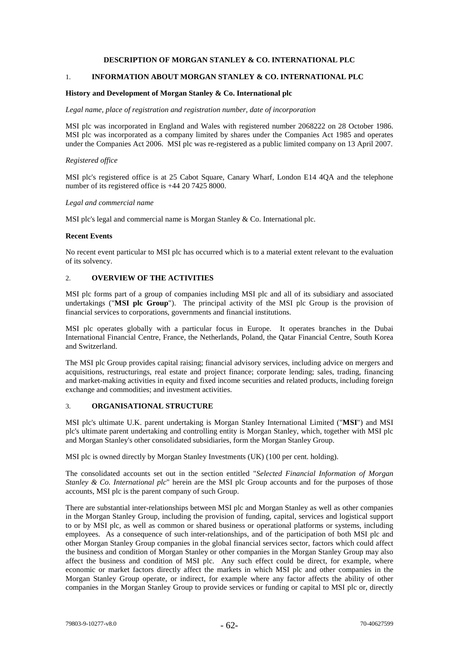# **DESCRIPTION OF MORGAN STANLEY & CO. INTERNATIONAL PLC**

# 1. **INFORMATION ABOUT MORGAN STANLEY & CO. INTERNATIONAL PLC**

### **History and Development of Morgan Stanley & Co. International plc**

#### *Legal name, place of registration and registration number, date of incorporation*

MSI plc was incorporated in England and Wales with registered number 2068222 on 28 October 1986. MSI plc was incorporated as a company limited by shares under the Companies Act 1985 and operates under the Companies Act 2006. MSI plc was re-registered as a public limited company on 13 April 2007.

#### *Registered office*

MSI plc's registered office is at 25 Cabot Square, Canary Wharf, London E14 4QA and the telephone number of its registered office is +44 20 7425 8000.

#### *Legal and commercial name*

MSI plc's legal and commercial name is Morgan Stanley & Co. International plc.

### **Recent Events**

No recent event particular to MSI plc has occurred which is to a material extent relevant to the evaluation of its solvency.

# 2. **OVERVIEW OF THE ACTIVITIES**

MSI plc forms part of a group of companies including MSI plc and all of its subsidiary and associated undertakings ("**MSI plc Group**"). The principal activity of the MSI plc Group is the provision of financial services to corporations, governments and financial institutions.

MSI plc operates globally with a particular focus in Europe. It operates branches in the Dubai International Financial Centre, France, the Netherlands, Poland, the Qatar Financial Centre, South Korea and Switzerland.

The MSI plc Group provides capital raising; financial advisory services, including advice on mergers and acquisitions, restructurings, real estate and project finance; corporate lending; sales, trading, financing and market-making activities in equity and fixed income securities and related products, including foreign exchange and commodities; and investment activities.

# 3. **ORGANISATIONAL STRUCTURE**

MSI plc's ultimate U.K. parent undertaking is Morgan Stanley International Limited ("**MSI**") and MSI plc's ultimate parent undertaking and controlling entity is Morgan Stanley, which, together with MSI plc and Morgan Stanley's other consolidated subsidiaries, form the Morgan Stanley Group.

MSI plc is owned directly by Morgan Stanley Investments (UK) (100 per cent. holding).

The consolidated accounts set out in the section entitled "*Selected Financial Information of Morgan Stanley & Co. International plc*" herein are the MSI plc Group accounts and for the purposes of those accounts, MSI plc is the parent company of such Group.

There are substantial inter-relationships between MSI plc and Morgan Stanley as well as other companies in the Morgan Stanley Group, including the provision of funding, capital, services and logistical support to or by MSI plc, as well as common or shared business or operational platforms or systems, including employees. As a consequence of such inter-relationships, and of the participation of both MSI plc and other Morgan Stanley Group companies in the global financial services sector, factors which could affect the business and condition of Morgan Stanley or other companies in the Morgan Stanley Group may also affect the business and condition of MSI plc. Any such effect could be direct, for example, where economic or market factors directly affect the markets in which MSI plc and other companies in the Morgan Stanley Group operate, or indirect, for example where any factor affects the ability of other companies in the Morgan Stanley Group to provide services or funding or capital to MSI plc or, directly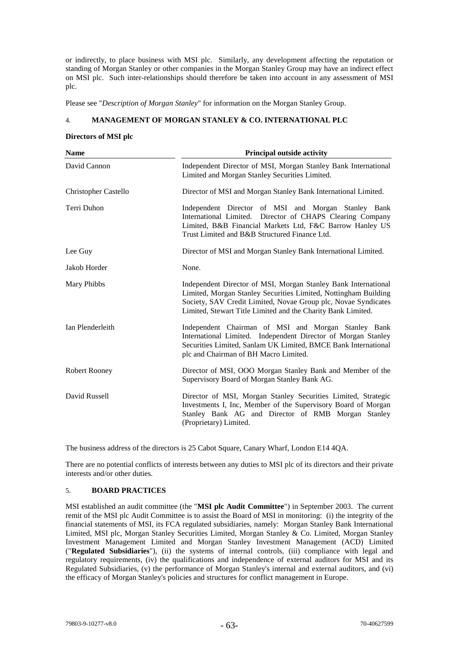or indirectly, to place business with MSI plc. Similarly, any development affecting the reputation or standing of Morgan Stanley or other companies in the Morgan Stanley Group may have an indirect effect on MSI plc. Such inter-relationships should therefore be taken into account in any assessment of MSI plc.

Please see "*Description of Morgan Stanley*" for information on the Morgan Stanley Group.

# 4. **MANAGEMENT OF MORGAN STANLEY & CO. INTERNATIONAL PLC**

### **Directors of MSI plc**

| <b>Name</b>                 | <b>Principal outside activity</b>                                                                                                                                                                                                                                   |  |  |
|-----------------------------|---------------------------------------------------------------------------------------------------------------------------------------------------------------------------------------------------------------------------------------------------------------------|--|--|
| David Cannon                | Independent Director of MSI, Morgan Stanley Bank International<br>Limited and Morgan Stanley Securities Limited.                                                                                                                                                    |  |  |
| <b>Christopher Castello</b> | Director of MSI and Morgan Stanley Bank International Limited.                                                                                                                                                                                                      |  |  |
| Terri Duhon                 | Independent Director of MSI and Morgan Stanley Bank<br>International Limited. Director of CHAPS Clearing Company<br>Limited, B&B Financial Markets Ltd, F&C Barrow Hanley US<br>Trust Limited and B&B Structured Finance Ltd.                                       |  |  |
| Lee Guy                     | Director of MSI and Morgan Stanley Bank International Limited.                                                                                                                                                                                                      |  |  |
| Jakob Horder                | None.                                                                                                                                                                                                                                                               |  |  |
| Mary Phibbs                 | Independent Director of MSI, Morgan Stanley Bank International<br>Limited, Morgan Stanley Securities Limited, Nottingham Building<br>Society, SAV Credit Limited, Novae Group plc, Novae Syndicates<br>Limited, Stewart Title Limited and the Charity Bank Limited. |  |  |
| Ian Plenderleith            | Independent Chairman of MSI and Morgan Stanley Bank<br>International Limited. Independent Director of Morgan Stanley<br>Securities Limited, Sanlam UK Limited, BMCE Bank International<br>plc and Chairman of BH Macro Limited.                                     |  |  |
| Robert Rooney               | Director of MSI, OOO Morgan Stanley Bank and Member of the<br>Supervisory Board of Morgan Stanley Bank AG.                                                                                                                                                          |  |  |
| David Russell               | Director of MSI, Morgan Stanley Securities Limited, Strategic<br>Investments I, Inc, Member of the Supervisory Board of Morgan<br>Stanley Bank AG and Director of RMB Morgan Stanley<br>(Proprietary) Limited.                                                      |  |  |

The business address of the directors is 25 Cabot Square, Canary Wharf, London E14 4QA.

There are no potential conflicts of interests between any duties to MSI plc of its directors and their private interests and/or other duties.

# 5. **BOARD PRACTICES**

MSI established an audit committee (the "**MSI plc Audit Committee**") in September 2003. The current remit of the MSI plc Audit Committee is to assist the Board of MSI in monitoring: (i) the integrity of the financial statements of MSI, its FCA regulated subsidiaries, namely: Morgan Stanley Bank International Limited, MSI plc, Morgan Stanley Securities Limited, Morgan Stanley & Co. Limited, Morgan Stanley Investment Management Limited and Morgan Stanley Investment Management (ACD) Limited ("**Regulated Subsidiaries**"), (ii) the systems of internal controls, (iii) compliance with legal and regulatory requirements, (iv) the qualifications and independence of external auditors for MSI and its Regulated Subsidiaries, (v) the performance of Morgan Stanley's internal and external auditors, and (vi) the efficacy of Morgan Stanley's policies and structures for conflict management in Europe.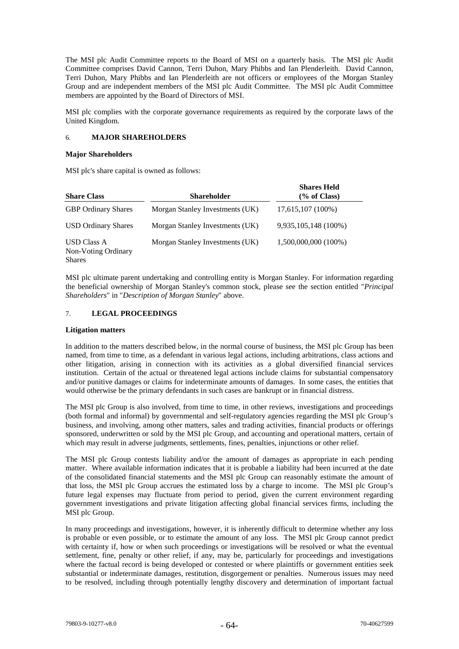The MSI plc Audit Committee reports to the Board of MSI on a quarterly basis. The MSI plc Audit Committee comprises David Cannon, Terri Duhon, Mary Phibbs and Ian Plenderleith. David Cannon, Terri Duhon, Mary Phibbs and Ian Plenderleith are not officers or employees of the Morgan Stanley Group and are independent members of the MSI plc Audit Committee. The MSI plc Audit Committee members are appointed by the Board of Directors of MSI.

MSI plc complies with the corporate governance requirements as required by the corporate laws of the United Kingdom.

### 6. **MAJOR SHAREHOLDERS**

#### **Major Shareholders**

MSI plc's share capital is owned as follows:

| <b>Share Class</b>                                         | <b>Shareholder</b>              | <b>Shares Held</b><br>(% of Class) |
|------------------------------------------------------------|---------------------------------|------------------------------------|
| <b>GBP</b> Ordinary Shares                                 | Morgan Stanley Investments (UK) | 17,615,107 (100%)                  |
| <b>USD Ordinary Shares</b>                                 | Morgan Stanley Investments (UK) | 9,935,105,148 (100%)               |
| <b>USD Class A</b><br>Non-Voting Ordinary<br><b>Shares</b> | Morgan Stanley Investments (UK) | 1,500,000,000 (100%)               |

MSI plc ultimate parent undertaking and controlling entity is Morgan Stanley. For information regarding the beneficial ownership of Morgan Stanley's common stock, please see the section entitled "*Principal Shareholders*" in "*Description of Morgan Stanley*" above.

### 7. **LEGAL PROCEEDINGS**

#### **Litigation matters**

In addition to the matters described below, in the normal course of business, the MSI plc Group has been named, from time to time, as a defendant in various legal actions, including arbitrations, class actions and other litigation, arising in connection with its activities as a global diversified financial services institution. Certain of the actual or threatened legal actions include claims for substantial compensatory and/or punitive damages or claims for indeterminate amounts of damages. In some cases, the entities that would otherwise be the primary defendants in such cases are bankrupt or in financial distress.

The MSI plc Group is also involved, from time to time, in other reviews, investigations and proceedings (both formal and informal) by governmental and self-regulatory agencies regarding the MSI plc Group's business, and involving, among other matters, sales and trading activities, financial products or offerings sponsored, underwritten or sold by the MSI plc Group, and accounting and operational matters, certain of which may result in adverse judgments, settlements, fines, penalties, injunctions or other relief.

The MSI plc Group contests liability and/or the amount of damages as appropriate in each pending matter. Where available information indicates that it is probable a liability had been incurred at the date of the consolidated financial statements and the MSI plc Group can reasonably estimate the amount of that loss, the MSI plc Group accrues the estimated loss by a charge to income. The MSI plc Group's future legal expenses may fluctuate from period to period, given the current environment regarding government investigations and private litigation affecting global financial services firms, including the MSI plc Group.

In many proceedings and investigations, however, it is inherently difficult to determine whether any loss is probable or even possible, or to estimate the amount of any loss. The MSI plc Group cannot predict with certainty if, how or when such proceedings or investigations will be resolved or what the eventual settlement, fine, penalty or other relief, if any, may be, particularly for proceedings and investigations where the factual record is being developed or contested or where plaintiffs or government entities seek substantial or indeterminate damages, restitution, disgorgement or penalties. Numerous issues may need to be resolved, including through potentially lengthy discovery and determination of important factual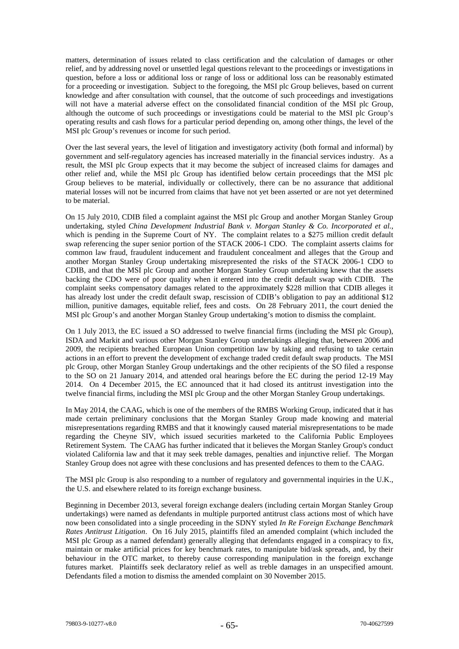matters, determination of issues related to class certification and the calculation of damages or other relief, and by addressing novel or unsettled legal questions relevant to the proceedings or investigations in question, before a loss or additional loss or range of loss or additional loss can be reasonably estimated for a proceeding or investigation. Subject to the foregoing, the MSI plc Group believes, based on current knowledge and after consultation with counsel, that the outcome of such proceedings and investigations will not have a material adverse effect on the consolidated financial condition of the MSI plc Group, although the outcome of such proceedings or investigations could be material to the MSI plc Group's operating results and cash flows for a particular period depending on, among other things, the level of the MSI plc Group's revenues or income for such period.

Over the last several years, the level of litigation and investigatory activity (both formal and informal) by government and self-regulatory agencies has increased materially in the financial services industry. As a result, the MSI plc Group expects that it may become the subject of increased claims for damages and other relief and, while the MSI plc Group has identified below certain proceedings that the MSI plc Group believes to be material, individually or collectively, there can be no assurance that additional material losses will not be incurred from claims that have not yet been asserted or are not yet determined to be material.

On 15 July 2010, CDIB filed a complaint against the MSI plc Group and another Morgan Stanley Group undertaking, styled *China Development Industrial Bank v. Morgan Stanley & Co. Incorporated et al.*, which is pending in the Supreme Court of NY. The complaint relates to a \$275 million credit default swap referencing the super senior portion of the STACK 2006-1 CDO. The complaint asserts claims for common law fraud, fraudulent inducement and fraudulent concealment and alleges that the Group and another Morgan Stanley Group undertaking misrepresented the risks of the STACK 2006-1 CDO to CDIB, and that the MSI plc Group and another Morgan Stanley Group undertaking knew that the assets backing the CDO were of poor quality when it entered into the credit default swap with CDIB. The complaint seeks compensatory damages related to the approximately \$228 million that CDIB alleges it has already lost under the credit default swap, rescission of CDIB's obligation to pay an additional \$12 million, punitive damages, equitable relief, fees and costs. On 28 February 2011, the court denied the MSI plc Group's and another Morgan Stanley Group undertaking's motion to dismiss the complaint.

On 1 July 2013, the EC issued a SO addressed to twelve financial firms (including the MSI plc Group), ISDA and Markit and various other Morgan Stanley Group undertakings alleging that, between 2006 and 2009, the recipients breached European Union competition law by taking and refusing to take certain actions in an effort to prevent the development of exchange traded credit default swap products. The MSI plc Group, other Morgan Stanley Group undertakings and the other recipients of the SO filed a response to the SO on 21 January 2014, and attended oral hearings before the EC during the period 12-19 May 2014. On 4 December 2015, the EC announced that it had closed its antitrust investigation into the twelve financial firms, including the MSI plc Group and the other Morgan Stanley Group undertakings.

In May 2014, the CAAG, which is one of the members of the RMBS Working Group, indicated that it has made certain preliminary conclusions that the Morgan Stanley Group made knowing and material misrepresentations regarding RMBS and that it knowingly caused material misrepresentations to be made regarding the Cheyne SIV, which issued securities marketed to the California Public Employees Retirement System. The CAAG has further indicated that it believes the Morgan Stanley Group's conduct violated California law and that it may seek treble damages, penalties and injunctive relief. The Morgan Stanley Group does not agree with these conclusions and has presented defences to them to the CAAG.

The MSI plc Group is also responding to a number of regulatory and governmental inquiries in the U.K., the U.S. and elsewhere related to its foreign exchange business.

Beginning in December 2013, several foreign exchange dealers (including certain Morgan Stanley Group undertakings) were named as defendants in multiple purported antitrust class actions most of which have now been consolidated into a single proceeding in the SDNY styled *In Re Foreign Exchange Benchmark Rates Antitrust Litigation*. On 16 July 2015, plaintiffs filed an amended complaint (which included the MSI plc Group as a named defendant) generally alleging that defendants engaged in a conspiracy to fix, maintain or make artificial prices for key benchmark rates, to manipulate bid/ask spreads, and, by their behaviour in the OTC market, to thereby cause corresponding manipulation in the foreign exchange futures market. Plaintiffs seek declaratory relief as well as treble damages in an unspecified amount. Defendants filed a motion to dismiss the amended complaint on 30 November 2015.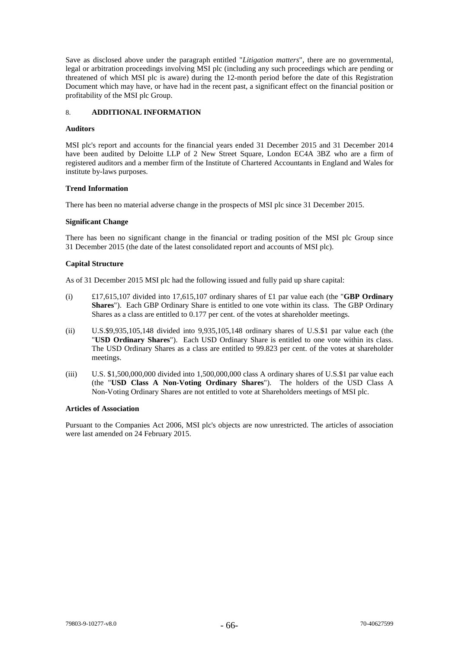Save as disclosed above under the paragraph entitled "*Litigation matters*", there are no governmental, legal or arbitration proceedings involving MSI plc (including any such proceedings which are pending or threatened of which MSI plc is aware) during the 12-month period before the date of this Registration Document which may have, or have had in the recent past, a significant effect on the financial position or profitability of the MSI plc Group.

# 8. **ADDITIONAL INFORMATION**

### **Auditors**

MSI plc's report and accounts for the financial years ended 31 December 2015 and 31 December 2014 have been audited by Deloitte LLP of 2 New Street Square, London EC4A 3BZ who are a firm of registered auditors and a member firm of the Institute of Chartered Accountants in England and Wales for institute by-laws purposes.

### **Trend Information**

There has been no material adverse change in the prospects of MSI plc since 31 December 2015.

### **Significant Change**

There has been no significant change in the financial or trading position of the MSI plc Group since 31 December 2015 (the date of the latest consolidated report and accounts of MSI plc).

### **Capital Structure**

As of 31 December 2015 MSI plc had the following issued and fully paid up share capital:

- (i) £17,615,107 divided into 17,615,107 ordinary shares of £1 par value each (the "**GBP Ordinary Shares**"). Each GBP Ordinary Share is entitled to one vote within its class. The GBP Ordinary Shares as a class are entitled to 0.177 per cent. of the votes at shareholder meetings.
- (ii) U.S.\$9,935,105,148 divided into 9,935,105,148 ordinary shares of U.S.\$1 par value each (the "**USD Ordinary Shares**"). Each USD Ordinary Share is entitled to one vote within its class. The USD Ordinary Shares as a class are entitled to 99.823 per cent. of the votes at shareholder meetings.
- (iii) U.S. \$1,500,000,000 divided into 1,500,000,000 class A ordinary shares of U.S.\$1 par value each (the "**USD Class A Non-Voting Ordinary Shares**"). The holders of the USD Class A Non-Voting Ordinary Shares are not entitled to vote at Shareholders meetings of MSI plc.

#### **Articles of Association**

Pursuant to the Companies Act 2006, MSI plc's objects are now unrestricted. The articles of association were last amended on 24 February 2015.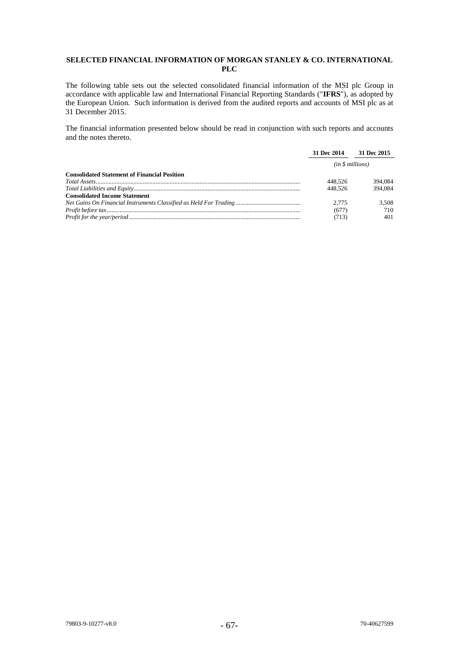# **SELECTED FINANCIAL INFORMATION OF MORGAN STANLEY & CO. INTERNATIONAL PLC**

The following table sets out the selected consolidated financial information of the MSI plc Group in accordance with applicable law and International Financial Reporting Standards ("**IFRS**"), as adopted by the European Union. Such information is derived from the audited reports and accounts of MSI plc as at 31 December 2015.

The financial information presented below should be read in conjunction with such reports and accounts and the notes thereto.

|                                                     | 31 Dec 2014     | 31 Dec 2015 |
|-----------------------------------------------------|-----------------|-------------|
|                                                     | (in \$millions) |             |
| <b>Consolidated Statement of Financial Position</b> |                 |             |
|                                                     | 448.526         | 394,084     |
|                                                     | 448.526         | 394.084     |
| <b>Consolidated Income Statement</b>                |                 |             |
|                                                     | 2.775           | 3.508       |
|                                                     | (677)           | 710         |
|                                                     | (713)           | 401         |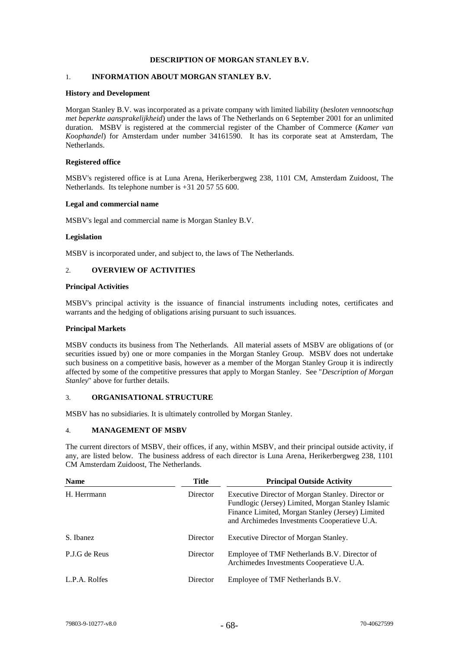# **DESCRIPTION OF MORGAN STANLEY B.V.**

# 1. **INFORMATION ABOUT MORGAN STANLEY B.V.**

### **History and Development**

Morgan Stanley B.V. was incorporated as a private company with limited liability (*besloten vennootschap met beperkte aansprakelijkheid*) under the laws of The Netherlands on 6 September 2001 for an unlimited duration. MSBV is registered at the commercial register of the Chamber of Commerce (*Kamer van Koophandel*) for Amsterdam under number 34161590. It has its corporate seat at Amsterdam, The Netherlands.

### **Registered office**

MSBV's registered office is at Luna Arena, Herikerbergweg 238, 1101 CM, Amsterdam Zuidoost, The Netherlands. Its telephone number is +31 20 57 55 600.

#### **Legal and commercial name**

MSBV's legal and commercial name is Morgan Stanley B.V.

### **Legislation**

MSBV is incorporated under, and subject to, the laws of The Netherlands.

# 2. **OVERVIEW OF ACTIVITIES**

### **Principal Activities**

MSBV's principal activity is the issuance of financial instruments including notes, certificates and warrants and the hedging of obligations arising pursuant to such issuances.

#### **Principal Markets**

MSBV conducts its business from The Netherlands. All material assets of MSBV are obligations of (or securities issued by) one or more companies in the Morgan Stanley Group. MSBV does not undertake such business on a competitive basis, however as a member of the Morgan Stanley Group it is indirectly affected by some of the competitive pressures that apply to Morgan Stanley. See "*Description of Morgan Stanley*" above for further details.

#### 3. **ORGANISATIONAL STRUCTURE**

MSBV has no subsidiaries. It is ultimately controlled by Morgan Stanley.

#### 4. **MANAGEMENT OF MSBV**

The current directors of MSBV, their offices, if any, within MSBV, and their principal outside activity, if any, are listed below. The business address of each director is Luna Arena, Herikerbergweg 238, 1101 CM Amsterdam Zuidoost, The Netherlands.

| <b>Name</b>   | Title    | <b>Principal Outside Activity</b>                                                                                                                                                                           |
|---------------|----------|-------------------------------------------------------------------------------------------------------------------------------------------------------------------------------------------------------------|
| H. Herrmann   | Director | Executive Director of Morgan Stanley. Director or<br>Fundlogic (Jersey) Limited, Morgan Stanley Islamic<br>Finance Limited, Morgan Stanley (Jersey) Limited<br>and Archimedes Investments Cooperatieve U.A. |
| S. Ibanez     | Director | Executive Director of Morgan Stanley.                                                                                                                                                                       |
| P.J.G de Reus | Director | Employee of TMF Netherlands B.V. Director of<br>Archimedes Investments Cooperatieve U.A.                                                                                                                    |
| L.P.A. Rolfes | Director | Employee of TMF Netherlands B.V.                                                                                                                                                                            |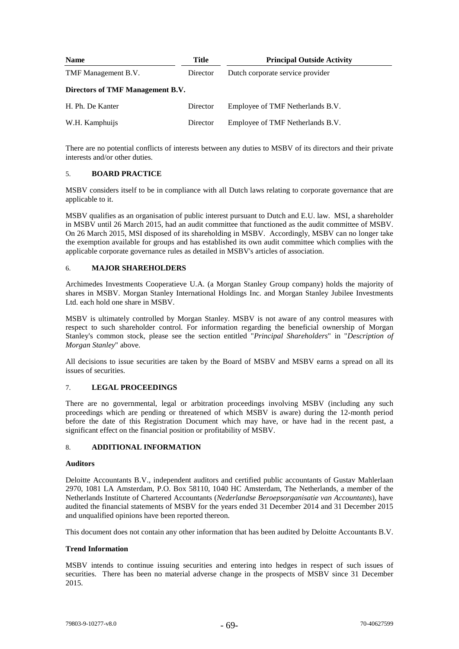| <b>Name</b>                      | Title    | <b>Principal Outside Activity</b> |
|----------------------------------|----------|-----------------------------------|
| TMF Management B.V.              | Director | Dutch corporate service provider  |
| Directors of TMF Management B.V. |          |                                   |
| H. Ph. De Kanter                 | Director | Employee of TMF Netherlands B.V.  |
| W.H. Kamphuijs                   | Director | Employee of TMF Netherlands B.V.  |

There are no potential conflicts of interests between any duties to MSBV of its directors and their private interests and/or other duties.

# 5. **BOARD PRACTICE**

MSBV considers itself to be in compliance with all Dutch laws relating to corporate governance that are applicable to it.

MSBV qualifies as an organisation of public interest pursuant to Dutch and E.U. law. MSI, a shareholder in MSBV until 26 March 2015, had an audit committee that functioned as the audit committee of MSBV. On 26 March 2015, MSI disposed of its shareholding in MSBV. Accordingly, MSBV can no longer take the exemption available for groups and has established its own audit committee which complies with the applicable corporate governance rules as detailed in MSBV's articles of association.

## 6. **MAJOR SHAREHOLDERS**

Archimedes Investments Cooperatieve U.A. (a Morgan Stanley Group company) holds the majority of shares in MSBV. Morgan Stanley International Holdings Inc. and Morgan Stanley Jubilee Investments Ltd. each hold one share in MSBV.

MSBV is ultimately controlled by Morgan Stanley. MSBV is not aware of any control measures with respect to such shareholder control. For information regarding the beneficial ownership of Morgan Stanley's common stock, please see the section entitled "*Principal Shareholders*" in "*Description of Morgan Stanley*" above.

All decisions to issue securities are taken by the Board of MSBV and MSBV earns a spread on all its issues of securities.

## 7. **LEGAL PROCEEDINGS**

There are no governmental, legal or arbitration proceedings involving MSBV (including any such proceedings which are pending or threatened of which MSBV is aware) during the 12-month period before the date of this Registration Document which may have, or have had in the recent past, a significant effect on the financial position or profitability of MSBV.

## 8. **ADDITIONAL INFORMATION**

#### **Auditors**

Deloitte Accountants B.V., independent auditors and certified public accountants of Gustav Mahlerlaan 2970, 1081 LA Amsterdam, P.O. Box 58110, 1040 HC Amsterdam, The Netherlands, a member of the Netherlands Institute of Chartered Accountants (*Nederlandse Beroepsorganisatie van Accountants*), have audited the financial statements of MSBV for the years ended 31 December 2014 and 31 December 2015 and unqualified opinions have been reported thereon.

This document does not contain any other information that has been audited by Deloitte Accountants B.V.

## **Trend Information**

MSBV intends to continue issuing securities and entering into hedges in respect of such issues of securities. There has been no material adverse change in the prospects of MSBV since 31 December 2015.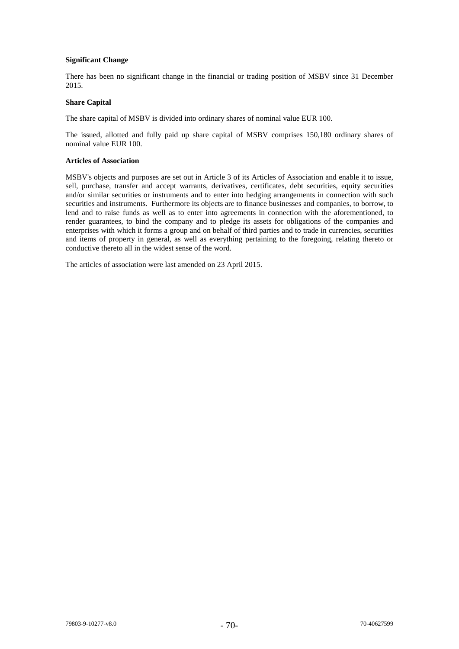## **Significant Change**

There has been no significant change in the financial or trading position of MSBV since 31 December 2015.

# **Share Capital**

The share capital of MSBV is divided into ordinary shares of nominal value EUR 100.

The issued, allotted and fully paid up share capital of MSBV comprises 150,180 ordinary shares of nominal value EUR 100.

## **Articles of Association**

MSBV's objects and purposes are set out in Article 3 of its Articles of Association and enable it to issue, sell, purchase, transfer and accept warrants, derivatives, certificates, debt securities, equity securities and/or similar securities or instruments and to enter into hedging arrangements in connection with such securities and instruments. Furthermore its objects are to finance businesses and companies, to borrow, to lend and to raise funds as well as to enter into agreements in connection with the aforementioned, to render guarantees, to bind the company and to pledge its assets for obligations of the companies and enterprises with which it forms a group and on behalf of third parties and to trade in currencies, securities and items of property in general, as well as everything pertaining to the foregoing, relating thereto or conductive thereto all in the widest sense of the word.

The articles of association were last amended on 23 April 2015.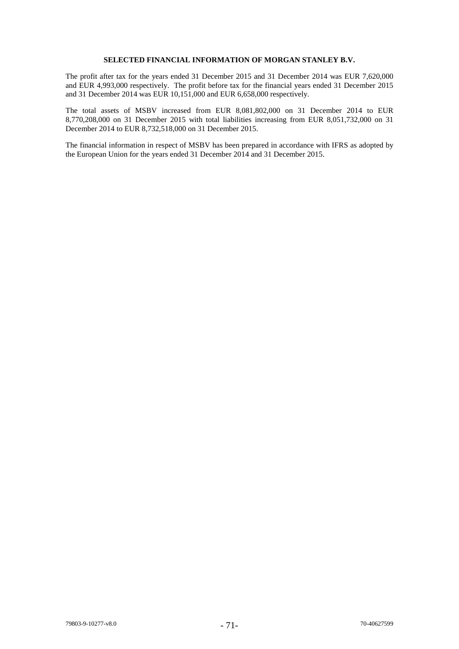# **SELECTED FINANCIAL INFORMATION OF MORGAN STANLEY B.V.**

The profit after tax for the years ended 31 December 2015 and 31 December 2014 was EUR 7,620,000 and EUR 4,993,000 respectively. The profit before tax for the financial years ended 31 December 2015 and 31 December 2014 was EUR 10,151,000 and EUR 6,658,000 respectively.

The total assets of MSBV increased from EUR 8,081,802,000 on 31 December 2014 to EUR 8,770,208,000 on 31 December 2015 with total liabilities increasing from EUR 8,051,732,000 on 31 December 2014 to EUR 8,732,518,000 on 31 December 2015.

The financial information in respect of MSBV has been prepared in accordance with IFRS as adopted by the European Union for the years ended 31 December 2014 and 31 December 2015.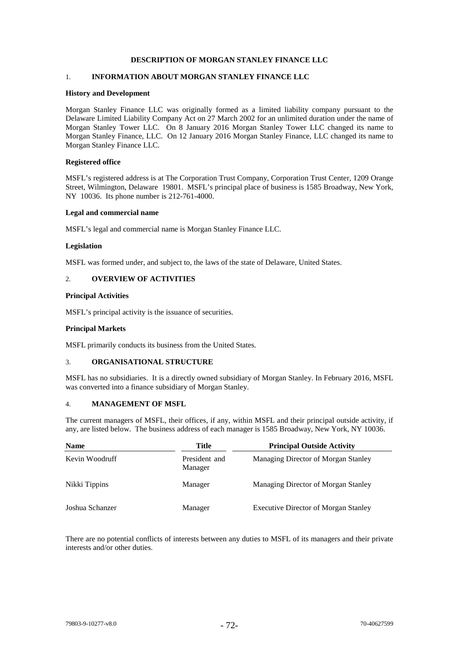# **DESCRIPTION OF MORGAN STANLEY FINANCE LLC**

# 1. **INFORMATION ABOUT MORGAN STANLEY FINANCE LLC**

#### **History and Development**

Morgan Stanley Finance LLC was originally formed as a limited liability company pursuant to the Delaware Limited Liability Company Act on 27 March 2002 for an unlimited duration under the name of Morgan Stanley Tower LLC. On 8 January 2016 Morgan Stanley Tower LLC changed its name to Morgan Stanley Finance, LLC. On 12 January 2016 Morgan Stanley Finance, LLC changed its name to Morgan Stanley Finance LLC.

### **Registered office**

MSFL's registered address is at The Corporation Trust Company, Corporation Trust Center, 1209 Orange Street, Wilmington, Delaware 19801. MSFL's principal place of business is 1585 Broadway, New York, NY 10036. Its phone number is 212-761-4000.

#### **Legal and commercial name**

MSFL's legal and commercial name is Morgan Stanley Finance LLC.

#### **Legislation**

MSFL was formed under, and subject to, the laws of the state of Delaware, United States.

## 2. **OVERVIEW OF ACTIVITIES**

#### **Principal Activities**

MSFL's principal activity is the issuance of securities.

### **Principal Markets**

MSFL primarily conducts its business from the United States.

## 3. **ORGANISATIONAL STRUCTURE**

MSFL has no subsidiaries. It is a directly owned subsidiary of Morgan Stanley. In February 2016, MSFL was converted into a finance subsidiary of Morgan Stanley.

#### 4. **MANAGEMENT OF MSFL**

The current managers of MSFL, their offices, if any, within MSFL and their principal outside activity, if any, are listed below. The business address of each manager is 1585 Broadway, New York, NY 10036.

| <b>Name</b>     | Title                    | <b>Principal Outside Activity</b>           |
|-----------------|--------------------------|---------------------------------------------|
| Kevin Woodruff  | President and<br>Manager | Managing Director of Morgan Stanley         |
| Nikki Tippins   | Manager                  | Managing Director of Morgan Stanley         |
| Joshua Schanzer | Manager                  | <b>Executive Director of Morgan Stanley</b> |

There are no potential conflicts of interests between any duties to MSFL of its managers and their private interests and/or other duties.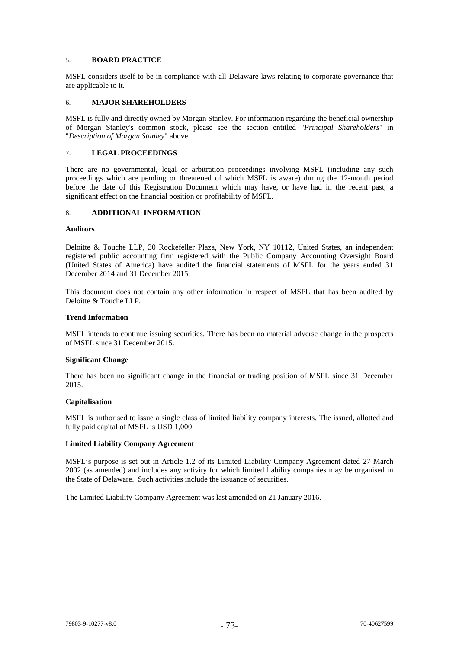### 5. **BOARD PRACTICE**

MSFL considers itself to be in compliance with all Delaware laws relating to corporate governance that are applicable to it.

# 6. **MAJOR SHAREHOLDERS**

MSFL is fully and directly owned by Morgan Stanley. For information regarding the beneficial ownership of Morgan Stanley's common stock, please see the section entitled "*Principal Shareholders*" in "*Description of Morgan Stanley*" above.

#### 7. **LEGAL PROCEEDINGS**

There are no governmental, legal or arbitration proceedings involving MSFL (including any such proceedings which are pending or threatened of which MSFL is aware) during the 12-month period before the date of this Registration Document which may have, or have had in the recent past, a significant effect on the financial position or profitability of MSFL.

#### 8. **ADDITIONAL INFORMATION**

#### **Auditors**

Deloitte & Touche LLP, 30 Rockefeller Plaza, New York, NY 10112, United States, an independent registered public accounting firm registered with the Public Company Accounting Oversight Board (United States of America) have audited the financial statements of MSFL for the years ended 31 December 2014 and 31 December 2015.

This document does not contain any other information in respect of MSFL that has been audited by Deloitte & Touche LLP.

#### **Trend Information**

MSFL intends to continue issuing securities. There has been no material adverse change in the prospects of MSFL since 31 December 2015.

#### **Significant Change**

There has been no significant change in the financial or trading position of MSFL since 31 December 2015.

#### **Capitalisation**

MSFL is authorised to issue a single class of limited liability company interests. The issued, allotted and fully paid capital of MSFL is USD 1,000.

#### **Limited Liability Company Agreement**

MSFL's purpose is set out in Article 1.2 of its Limited Liability Company Agreement dated 27 March 2002 (as amended) and includes any activity for which limited liability companies may be organised in the State of Delaware. Such activities include the issuance of securities.

The Limited Liability Company Agreement was last amended on 21 January 2016.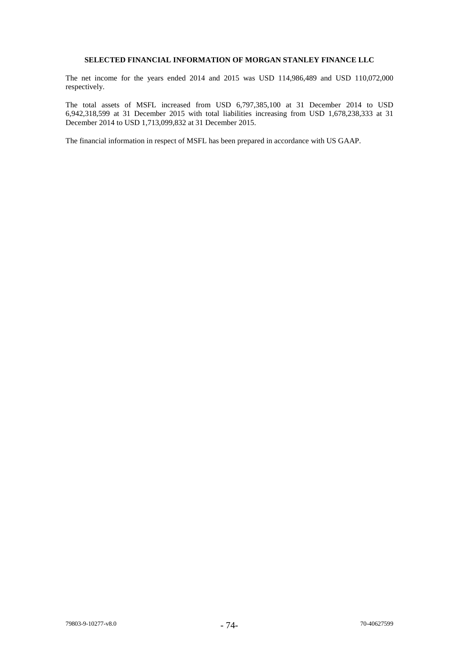# **SELECTED FINANCIAL INFORMATION OF MORGAN STANLEY FINANCE LLC**

The net income for the years ended 2014 and 2015 was USD 114,986,489 and USD 110,072,000 respectively.

The total assets of MSFL increased from USD 6,797,385,100 at 31 December 2014 to USD 6,942,318,599 at 31 December 2015 with total liabilities increasing from USD 1,678,238,333 at 31 December 2014 to USD 1,713,099,832 at 31 December 2015.

The financial information in respect of MSFL has been prepared in accordance with US GAAP.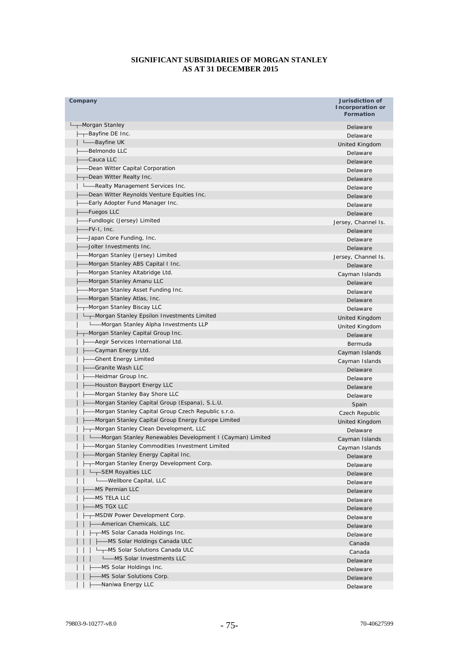# **SIGNIFICANT SUBSIDIARIES OF MORGAN STANLEY AS AT 31 DECEMBER 2015**

| Company                                                   | Jurisdiction of<br>Incorporation or<br><b>Formation</b> |
|-----------------------------------------------------------|---------------------------------------------------------|
| -Morgan Stanley                                           | Delaware                                                |
| --Bayfine DE Inc.                                         | Delaware                                                |
| L—Bayfine UK                                              | United Kingdom                                          |
| Belmondo LLC                                              | Delaware                                                |
| Cauca LLC                                                 | Delaware                                                |
| -Dean Witter Capital Corporation                          | Delaware                                                |
| -Dean Witter Realty Inc.                                  | Delaware                                                |
| -Realty Management Services Inc.                          | Delaware                                                |
| -Dean Witter Reynolds Venture Equities Inc.               | Delaware                                                |
| -Early Adopter Fund Manager Inc.                          | Delaware                                                |
| -Fuegos LLC                                               | Delaware                                                |
| -Fundlogic (Jersey) Limited                               | Jersey, Channel Is.                                     |
| -FV-I, Inc.                                               | Delaware                                                |
| -Japan Core Funding, Inc.                                 | Delaware                                                |
| -Jolter Investments Inc.                                  | Delaware                                                |
| Morgan Stanley (Jersey) Limited                           | Jersey, Channel Is.                                     |
| Morgan Stanley ABS Capital I Inc.                         | Delaware                                                |
| -Morgan Stanley Altabridge Ltd.                           | Cayman Islands                                          |
| -Morgan Stanley Amanu LLC                                 | Delaware                                                |
| Morgan Stanley Asset Funding Inc.                         | Delaware                                                |
| Morgan Stanley Atlas, Inc.                                | Delaware                                                |
| -Morgan Stanley Biscay LLC                                | Delaware                                                |
| -Morgan Stanley Epsilon Investments Limited               | United Kingdom                                          |
| -Morgan Stanley Alpha Investments LLP                     | United Kingdom                                          |
| -Morgan Stanley Capital Group Inc.                        | Delaware                                                |
| -Aegir Services International Ltd.                        | Bermuda                                                 |
| Cayman Energy Ltd.                                        | Cayman Islands                                          |
| <b>Ghent Energy Limited</b>                               | Cayman Islands                                          |
| Granite Wash LLC                                          | Delaware                                                |
| -Heidmar Group Inc.                                       | Delaware                                                |
| Houston Bayport Energy LLC                                | Delaware                                                |
| Morgan Stanley Bay Shore LLC                              | Delaware                                                |
| -Morgan Stanley Capital Group (Espana), S.L.U.            | Spain                                                   |
| -Morgan Stanley Capital Group Czech Republic s.r.o.       | Czech Republic                                          |
| -Morgan Stanley Capital Group Energy Europe Limited       | United Kingdom                                          |
| --Morgan Stanley Clean Development, LLC                   | Delaware                                                |
| -Morgan Stanley Renewables Development I (Cayman) Limited | Cayman Islands                                          |
| -Morgan Stanley Commodities Investment Limited            | Cayman Islands                                          |
| Morgan Stanley Energy Capital Inc.                        | Delaware                                                |
| -Morgan Stanley Energy Development Corp.                  | Delaware                                                |
| L <sub>-T</sub> SEM Royalties LLC                         | Delaware                                                |
| Wellbore Capital, LLC                                     | Delaware                                                |
| MS Permian LLC                                            | Delaware                                                |
| MS TELA LLC                                               | Delaware                                                |
| MS TGX LLC                                                | Delaware                                                |
| -MSDW Power Development Corp.                             | Delaware                                                |
| -American Chemicals, LLC                                  | Delaware                                                |
| -MS Solar Canada Holdings Inc.                            | Delaware                                                |
| -MS Solar Holdings Canada ULC                             | Canada                                                  |
| --MS Solar Solutions Canada ULC                           | Canada                                                  |
| L_MS Solar Investments LLC                                | Delaware                                                |
| MS Solar Holdings Inc.                                    | Delaware                                                |
| -MS Solar Solutions Corp.                                 | Delaware                                                |
| -Naniwa Energy LLC                                        | Delaware                                                |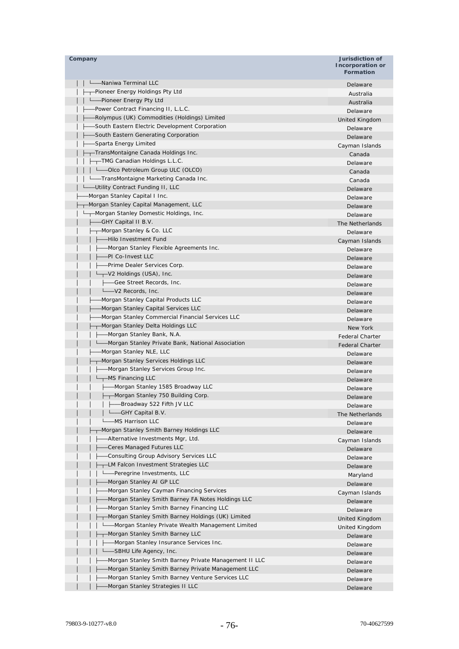| Company                                               | Jurisdiction of<br><b>Incorporation or</b><br><b>Formation</b> |
|-------------------------------------------------------|----------------------------------------------------------------|
| L-Maniwa Terminal LLC                                 | Delaware                                                       |
| ---Pioneer Energy Holdings Pty Ltd                    | Australia                                                      |
| Letter Energy Pty Ltd                                 | Australia                                                      |
| -Power Contract Financing II, L.L.C.                  | Delaware                                                       |
| -Rolympus (UK) Commodities (Holdings) Limited         | United Kingdom                                                 |
| -South Eastern Electric Development Corporation       | Delaware                                                       |
| -South Eastern Generating Corporation                 | Delaware                                                       |
| -Sparta Energy Limited                                | Cayman Islands                                                 |
| --TransMontaigne Canada Holdings Inc.                 | Canada                                                         |
| -TMG Canadian Holdings L.L.C.                         | Delaware                                                       |
| -Olco Petroleum Group ULC (OLCO)                      | Canada                                                         |
| ---TransMontaigne Marketing Canada Inc.               | Canada                                                         |
| -Utility Contract Funding II, LLC                     | Delaware                                                       |
| -Morgan Stanley Capital I Inc.                        | Delaware                                                       |
| -Morgan Stanley Capital Management, LLC               | Delaware                                                       |
| -Morgan Stanley Domestic Holdings, Inc.               | Delaware                                                       |
| ---GHY Capital II B.V.                                | The Netherlands                                                |
| --Morgan Stanley & Co. LLC                            | Delaware                                                       |
| -Hilo Investment Fund                                 | Cayman Islands                                                 |
| -Morgan Stanley Flexible Agreements Inc.              | Delaware                                                       |
| -PI Co-Invest LLC                                     | Delaware                                                       |
| -Prime Dealer Services Corp.                          | Delaware                                                       |
| ——V2 Holdings (USA), Inc.                             | Delaware                                                       |
| ---Gee Street Records, Inc.                           | Delaware                                                       |
| Level Records, Inc.                                   | Delaware                                                       |
| -Morgan Stanley Capital Products LLC                  | Delaware                                                       |
| -Morgan Stanley Capital Services LLC                  | Delaware                                                       |
| -Morgan Stanley Commercial Financial Services LLC     | Delaware                                                       |
| -Morgan Stanley Delta Holdings LLC                    | New York                                                       |
| -Morgan Stanley Bank, N.A.                            | <b>Federal Charter</b>                                         |
| - Morgan Stanley Private Bank, National Association   | <b>Federal Charter</b>                                         |
| -Morgan Stanley NLE, LLC                              | Delaware                                                       |
| --Morgan Stanley Services Holdings LLC                | Delaware                                                       |
| -Morgan Stanley Services Group Inc.                   | Delaware                                                       |
| --MS Financing LLC                                    | Delaware                                                       |
| --Morgan Stanley 1585 Broadway LLC                    | Delaware                                                       |
| -T-Morgan Stanley 750 Building Corp.                  | Delaware                                                       |
| -Broadway 522 Fifth JV LLC                            | Delaware                                                       |
| -GHY Capital B.V.                                     | The Netherlands                                                |
| -MS Harrison LLC                                      | Delaware                                                       |
| -Morgan Stanley Smith Barney Holdings LLC             | Delaware                                                       |
| -Alternative Investments Mgr, Ltd.                    | Cayman Islands                                                 |
| Ceres Managed Futures LLC                             | Delaware                                                       |
| Consulting Group Advisory Services LLC                | Delaware                                                       |
| -LM Falcon Investment Strategies LLC                  | Delaware                                                       |
| -Peregrine Investments, LLC                           | Maryland                                                       |
| Morgan Stanley AI GP LLC                              | Delaware                                                       |
| Morgan Stanley Cayman Financing Services              | Cayman Islands                                                 |
| Morgan Stanley Smith Barney FA Notes Holdings LLC     | Delaware                                                       |
| Morgan Stanley Smith Barney Financing LLC             | Delaware                                                       |
| -Morgan Stanley Smith Barney Holdings (UK) Limited    | United Kingdom                                                 |
| -Morgan Stanley Private Wealth Management Limited     | United Kingdom                                                 |
| -Morgan Stanley Smith Barney LLC                      | Delaware                                                       |
| -Morgan Stanley Insurance Services Inc.               | Delaware                                                       |
| -SBHU Life Agency, Inc.                               | Delaware                                                       |
| Morgan Stanley Smith Barney Private Management II LLC | Delaware                                                       |
| Morgan Stanley Smith Barney Private Management LLC    | Delaware                                                       |
| Morgan Stanley Smith Barney Venture Services LLC      | Delaware                                                       |
| Morgan Stanley Strategies II LLC                      | Delaware                                                       |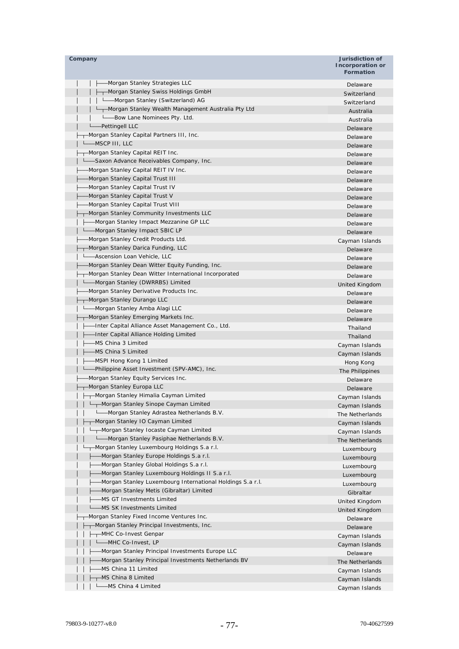| Company                                                                     | Jurisdiction of<br><b>Incorporation or</b><br><b>Formation</b> |
|-----------------------------------------------------------------------------|----------------------------------------------------------------|
| -Morgan Stanley Strategies LLC                                              | Delaware                                                       |
| ├─┬─Morgan Stanley Swiss Holdings GmbH                                      | Switzerland                                                    |
| L__Morgan Stanley (Switzerland) AG                                          | Switzerland                                                    |
| - Morgan Stanley Wealth Management Australia Pty Ltd                        | Australia                                                      |
| ---Bow Lane Nominees Pty. Ltd.                                              | Australia                                                      |
| -Pettingell LLC                                                             | Delaware                                                       |
| -Morgan Stanley Capital Partners III, Inc.                                  | Delaware                                                       |
| -MSCP III, LLC                                                              | Delaware                                                       |
| -Morgan Stanley Capital REIT Inc.                                           | Delaware                                                       |
| -Saxon Advance Receivables Company, Inc.                                    | Delaware                                                       |
| -Morgan Stanley Capital REIT IV Inc.                                        | Delaware                                                       |
| -Morgan Stanley Capital Trust III                                           | Delaware                                                       |
| -Morgan Stanley Capital Trust IV                                            | Delaware                                                       |
| -Morgan Stanley Capital Trust V                                             | Delaware                                                       |
| -Morgan Stanley Capital Trust VIII                                          | Delaware                                                       |
| -Morgan Stanley Community Investments LLC                                   | Delaware                                                       |
| - Morgan Stanley Impact Mezzanine GP LLC<br>— Morgan Stanley Impact SBIC LP | Delaware                                                       |
| Morgan Stanley Credit Products Ltd.                                         | Delaware                                                       |
|                                                                             | Cayman Islands                                                 |
| -Morgan Stanley Darica Funding, LLC<br>-Ascension Loan Vehicle, LLC         | Delaware                                                       |
| -Morgan Stanley Dean Witter Equity Funding, Inc.                            | Delaware                                                       |
| -Morgan Stanley Dean Witter International Incorporated                      | Delaware                                                       |
| - Morgan Stanley (DWRRBS) Limited                                           | Delaware                                                       |
| -Morgan Stanley Derivative Products Inc.                                    | United Kingdom                                                 |
| -Morgan Stanley Durango LLC                                                 | Delaware                                                       |
| -Morgan Stanley Amba Alagi LLC                                              | Delaware                                                       |
| -Morgan Stanley Emerging Markets Inc.                                       | Delaware                                                       |
| --Inter Capital Alliance Asset Management Co., Ltd.                         | Delaware                                                       |
| -Inter Capital Alliance Holding Limited                                     | Thailand                                                       |
| –MS China 3 Limited                                                         | Thailand                                                       |
| -MS China 5 Limited                                                         | Cayman Islands                                                 |
| -MSPI Hong Kong 1 Limited                                                   | Cayman Islands<br>Hong Kong                                    |
| ---Philippine Asset Investment (SPV-AMC), Inc.                              | The Philippines                                                |
| Morgan Stanley Equity Services Inc.                                         | Delaware                                                       |
| -Morgan Stanley Europa LLC                                                  | Delaware                                                       |
| - Morgan Stanley Himalia Cayman Limited                                     | Cayman Islands                                                 |
| Morgan Stanley Sinope Cayman Limited                                        | Cayman Islands                                                 |
| -Morgan Stanley Adrastea Netherlands B.V.                                   | The Netherlands                                                |
| -Morgan Stanley IO Cayman Limited                                           | Cayman Islands                                                 |
| -Morgan Stanley Iocaste Cayman Limited                                      | Cayman Islands                                                 |
| └─ Morgan Stanley Pasiphae Netherlands B.V.                                 | The Netherlands                                                |
| -Morgan Stanley Luxembourg Holdings S.a r.l.                                | Luxembourg                                                     |
| -Morgan Stanley Europe Holdings S.a r.l.                                    | Luxembourg                                                     |
| -Morgan Stanley Global Holdings S.a r.l.                                    | Luxembourg                                                     |
| -Morgan Stanley Luxembourg Holdings II S.a r.l.                             | Luxembourg                                                     |
| -Morgan Stanley Luxembourg International Holdings S.a r.l.                  | Luxembourg                                                     |
| -Morgan Stanley Metis (Gibraltar) Limited                                   | Gibraltar                                                      |
| -MS GT Investments Limited                                                  | United Kingdom                                                 |
| -MS SK Investments Limited                                                  | United Kingdom                                                 |
| -Morgan Stanley Fixed Income Ventures Inc.                                  | Delaware                                                       |
| -Morgan Stanley Principal Investments, Inc.                                 | Delaware                                                       |
| -MHC Co-Invest Genpar                                                       | Cayman Islands                                                 |
| L_MHC Co-Invest, LP                                                         | Cayman Islands                                                 |
| -Morgan Stanley Principal Investments Europe LLC                            | Delaware                                                       |
| -Morgan Stanley Principal Investments Netherlands BV                        | The Netherlands                                                |
| -MS China 11 Limited                                                        | Cayman Islands                                                 |
| MS China 8 Limited                                                          | Cayman Islands                                                 |
| -MS China 4 Limited                                                         | Cayman Islands                                                 |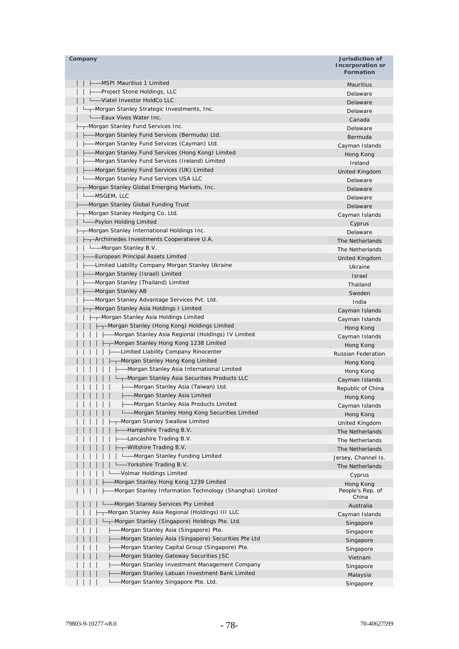| Company                                                  | Jurisdiction of<br>Incorporation or<br><b>Formation</b> |
|----------------------------------------------------------|---------------------------------------------------------|
| -MSPI Mauritius 1 Limited                                | <b>Mauritius</b>                                        |
| -Project Stone Holdings, LLC                             | Delaware                                                |
| Viatel Investor HoldCo LLC                               |                                                         |
| -Morgan Stanley Strategic Investments, Inc.              | Delaware                                                |
| -Eaux Vives Water Inc.                                   | Delaware                                                |
| -Morgan Stanley Fund Services Inc.                       | Canada                                                  |
| -Morgan Stanley Fund Services (Bermuda) Ltd.             | Delaware                                                |
| -Morgan Stanley Fund Services (Cayman) Ltd.              | Bermuda                                                 |
| -Morgan Stanley Fund Services (Hong Kong) Limited        | Cayman Islands                                          |
| -Morgan Stanley Fund Services (Ireland) Limited          | Hong Kong                                               |
| -Morgan Stanley Fund Services (UK) Limited               | Ireland                                                 |
| -Morgan Stanley Fund Services USA LLC                    | United Kingdom                                          |
| -Morgan Stanley Global Emerging Markets, Inc.            | Delaware                                                |
| -MSGEM, LLC                                              | Delaware                                                |
|                                                          | Delaware                                                |
| -Morgan Stanley Global Funding Trust                     | Delaware                                                |
| -Morgan Stanley Hedging Co. Ltd.                         | Cayman Islands                                          |
| -Psylon Holding Limited                                  | Cyprus                                                  |
| --Morgan Stanley International Holdings Inc.             | Delaware                                                |
| -Archimedes Investments Cooperatieve U.A.                | The Netherlands                                         |
| Le Morgan Stanley B.V.                                   | The Netherlands                                         |
| -European Principal Assets Limited                       | United Kingdom                                          |
| -Limited Liability Company Morgan Stanley Ukraine        | Ukraine                                                 |
| -Morgan Stanley (Israel) Limited                         | Israel                                                  |
| -Morgan Stanley (Thailand) Limited                       | Thailand                                                |
| -Morgan Stanley AB                                       | Sweden                                                  |
| -Morgan Stanley Advantage Services Pvt. Ltd.             | India                                                   |
| ┬–Morgan Stanley Asia Holdings I Limited                 | Cayman Islands                                          |
| - Morgan Stanley Asia Holdings Limited                   | Cayman Islands                                          |
| -Morgan Stanley (Hong Kong) Holdings Limited             | Hong Kong                                               |
| -Morgan Stanley Asia Regional (Holdings) IV Limited      | Cayman Islands                                          |
| Morgan Stanley Hong Kong 1238 Limited                    | Hong Kong                                               |
| -Limited Liability Company Rinocenter                    | Russian Federation                                      |
| -Morgan Stanley Hong Kong Limited                        | Hong Kong                                               |
| -Morgan Stanley Asia International Limited               | Hong Kong                                               |
| ——Morgan Stanley Asia Securities Products LLC            | Cayman Islands                                          |
| -Morgan Stanley Asia (Taiwan) Ltd.                       | Republic of China                                       |
| -Morgan Stanley Asia Limited                             | Hong Kong                                               |
| -Morgan Stanley Asia Products Limited                    | Cayman Islands                                          |
| Morgan Stanley Hong Kong Securities Limited              | Hong Kong                                               |
| Morgan Stanley Swallow Limited                           | United Kingdom                                          |
| -Hampshire Trading B.V.                                  | The Netherlands                                         |
| -Lancashire Trading B.V.                                 | The Netherlands                                         |
| -Wiltshire Trading B.V.                                  | The Netherlands                                         |
| - Morgan Stanley Funding Limited                         | Jersey, Channel Is.                                     |
| -Yorkshire Trading B.V.                                  | The Netherlands                                         |
| -Volmar Holdings Limited                                 | Cyprus                                                  |
| Morgan Stanley Hong Kong 1239 Limited                    | Hong Kong                                               |
| Morgan Stanley Information Technology (Shanghai) Limited | People's Rep. of<br>China                               |
| Morgan Stanley Services Pty Limited                      | Australia                                               |
| -Morgan Stanley Asia Regional (Holdings) III LLC         | Cayman Islands                                          |
| -Morgan Stanley (Singapore) Holdings Pte. Ltd.           | Singapore                                               |
| -Morgan Stanley Asia (Singapore) Pte.                    | Singapore                                               |
| Morgan Stanley Asia (Singapore) Securities Pte Ltd       | Singapore                                               |
| Morgan Stanley Capital Group (Singapore) Pte.            | Singapore                                               |
| Morgan Stanley Gateway Securities JSC                    | Vietnam                                                 |
| Morgan Stanley Investment Management Company             | Singapore                                               |
| Morgan Stanley Labuan Investment Bank Limited            | Malaysia                                                |
| Morgan Stanley Singapore Pte. Ltd.                       | Singapore                                               |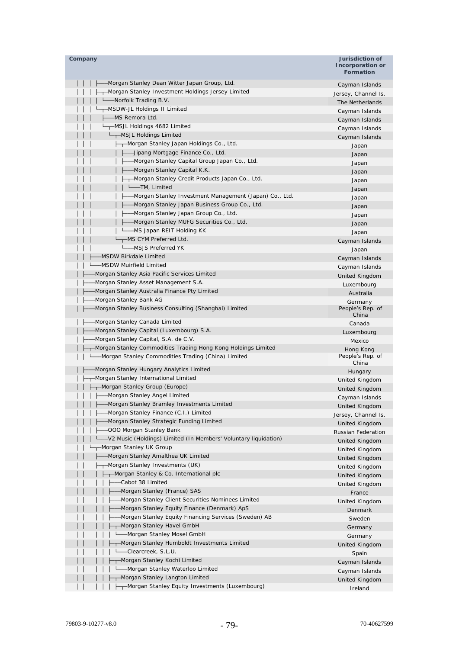| Company                                                                                      | Jurisdiction of<br><b>Incorporation or</b><br><b>Formation</b> |
|----------------------------------------------------------------------------------------------|----------------------------------------------------------------|
| -Morgan Stanley Dean Witter Japan Group, Ltd.                                                | Cayman Islands                                                 |
| -Morgan Stanley Investment Holdings Jersey Limited                                           | Jersey, Channel Is.                                            |
| --Norfolk Trading B.V.                                                                       | The Netherlands                                                |
| -MSDW-JL Holdings II Limited                                                                 | Cayman Islands                                                 |
| -MS Remora Ltd.                                                                              | Cayman Islands                                                 |
| -MSJL Holdings 4682 Limited                                                                  | Cayman Islands                                                 |
| └─┬─MSJL Holdings Limited                                                                    | Cayman Islands                                                 |
| ---Morgan Stanley Japan Holdings Co., Ltd.                                                   | Japan                                                          |
| -Jipang Mortgage Finance Co., Ltd.                                                           | Japan                                                          |
| -Morgan Stanley Capital Group Japan Co., Ltd.                                                | Japan                                                          |
| -Morgan Stanley Capital K.K.                                                                 | Japan                                                          |
| -Morgan Stanley Credit Products Japan Co., Ltd.                                              | Japan                                                          |
| -TM, Limited                                                                                 | Japan                                                          |
| -Morgan Stanley Investment Management (Japan) Co., Ltd.                                      | Japan                                                          |
| Morgan Stanley Japan Business Group Co., Ltd.                                                | Japan                                                          |
| -Morgan Stanley Japan Group Co., Ltd.                                                        | Japan                                                          |
| -Morgan Stanley MUFG Securities Co., Ltd.                                                    | Japan                                                          |
| -MS Japan REIT Holding KK                                                                    | Japan                                                          |
| —MS CYM Preferred Ltd.                                                                       | Cayman Islands                                                 |
| -MSJS Preferred YK                                                                           | Japan                                                          |
| -MSDW Birkdale Limited                                                                       | Cayman Islands                                                 |
| -MSDW Muirfield Limited                                                                      | Cayman Islands                                                 |
| Morgan Stanley Asia Pacific Services Limited                                                 | United Kingdom                                                 |
| Morgan Stanley Asset Management S.A.                                                         | Luxembourg                                                     |
| Morgan Stanley Australia Finance Pty Limited                                                 | Australia                                                      |
| Morgan Stanley Bank AG                                                                       | Germany                                                        |
| Morgan Stanley Business Consulting (Shanghai) Limited                                        | People's Rep. of<br>China                                      |
| -Morgan Stanley Canada Limited                                                               | Canada                                                         |
| Morgan Stanley Capital (Luxembourg) S.A.                                                     | Luxembourg                                                     |
| -Morgan Stanley Capital, S.A. de C.V.                                                        | Mexico                                                         |
| -Morgan Stanley Commodities Trading Hong Kong Holdings Limited                               | Hong Kong                                                      |
| -Morgan Stanley Commodities Trading (China) Limited                                          | People's Rep. of<br>China                                      |
| Morgan Stanley Hungary Analytics Limited                                                     | Hungary                                                        |
| ┬–Morgan Stanley International Limited                                                       | United Kingdom                                                 |
| -Morgan Stanley Group (Europe)                                                               | United Kingdom                                                 |
| -Morgan Stanley Angel Limited                                                                | Cayman Islands                                                 |
| Morgan Stanley Bramley Investments Limited                                                   | United Kingdom                                                 |
| Morgan Stanley Finance (C.I.) Limited                                                        | Jersey, Channel Is.                                            |
| Morgan Stanley Strategic Funding Limited                                                     | United Kingdom                                                 |
| -OOO Morgan Stanley Bank<br>-V2 Music (Holdings) Limited (In Members' Voluntary liquidation) | Russian Federation                                             |
| -Morgan Stanley UK Group                                                                     | <b>United Kingdom</b>                                          |
|                                                                                              | United Kingdom                                                 |
| Morgan Stanley Amalthea UK Limited<br>-Morgan Stanley Investments (UK)                       | United Kingdom                                                 |
|                                                                                              | United Kingdom                                                 |
| -Morgan Stanley & Co. International plc<br>-Cabot 38 Limited                                 | United Kingdom                                                 |
| Morgan Stanley (France) SAS                                                                  | United Kingdom                                                 |
| Morgan Stanley Client Securities Nominees Limited                                            | France                                                         |
| Morgan Stanley Equity Finance (Denmark) ApS                                                  | United Kingdom                                                 |
| Morgan Stanley Equity Financing Services (Sweden) AB                                         | Denmark                                                        |
| Morgan Stanley Havel GmbH                                                                    | Sweden                                                         |
| -Morgan Stanley Mosel GmbH                                                                   | Germany                                                        |
| -Morgan Stanley Humboldt Investments Limited                                                 | Germany                                                        |
| -Clearcreek, S.L.U.                                                                          | United Kingdom                                                 |
| -Morgan Stanley Kochi Limited                                                                | Spain                                                          |
| -Morgan Stanley Waterloo Limited                                                             | Cayman Islands                                                 |
| -Morgan Stanley Langton Limited                                                              | Cayman Islands                                                 |
| ---Morgan Stanley Equity Investments (Luxembourg)                                            | United Kingdom<br>Ireland                                      |
|                                                                                              |                                                                |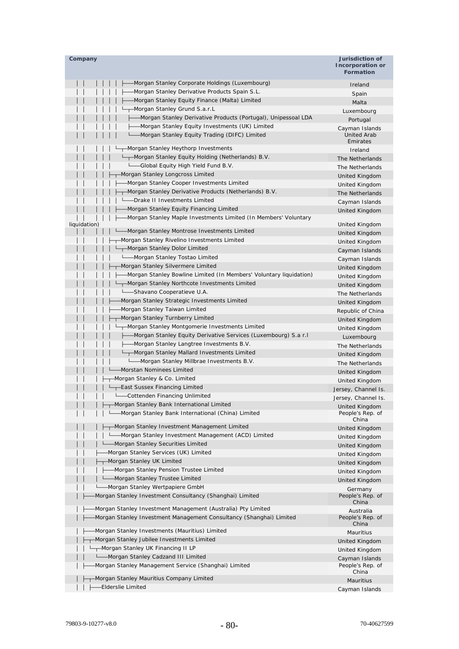| Company                                                             | Jurisdiction of<br>Incorporation or<br><b>Formation</b> |
|---------------------------------------------------------------------|---------------------------------------------------------|
| Morgan Stanley Corporate Holdings (Luxembourg)                      | Ireland                                                 |
| Morgan Stanley Derivative Products Spain S.L.                       | Spain                                                   |
| Morgan Stanley Equity Finance (Malta) Limited                       | Malta                                                   |
| -Morgan Stanley Grund S.a.r.L                                       | Luxembourg                                              |
| -Morgan Stanley Derivative Products (Portugal), Unipessoal LDA      | Portugal                                                |
| -Morgan Stanley Equity Investments (UK) Limited                     | Cayman Islands                                          |
| -Morgan Stanley Equity Trading (DIFC) Limited                       | <b>United Arab</b><br>Emirates                          |
| -Morgan Stanley Heythorp Investments                                | Ireland                                                 |
| -Morgan Stanley Equity Holding (Netherlands) B.V.                   | The Netherlands                                         |
| └──Global Equity High Yield Fund B.V.                               | The Netherlands                                         |
| Morgan Stanley Longcross Limited                                    | <b>United Kingdom</b>                                   |
| Morgan Stanley Cooper Investments Limited                           | United Kingdom                                          |
| -Morgan Stanley Derivative Products (Netherlands) B.V.              | The Netherlands                                         |
| -Drake II Investments Limited                                       | Cayman Islands                                          |
| Morgan Stanley Equity Financing Limited                             | United Kingdom                                          |
| -Morgan Stanley Maple Investments Limited (In Members' Voluntary    |                                                         |
| liquidation)                                                        | United Kingdom                                          |
| -Morgan Stanley Montrose Investments Limited                        | United Kingdom                                          |
| -Morgan Stanley Rivelino Investments Limited                        | United Kingdom                                          |
| -Morgan Stanley Dolor Limited                                       | Cayman Islands                                          |
| -Morgan Stanley Tostao Limited                                      | Cayman Islands                                          |
| Morgan Stanley Silvermere Limited                                   | United Kingdom                                          |
| -Morgan Stanley Bowline Limited (In Members' Voluntary liquidation) | United Kingdom                                          |
| -Morgan Stanley Northcote Investments Limited                       | United Kingdom                                          |
| -Shavano Cooperatieve U.A.                                          | The Netherlands                                         |
| Morgan Stanley Strategic Investments Limited                        | United Kingdom                                          |
| Morgan Stanley Taiwan Limited                                       | Republic of China                                       |
| Morgan Stanley Turnberry Limited                                    | United Kingdom                                          |
| -Morgan Stanley Montgomerie Investments Limited                     | United Kingdom                                          |
| -Morgan Stanley Equity Derivative Services (Luxembourg) S.a r.l     | Luxembourg                                              |
| -Morgan Stanley Langtree Investments B.V.                           | The Netherlands                                         |
| Morgan Stanley Mallard Investments Limited                          | United Kingdom                                          |
| -Morgan Stanley Millbrae Investments B.V.                           | The Netherlands                                         |
| Morstan Nominees Limited                                            | United Kingdom                                          |
| Morgan Stanley & Co. Limited                                        | United Kingdom                                          |
| -East Sussex Financing Limited                                      | Jersey, Channel Is.                                     |
| -Cottenden Financing Unlimited                                      | Jersey, Channel Is.                                     |
| --Morgan Stanley Bank International Limited                         | United Kingdom                                          |
| -Morgan Stanley Bank International (China) Limited                  | People's Rep. of<br>China                               |
| ---Morgan Stanley Investment Management Limited                     | United Kingdom                                          |
| - Morgan Stanley Investment Management (ACD) Limited                | United Kingdom                                          |
| -Morgan Stanley Securities Limited                                  | United Kingdom                                          |
| Morgan Stanley Services (UK) Limited                                | United Kingdom                                          |
| --Morgan Stanley UK Limited                                         | United Kingdom                                          |
| - Morgan Stanley Pension Trustee Limited                            | United Kingdom                                          |
| L Morgan Stanley Trustee Limited                                    | United Kingdom                                          |
| -Morgan Stanley Wertpapiere GmbH                                    | Germany                                                 |
| Morgan Stanley Investment Consultancy (Shanghai) Limited            | People's Rep. of<br>China                               |
| Morgan Stanley Investment Management (Australia) Pty Limited        | Australia                                               |
| Morgan Stanley Investment Management Consultancy (Shanghai) Limited | People's Rep. of<br>China                               |
| Morgan Stanley Investments (Mauritius) Limited                      | Mauritius                                               |
| Morgan Stanley Jubilee Investments Limited                          | United Kingdom                                          |
| -Morgan Stanley UK Financing II LP                                  | United Kingdom                                          |
| Morgan Stanley Cadzand III Limited                                  | Cayman Islands                                          |
| Morgan Stanley Management Service (Shanghai) Limited                | People's Rep. of<br>China                               |
| -Morgan Stanley Mauritius Company Limited                           | Mauritius                                               |
| Elderslie Limited                                                   | Cayman Islands                                          |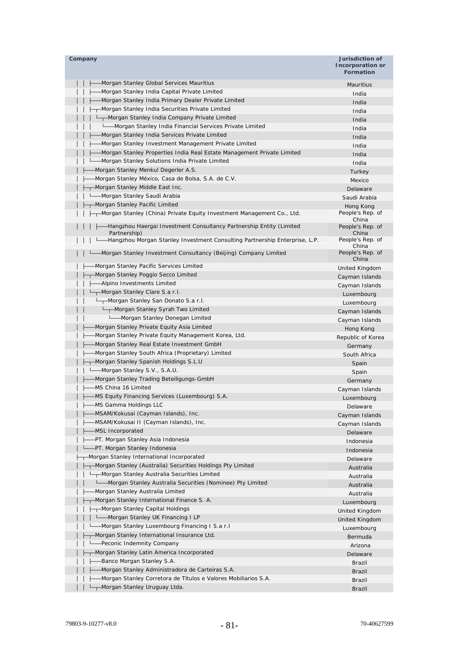| Company                                                                              | Jurisdiction of<br>Incorporation or<br><b>Formation</b> |
|--------------------------------------------------------------------------------------|---------------------------------------------------------|
| -Morgan Stanley Global Services Mauritius                                            | <b>Mauritius</b>                                        |
| -Morgan Stanley India Capital Private Limited                                        | India                                                   |
| -Morgan Stanley India Primary Dealer Private Limited                                 | India                                                   |
| -Morgan Stanley India Securities Private Limited                                     | India                                                   |
| - Morgan Stanley India Company Private Limited                                       | India                                                   |
| - Morgan Stanley India Financial Services Private Limited                            | India                                                   |
| -Morgan Stanley India Services Private Limited                                       | India                                                   |
| Morgan Stanley Investment Management Private Limited                                 | India                                                   |
| -Morgan Stanley Properties India Real Estate Management Private Limited              | India                                                   |
| -Morgan Stanley Solutions India Private Limited                                      | India                                                   |
| Morgan Stanley Menkul Degerler A.S.                                                  | Turkey                                                  |
| Morgan Stanley México, Casa de Bolsa, S.A. de C.V.                                   | Mexico                                                  |
| -Morgan Stanley Middle East Inc.                                                     | Delaware                                                |
| -Morgan Stanley Saudi Arabia                                                         | Saudi Arabia                                            |
| -Morgan Stanley Pacific Limited                                                      | Hong Kong                                               |
| -Morgan Stanley (China) Private Equity Investment Management Co., Ltd.               | People's Rep. of<br>China                               |
| -Hangzhou Haergai Investment Consultancy Partnership Entity (Limited<br>Partnership) | People's Rep. of<br>China                               |
| -Hangzhou Morgan Stanley Investment Consulting Partnership Enterprise, L.P.          | People's Rep. of<br>China                               |
| -Morgan Stanley Investment Consultancy (Beijing) Company Limited                     | People's Rep. of<br>China                               |
| Morgan Stanley Pacific Services Limited                                              | United Kingdom                                          |
| -Morgan Stanley Poggio Secco Limited                                                 | Cayman Islands                                          |
| -Alpino Investments Limited                                                          | Cayman Islands                                          |
| -Morgan Stanley Clare S.a r.l.                                                       | Luxembourg                                              |
| ---Morgan Stanley San Donato S.a r.l.                                                | Luxembourg                                              |
| └┬─Morgan Stanley Syrah Two Limited                                                  | Cayman Islands                                          |
| Morgan Stanley Donegan Limited                                                       | Cayman Islands                                          |
| Morgan Stanley Private Equity Asia Limited                                           | Hong Kong                                               |
| Morgan Stanley Private Equity Management Korea, Ltd.                                 | Republic of Korea                                       |
| Morgan Stanley Real Estate Investment GmbH                                           | Germany                                                 |
| Morgan Stanley South Africa (Proprietary) Limited                                    | South Africa                                            |
| -Morgan Stanley Spanish Holdings S.L.U                                               | Spain                                                   |
| -Morgan Stanley S.V., S.A.U.                                                         | Spain                                                   |
| -Morgan Stanley Trading Beteiligungs-GmbH                                            | Germany                                                 |
| -MS China 16 Limited                                                                 | Cayman Islands                                          |
| MS Equity Financing Services (Luxembourg) S.A.                                       | Luxembourg                                              |
| -MS Gamma Holdings LLC                                                               | Delaware                                                |
| -MSAM/Kokusai (Cayman Islands), Inc.                                                 | Cayman Islands                                          |
| -MSAM/Kokusai II (Cayman Islands), Inc.                                              | Cayman Islands                                          |
| MSL Incorporated                                                                     | Delaware                                                |
| PT. Morgan Stanley Asia Indonesia                                                    | Indonesia                                               |
| -PT. Morgan Stanley Indonesia                                                        | Indonesia                                               |
| -Morgan Stanley International Incorporated                                           | Delaware                                                |
| -Morgan Stanley (Australia) Securities Holdings Pty Limited                          | Australia                                               |
| -Morgan Stanley Australia Securities Limited                                         | Australia                                               |
| Morgan Stanley Australia Securities (Nominee) Pty Limited                            | Australia                                               |
| Morgan Stanley Australia Limited                                                     | Australia                                               |
| -Morgan Stanley International Finance S. A.                                          | Luxembourg                                              |
| -Morgan Stanley Capital Holdings                                                     | United Kingdom                                          |
| Morgan Stanley UK Financing I LP                                                     | United Kingdom                                          |
| -Morgan Stanley Luxembourg Financing I S.a r.I                                       | Luxembourg                                              |
| -Morgan Stanley International Insurance Ltd.                                         | Bermuda                                                 |
| -Peconic Indemnity Company                                                           | Arizona                                                 |
| -Morgan Stanley Latin America Incorporated                                           | Delaware                                                |
| -Banco Morgan Stanley S.A.                                                           | Brazil                                                  |
| -Morgan Stanley Administradora de Carteiras S.A.                                     | Brazil                                                  |
| -Morgan Stanley Corretora de Titulos e Valores Mobiliarios S.A.                      | Brazil                                                  |
| ---Morgan Stanley Uruguay Ltda.                                                      | <b>Brazil</b>                                           |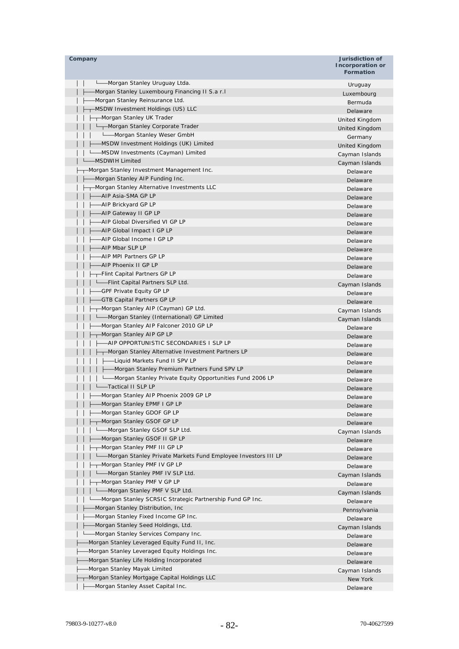| Company                                                                            | Jurisdiction of<br>Incorporation or<br><b>Formation</b> |
|------------------------------------------------------------------------------------|---------------------------------------------------------|
| -Morgan Stanley Uruguay Ltda.                                                      | Uruguay                                                 |
| Morgan Stanley Luxembourg Financing II S.a r.l                                     | Luxembourg                                              |
| -Morgan Stanley Reinsurance Ltd.                                                   | Bermuda                                                 |
| --MSDW Investment Holdings (US) LLC                                                | Delaware                                                |
| -Morgan Stanley UK Trader                                                          | United Kingdom                                          |
| Morgan Stanley Corporate Trader                                                    | United Kingdom                                          |
| Letter Combin Channey Weser GmbH                                                   | Germany                                                 |
| -MSDW Investment Holdings (UK) Limited                                             | United Kingdom                                          |
| L__MSDW Investments (Cayman) Limited                                               | Cayman Islands                                          |
| --MSDWIH Limited                                                                   | Cayman Islands                                          |
| --Morgan Stanley Investment Management Inc.                                        | Delaware                                                |
| -Morgan Stanley AIP Funding Inc.                                                   | Delaware                                                |
| -Morgan Stanley Alternative Investments LLC                                        | Delaware                                                |
| —AIP Asia-SMA GP LP                                                                | Delaware                                                |
| -AIP Brickyard GP LP<br>-AIP Gateway II GP LP                                      | Delaware                                                |
| -AIP Global Diversified VI GP LP                                                   | Delaware                                                |
| -AIP Global Impact I GP LP                                                         | Delaware                                                |
| -AIP Global Income I GP LP                                                         | Delaware                                                |
| -AIP Mbar SLP LP                                                                   | Delaware                                                |
| -AIP MPI Partners GP LP                                                            | Delaware                                                |
| -AIP Phoenix II GP LP                                                              | Delaware                                                |
| -Flint Capital Partners GP LP                                                      | Delaware                                                |
| ----Flint Capital Partners SLP Ltd.                                                | Delaware                                                |
| -GPF Private Equity GP LP                                                          | Cayman Islands                                          |
| -GTB Capital Partners GP LP                                                        | Delaware                                                |
| -Morgan Stanley AIP (Cayman) GP Ltd.                                               | Delaware                                                |
| - Morgan Stanley (International) GP Limited                                        | Cayman Islands<br>Cayman Islands                        |
| -Morgan Stanley AIP Falconer 2010 GP LP                                            | Delaware                                                |
| -Morgan Stanley AIP GP LP                                                          | Delaware                                                |
| —AIP OPPORTUNISTIC SECONDARIES I SLP LP                                            | Delaware                                                |
| ├─┬ Morgan Stanley Alternative Investment Partners LP                              | Delaware                                                |
| --Liquid Markets Fund II SPV LP                                                    | Delaware                                                |
| ├──Morgan Stanley Premium Partners Fund SPV LP                                     | Delaware                                                |
| -Morgan Stanley Private Equity Opportunities Fund 2006 LP                          | Delaware                                                |
| -Tactical II SLP LP                                                                | Delaware                                                |
| -Morgan Stanley AIP Phoenix 2009 GP LP                                             | Delaware                                                |
| -Morgan Stanley EPMF I GP LP                                                       | Delaware                                                |
| -Morgan Stanley GDOF GP LP                                                         | Delaware                                                |
| -Morgan Stanley GSOF GP LP                                                         | Delaware                                                |
| -Morgan Stanley GSOF SLP Ltd.                                                      | Cayman Islands                                          |
| -Morgan Stanley GSOF II GP LP                                                      | Delaware                                                |
| -Morgan Stanley PMF III GP LP                                                      | Delaware                                                |
| -Morgan Stanley Private Markets Fund Employee Investors III LP                     | Delaware                                                |
| -Morgan Stanley PMF IV GP LP                                                       | Delaware                                                |
| -Morgan Stanley PMF IV SLP Ltd.                                                    | Cayman Islands                                          |
| -Morgan Stanley PMF V GP LP                                                        | Delaware                                                |
| L_Morgan Stanley PMF V SLP Ltd.                                                    | Cayman Islands                                          |
| -Morgan Stanley SCRSIC Strategic Partnership Fund GP Inc.                          | Delaware                                                |
| Morgan Stanley Distribution, Inc.                                                  | Pennsylvania                                            |
| Morgan Stanley Fixed Income GP Inc.                                                | Delaware                                                |
| -Morgan Stanley Seed Holdings, Ltd.                                                | Cayman Islands                                          |
| -Morgan Stanley Services Company Inc.                                              | Delaware                                                |
| Morgan Stanley Leveraged Equity Fund II, Inc.                                      | Delaware                                                |
| Morgan Stanley Leveraged Equity Holdings Inc.                                      | Delaware                                                |
| Morgan Stanley Life Holding Incorporated                                           | Delaware                                                |
| Morgan Stanley Mayak Limited                                                       | Cayman Islands                                          |
| Morgan Stanley Mortgage Capital Holdings LLC<br>-Morgan Stanley Asset Capital Inc. | New York                                                |
|                                                                                    | Delaware                                                |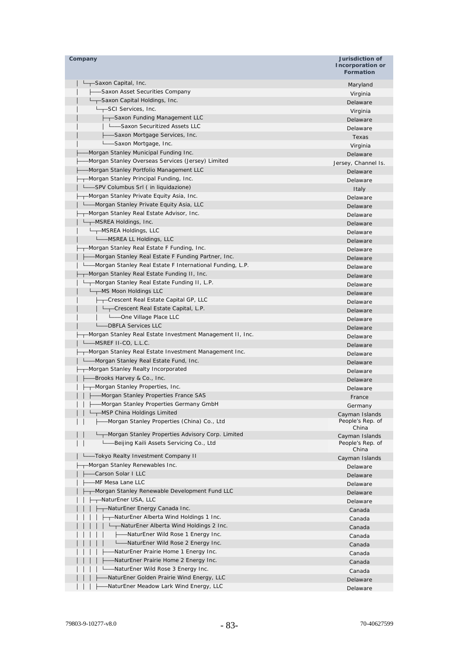| Company                                                    | Jurisdiction of<br>Incorporation or<br><b>Formation</b> |
|------------------------------------------------------------|---------------------------------------------------------|
| —Saxon Capital, Inc.                                       | Maryland                                                |
| --Saxon Asset Securities Company                           | Virginia                                                |
| -Saxon Capital Holdings, Inc.                              | Delaware                                                |
| $L_{\text{T}}$ SCI Services, Inc.                          | Virginia                                                |
| ├─┬-Saxon Funding Management LLC                           | Delaware                                                |
| -Saxon Securitized Assets LLC                              | Delaware                                                |
| -Saxon Mortgage Services, Inc.                             | Texas                                                   |
| -Saxon Mortgage, Inc.                                      | Virginia                                                |
| -Morgan Stanley Municipal Funding Inc.                     | Delaware                                                |
| -Morgan Stanley Overseas Services (Jersey) Limited         | Jersey, Channel Is.                                     |
| -Morgan Stanley Portfolio Management LLC                   | Delaware                                                |
| -Morgan Stanley Principal Funding, Inc.                    | Delaware                                                |
| -SPV Columbus Srl (in liquidazione)                        | Italy                                                   |
| -Morgan Stanley Private Equity Asia, Inc.                  | Delaware                                                |
| -Morgan Stanley Private Equity Asia, LLC                   | Delaware                                                |
| -Morgan Stanley Real Estate Advisor, Inc.                  | Delaware                                                |
| $L_{\text{--}}$ -MSREA Holdings, Inc.                      | Delaware                                                |
| L <sub>T</sub> -MSREA Holdings, LLC                        | Delaware                                                |
| LASREA LL Holdings, LLC                                    | Delaware                                                |
| -Morgan Stanley Real Estate F Funding, Inc.                | Delaware                                                |
| -Morgan Stanley Real Estate F Funding Partner, Inc.        | Delaware                                                |
| -Morgan Stanley Real Estate F International Funding, L.P.  | Delaware                                                |
| - Morgan Stanley Real Estate Funding II, Inc.              | Delaware                                                |
| --Morgan Stanley Real Estate Funding II, L.P.              | Delaware                                                |
| L <sub>T</sub> -MS Moon Holdings LLC                       | Delaware                                                |
| -Crescent Real Estate Capital GP, LLC                      | Delaware                                                |
| -Crescent Real Estate Capital, L.P.                        | Delaware                                                |
| -One Village Place LLC                                     | Delaware                                                |
| -DBFLA Services LLC                                        | Delaware                                                |
| -Morgan Stanley Real Estate Investment Management II, Inc. | Delaware                                                |
| -MSREF II-CO, L.L.C.                                       | Delaware                                                |
| -Morgan Stanley Real Estate Investment Management Inc.     | Delaware                                                |
| -Morgan Stanley Real Estate Fund, Inc.                     | Delaware                                                |
| - Morgan Stanley Realty Incorporated                       | Delaware                                                |
| ---Brooks Harvey & Co., Inc.                               | Delaware                                                |
| --Morgan Stanley Properties, Inc.                          | Delaware                                                |
| - Morgan Stanley Properties France SAS                     | France                                                  |
| -Morgan Stanley Properties Germany GmbH                    | Germany                                                 |
| -MSP China Holdings Limited                                | Cayman Islands                                          |
| -Morgan Stanley Properties (China) Co., Ltd                | People's Rep. of                                        |
|                                                            | China                                                   |
| ---Morgan Stanley Properties Advisory Corp. Limited        | Cayman Islands                                          |
| -Beijing Kaili Assets Servicing Co., Ltd                   | People's Rep. of<br>China                               |
| -Tokyo Realty Investment Company II                        | Cayman Islands                                          |
| -Morgan Stanley Renewables Inc.                            | Delaware                                                |
| -Carson Solar I LLC                                        | Delaware                                                |
| MF Mesa Lane LLC                                           | Delaware                                                |
| -Morgan Stanley Renewable Development Fund LLC             | Delaware                                                |
| —NaturEner USA, LLC                                        | Delaware                                                |
| --NaturEner Energy Canada Inc.                             | Canada                                                  |
| -NaturEner Alberta Wind Holdings 1 Inc.                    | Canada                                                  |
| -NaturEner Alberta Wind Holdings 2 Inc.                    | Canada                                                  |
| --NaturEner Wild Rose 1 Energy Inc.                        | Canada                                                  |
| -NaturEner Wild Rose 2 Energy Inc.<br><u>L</u>             | Canada                                                  |
| -NaturEner Prairie Home 1 Energy Inc.                      | Canada                                                  |
| -NaturEner Prairie Home 2 Energy Inc.                      | Canada                                                  |
| -NaturEner Wild Rose 3 Energy Inc.                         |                                                         |
| NaturEner Golden Prairie Wind Energy, LLC                  | Canada<br>Delaware                                      |
| NaturEner Meadow Lark Wind Energy, LLC                     | Delaware                                                |
|                                                            |                                                         |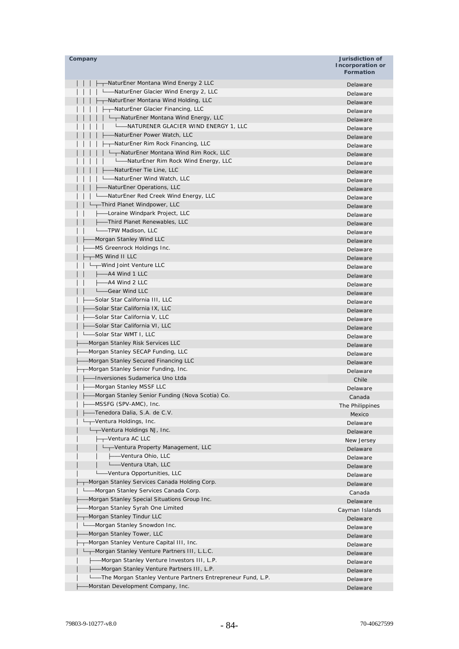| Company                                                      | Jurisdiction of                             |
|--------------------------------------------------------------|---------------------------------------------|
|                                                              | <b>Incorporation or</b><br><b>Formation</b> |
| -NaturEner Montana Wind Energy 2 LLC                         | Delaware                                    |
| ----NaturEner Glacier Wind Energy 2, LLC                     | Delaware                                    |
| ---NaturEner Montana Wind Holding, LLC                       | Delaware                                    |
| -T-NaturEner Glacier Financing, LLC                          | Delaware                                    |
| ----NaturEner Montana Wind Energy, LLC                       | Delaware                                    |
| L___NATURENER GLACIER WIND ENERGY 1, LLC                     | Delaware                                    |
| -NaturEner Power Watch, LLC                                  | Delaware                                    |
| -NaturEner Rim Rock Financing, LLC                           | Delaware                                    |
| -NaturEner Montana Wind Rim Rock, LLC                        | Delaware                                    |
| L—NaturEner Rim Rock Wind Energy, LLC                        | Delaware                                    |
| —NaturEner Tie Line, LLC                                     | Delaware                                    |
| -NaturEner Wind Watch, LLC                                   | Delaware                                    |
| -NaturEner Operations, LLC                                   | Delaware                                    |
| -NaturEner Red Creek Wind Energy, LLC                        | Delaware                                    |
| -Third Planet Windpower, LLC                                 | Delaware                                    |
| -Loraine Windpark Project, LLC                               | Delaware                                    |
| -Third Planet Renewables, LLC                                | Delaware                                    |
| L_TPW Madison, LLC                                           | Delaware                                    |
| Morgan Stanley Wind LLC-                                     | Delaware                                    |
| MS Greenrock Holdings Inc.                                   | Delaware                                    |
| -MS Wind II LLC                                              | Delaware                                    |
| -Wind Joint Venture LLC                                      | Delaware                                    |
| --A4 Wind 1 LLC                                              | Delaware                                    |
| –A4 Wind 2 LLC                                               | Delaware                                    |
| -Gear Wind LLC                                               | Delaware                                    |
| -Solar Star California III, LLC                              | Delaware                                    |
| -Solar Star California IX, LLC                               | Delaware                                    |
| -Solar Star California V, LLC                                | Delaware                                    |
| -Solar Star California VI, LLC                               | Delaware                                    |
| -Solar Star WMT I, LLC                                       | Delaware                                    |
| Morgan Stanley Risk Services LLC                             | Delaware                                    |
| Morgan Stanley SECAP Funding, LLC                            |                                             |
| Morgan Stanley Secured Financing LLC                         | Delaware<br>Delaware                        |
| -Morgan Stanley Senior Funding, Inc.                         | Delaware                                    |
| -Inversiones Sudamerica Uno Ltda                             | Chile                                       |
| -Morgan Stanley MSSF LLC                                     |                                             |
| -Morgan Stanley Senior Funding (Nova Scotia) Co.             | Delaware                                    |
| -MSSFG (SPV-AMC), Inc.                                       | Canada<br>The Philippines                   |
| Tenedora Dalia, S.A. de C.V.                                 |                                             |
| -Ventura Holdings, Inc.                                      | Mexico                                      |
| -Ventura Holdings NJ, Inc.                                   | Delaware<br>Delaware                        |
| $\leftarrow$ -Ventura AC LLC                                 |                                             |
| Ventura Property Management, LLC                             | New Jersey<br>Delaware                      |
| -Ventura Ohio, LLC                                           | Delaware                                    |
| -Ventura Utah, LLC                                           | Delaware                                    |
| -Ventura Opportunities, LLC                                  |                                             |
| -Morgan Stanley Services Canada Holding Corp.                | Delaware                                    |
| -Morgan Stanley Services Canada Corp.                        | Delaware                                    |
| Morgan Stanley Special Situations Group Inc.                 | Canada                                      |
| Morgan Stanley Syrah One Limited                             | Delaware                                    |
| Morgan Stanley Tindur LLC                                    | Cayman Islands                              |
| -Morgan Stanley Snowdon Inc.                                 | Delaware                                    |
| Morgan Stanley Tower, LLC                                    | Delaware                                    |
| -Morgan Stanley Venture Capital III, Inc.                    | Delaware                                    |
| -Morgan Stanley Venture Partners III, L.L.C.                 | Delaware                                    |
| -Morgan Stanley Venture Investors III, L.P.                  | Delaware                                    |
| -Morgan Stanley Venture Partners III, L.P.                   | Delaware                                    |
| -The Morgan Stanley Venture Partners Entrepreneur Fund, L.P. | Delaware                                    |
| Morstan Development Company, Inc.                            | Delaware                                    |
|                                                              | Delaware                                    |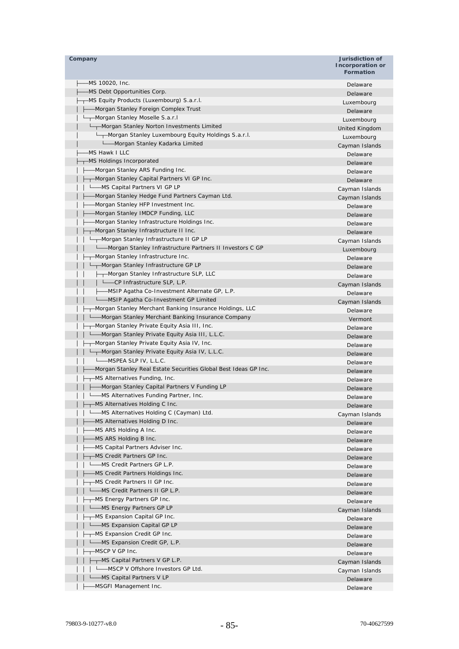| Company                                                         | Jurisdiction of<br><b>Incorporation or</b><br><b>Formation</b> |
|-----------------------------------------------------------------|----------------------------------------------------------------|
| -MS 10020, Inc.                                                 | Delaware                                                       |
| MS Debt Opportunities Corp.                                     | Delaware                                                       |
| -MS Equity Products (Luxembourg) S.a.r.l.                       | Luxembourg                                                     |
| - Morgan Stanley Foreign Complex Trust                          | Delaware                                                       |
| -Morgan Stanley Moselle S.a.r.l                                 | Luxembourg                                                     |
| Morgan Stanley Norton Investments Limited                       | United Kingdom                                                 |
| -Morgan Stanley Luxembourg Equity Holdings S.a.r.l.             | Luxembourg                                                     |
| └──Morgan Stanley Kadarka Limited                               | Cayman Islands                                                 |
| -MS Hawk I LLC                                                  | Delaware                                                       |
| -MS Holdings Incorporated                                       | Delaware                                                       |
| -Morgan Stanley ARS Funding Inc.                                | Delaware                                                       |
| -Morgan Stanley Capital Partners VI GP Inc.                     | Delaware                                                       |
| -MS Capital Partners VI GP LP                                   | Cayman Islands                                                 |
| -Morgan Stanley Hedge Fund Partners Cayman Ltd.                 | Cayman Islands                                                 |
| Morgan Stanley HFP Investment Inc.                              | Delaware                                                       |
| -Morgan Stanley IMDCP Funding, LLC                              | Delaware                                                       |
| Morgan Stanley Infrastructure Holdings Inc.                     | Delaware                                                       |
| -Morgan Stanley Infrastructure II Inc.                          | Delaware                                                       |
| -Morgan Stanley Infrastructure II GP LP                         | Cayman Islands                                                 |
| Morgan Stanley Infrastructure Partners II Investors C GP        | Luxembourg                                                     |
| -Morgan Stanley Infrastructure Inc.                             | Delaware                                                       |
| -Morgan Stanley Infrastructure GP LP                            | Delaware                                                       |
| ├─┬ Morgan Stanley Infrastructure SLP, LLC                      | Delaware                                                       |
| L__CP Infrastructure SLP, L.P.                                  | Cayman Islands                                                 |
| ├──MSIP Agatha Co-Investment Alternate GP, L.P.                 | Delaware                                                       |
| └──MSIP Agatha Co-Investment GP Limited                         | Cayman Islands                                                 |
| -Morgan Stanley Merchant Banking Insurance Holdings, LLC        | Delaware                                                       |
| -Morgan Stanley Merchant Banking Insurance Company              | Vermont                                                        |
| -Morgan Stanley Private Equity Asia III, Inc.                   | Delaware                                                       |
| -Morgan Stanley Private Equity Asia III, L.L.C.                 | Delaware                                                       |
| -Morgan Stanley Private Equity Asia IV, Inc.                    | Delaware                                                       |
| Morgan Stanley Private Equity Asia IV, L.L.C.                   | Delaware                                                       |
| L_MSPEA SLP IV, L.L.C.                                          | Delaware                                                       |
| Morgan Stanley Real Estate Securities Global Best Ideas GP Inc. | Delaware                                                       |
| -MS Alternatives Funding, Inc.                                  | Delaware                                                       |
| -Morgan Stanley Capital Partners V Funding LP                   | Delaware                                                       |
| -MS Alternatives Funding Partner, Inc.                          | Delaware                                                       |
| --MS Alternatives Holding C Inc.                                | Delaware                                                       |
| -MS Alternatives Holding C (Cayman) Ltd.                        | Cayman Islands                                                 |
| -MS Alternatives Holding D Inc.                                 | Delaware                                                       |
| -MS ARS Holding A Inc.                                          | Delaware                                                       |
| MS ARS Holding B Inc.                                           | Delaware                                                       |
| -MS Capital Partners Adviser Inc.                               | Delaware                                                       |
| <sub>r</sub> -MS Credit Partners GP Inc.                        | Delaware                                                       |
| - MS Credit Partners GP L.P.                                    | Delaware                                                       |
| -MS Credit Partners Holdings Inc.                               | Delaware                                                       |
| -MS Credit Partners II GP Inc.                                  | Delaware                                                       |
| L_MS Credit Partners II GP L.P.                                 | Delaware                                                       |
| --MS Energy Partners GP Inc.                                    | Delaware                                                       |
| L <sub>am</sub> MS Energy Partners GP LP                        | Cayman Islands                                                 |
| -MS Expansion Capital GP Inc.                                   | Delaware                                                       |
| -MS Expansion Capital GP LP                                     | Delaware                                                       |
| -MS Expansion Credit GP Inc.                                    | Delaware                                                       |
| -MS Expansion Credit GP, L.P.                                   | Delaware                                                       |
| ┬–MSCP V GP Inc.                                                | Delaware                                                       |
| ---MS Capital Partners V GP L.P.                                | Cayman Islands                                                 |
| Lessenger V Offshore Investors GP Ltd.                          | Cayman Islands                                                 |
| L_MS Capital Partners V LP                                      | Delaware                                                       |
| -MSGFI Management Inc.                                          | Delaware                                                       |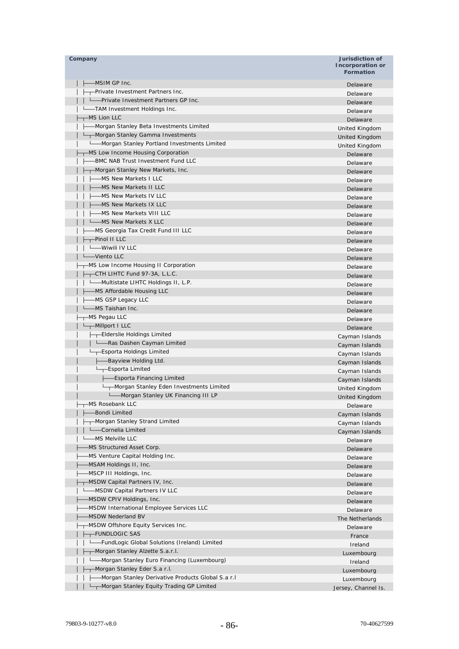| Company                                             | Jurisdiction of<br><b>Incorporation or</b><br><b>Formation</b> |
|-----------------------------------------------------|----------------------------------------------------------------|
| -MSIM GP Inc.                                       | Delaware                                                       |
| -Private Investment Partners Inc.                   | Delaware                                                       |
| L-Private Investment Partners GP Inc.               | Delaware                                                       |
| -TAM Investment Holdings Inc.                       | Delaware                                                       |
| $+$ MS Lion LLC                                     | Delaware                                                       |
| - Morgan Stanley Beta Investments Limited           | United Kingdom                                                 |
| ---Morgan Stanley Gamma Investments                 | United Kingdom                                                 |
| Morgan Stanley Portland Investments Limited         | United Kingdom                                                 |
| -MS Low Income Housing Corporation                  | Delaware                                                       |
| -BMC NAB Trust Investment Fund LLC                  | Delaware                                                       |
| -Horgan Stanley New Markets, Inc.                   | Delaware                                                       |
| -MS New Markets I LLC                               | Delaware                                                       |
| -MS New Markets II LLC                              | Delaware                                                       |
| -MS New Markets IV LLC                              | Delaware                                                       |
| -MS New Markets IX LLC                              | Delaware                                                       |
| - MS New Markets VIII LLC                           | Delaware                                                       |
| - MS New Markets X LLC                              | Delaware                                                       |
| -MS Georgia Tax Credit Fund III LLC                 | Delaware                                                       |
| -Pinol II LLC                                       | Delaware                                                       |
| - Wiwili IV LLC                                     | Delaware                                                       |
| -Viento LLC                                         | Delaware                                                       |
| -MS Low Income Housing II Corporation               | Delaware                                                       |
| —CTH LIHTC Fund 97-3A, L.L.C.                       | Delaware                                                       |
| L—Multistate LIHTC Holdings II, L.P.                | Delaware                                                       |
| -MS Affordable Housing LLC                          | Delaware                                                       |
| —MS GSP Legacy LLC                                  | Delaware                                                       |
| -MS Taishan Inc.                                    | Delaware                                                       |
| —MS Pegau LLC<br>-Millport I LLC                    | Delaware                                                       |
| --Elderslie Holdings Limited                        | Delaware                                                       |
| Ras Dashen Cayman Limited                           | Cayman Islands                                                 |
| Esporta Holdings Limited                            | Cayman Islands                                                 |
| -Bayview Holding Ltd.                               | Cayman Islands                                                 |
| --Esporta Limited                                   | Cayman Islands                                                 |
| -Esporta Financing Limited                          | Cayman Islands                                                 |
| -Morgan Stanley Eden Investments Limited            | Cayman Islands                                                 |
| --Morgan Stanley UK Financing III LP                | United Kingdom<br>United Kingdom                               |
| -MS Rosebank LLC                                    | Delaware                                                       |
| -Bondi Limited                                      | Cayman Islands                                                 |
| -Morgan Stanley Strand Limited                      | Cayman Islands                                                 |
| L-Cornelia Limited                                  | Cayman Islands                                                 |
| -MS Melville LLC                                    | Delaware                                                       |
| -MS Structured Asset Corp.                          | Delaware                                                       |
| -MS Venture Capital Holding Inc.                    | Delaware                                                       |
| -MSAM Holdings II, Inc.                             | Delaware                                                       |
| -MSCP III Holdings, Inc.                            | Delaware                                                       |
| -MSDW Capital Partners IV, Inc.                     | Delaware                                                       |
| - MSDW Capital Partners IV LLC                      | Delaware                                                       |
| -MSDW CPIV Holdings, Inc.                           | Delaware                                                       |
| -MSDW International Employee Services LLC           | Delaware                                                       |
| -MSDW Nederland BV                                  | The Netherlands                                                |
| -MSDW Offshore Equity Services Inc.                 | Delaware                                                       |
| T-FUNDLOGIC SAS                                     | France                                                         |
| -FundLogic Global Solutions (Ireland) Limited       | Ireland                                                        |
| -Morgan Stanley Alzette S.a.r.I.                    | Luxembourg                                                     |
| - Morgan Stanley Euro Financing (Luxembourg)        | Ireland                                                        |
| -Morgan Stanley Eder S.a r.l.                       | Luxembourg                                                     |
| - Morgan Stanley Derivative Products Global S.a r.l | Luxembourg                                                     |
| --Morgan Stanley Equity Trading GP Limited          | Jersey, Channel Is.                                            |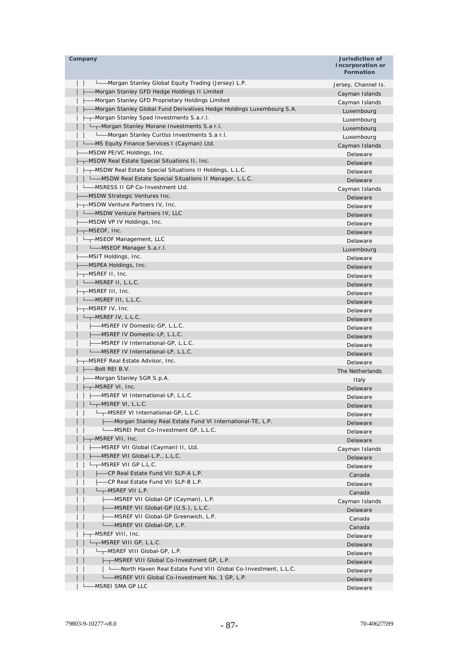| Company                                                                | Jurisdiction of<br>Incorporation or<br><b>Formation</b> |
|------------------------------------------------------------------------|---------------------------------------------------------|
| -Morgan Stanley Global Equity Trading (Jersey) L.P.                    | Jersey, Channel Is.                                     |
| -Morgan Stanley GFD Hedge Holdings II Limited                          | Cayman Islands                                          |
| -Morgan Stanley GFD Proprietary Holdings Limited                       | Cayman Islands                                          |
| -Morgan Stanley Global Fund Derivatives Hedge Holdings Luxembourg S.A. | Luxembourg                                              |
| - Morgan Stanley Spad Investments S.a.r.l.                             | Luxembourg                                              |
| ---Morgan Stanley Morane Investments S.a r.l.                          | Luxembourg                                              |
| -Morgan Stanley Curtiss Investments S.a r.l.                           | Luxembourg                                              |
| -MS Equity Finance Services I (Cayman) Ltd.                            | Cayman Islands                                          |
| -MSDW PE/VC Holdings, Inc.                                             | Delaware                                                |
| ├─┬ MSDW Real Estate Special Situations II, Inc.                       | Delaware                                                |
| ---MSDW Real Estate Special Situations II Holdings, L.L.C.             | Delaware                                                |
| L—MSDW Real Estate Special Situations II Manager, L.L.C.               | Delaware                                                |
| - MSRESS II GP Co-Investment Ltd.                                      | Cayman Islands                                          |
| -MSDW Strategic Ventures Inc.                                          | Delaware                                                |
| -MSDW Venture Partners IV, Inc.                                        | Delaware                                                |
| -MSDW Venture Partners IV, LLC<br>L                                    | Delaware                                                |
| -MSDW VP IV Holdings, Inc.                                             | Delaware                                                |
| $\leftarrow$ –MSEOF, Inc.                                              | Delaware                                                |
| L <sub>T</sub> -MSEOF Management, LLC                                  | Delaware                                                |
| L_MSEOF Manager S.a.r.I.                                               | Luxembourg                                              |
| -MSIT Holdings, Inc.                                                   | Delaware                                                |
| –MSPEA Holdings, Inc.                                                  | Delaware                                                |
| —MSREF II, Inc.                                                        | Delaware                                                |
| --MSREF II, L.L.C.                                                     | Delaware                                                |
| ——MSREF III, Inc.                                                      | Delaware                                                |
| L <sub>-</sub> MSREF III, L.L.C.                                       | Delaware                                                |
| —MSREF IV, Inc.                                                        | Delaware                                                |
| —MSREF IV, L.L.C.                                                      | Delaware                                                |
| -----MSREF IV Domestic-GP, L.L.C.                                      | Delaware                                                |
| ----MSREF IV Domestic-LP, L.L.C.                                       | Delaware                                                |
| -MSREF IV International-GP, L.L.C.                                     | Delaware                                                |
| -MSREF IV International-LP, L.L.C.                                     | Delaware                                                |
| ---MSREF Real Estate Advisor, Inc.                                     | Delaware                                                |
| -Bolt REI B.V.                                                         | The Netherlands                                         |
| -Morgan Stanley SGR S.p.A.                                             | Italy                                                   |
| <sub>r</sub> –MSREF VI, Inc.                                           | Delaware                                                |
| -MSREF VI International-LP, L.L.C.                                     | Delaware                                                |
| $L$ <sub>T</sub> MSREF VI, L.L.C.                                      | Delaware                                                |
| -MSREF VI International-GP, L.L.C.                                     | Delaware                                                |
| -Morgan Stanley Real Estate Fund VI International-TE, L.P.             | Delaware                                                |
| L__MSREI Post Co-Investment GP, L.L.C.                                 | Delaware                                                |
| -MSREF VII, Inc.                                                       | Delaware                                                |
| -MSREF VII Global (Cayman) II, Ltd.                                    | Cayman Islands                                          |
| -MSREF VII Global-L.P., L.L.C.                                         | Delaware                                                |
| <del>, -</del> MSREF VII GP L.L.C.                                     | Delaware                                                |
| --CP Real Estate Fund VII SLP-A L.P.                                   | Canada                                                  |
| -CP Real Estate Fund VII SLP-B L.P.                                    | Delaware                                                |
| $L_{\text{T}}$ -MSREF VII L.P.                                         | Canada                                                  |
| ├──MSREF VII Global-GP (Cayman), L.P.                                  | Cayman Islands                                          |
| - MSREF VII Global-GP (U.S.), L.L.C.                                   | Delaware                                                |
| ---MSREF VII Global-GP Greenwich, L.P.                                 | Canada                                                  |
| -MSREF VII Global-GP, L.P.                                             | Canada                                                  |
| ┬─MSREF VIII, Inc.                                                     | Delaware                                                |
| -MSREF VIII GP, L.L.C.                                                 | Delaware                                                |
| --MSREF VIII Global-GP, L.P.                                           | Delaware                                                |
| --- MSREF VIII Global Co-Investment GP, L.P.                           | Delaware                                                |
| - - - North Haven Real Estate Fund VIII Global Co-Investment, L.L.C.   | Delaware                                                |
| L_MSREF VIII Global Co-Investment No. 1 GP, L.P.                       | Delaware                                                |
| MSREI SMA GP LLC                                                       | Delaware                                                |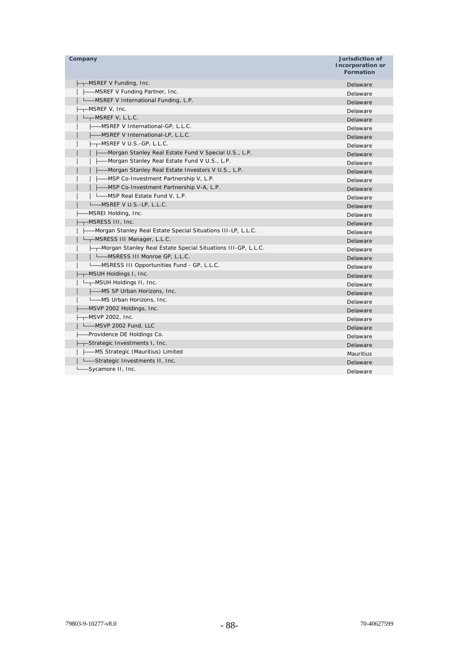| Company                                                        | <b>Jurisdiction of</b><br>Incorporation or<br><b>Formation</b> |
|----------------------------------------------------------------|----------------------------------------------------------------|
| -MSREF V Funding, Inc.                                         | Delaware                                                       |
| -MSREF V Funding Partner, Inc.                                 | Delaware                                                       |
| -MSREF V International Funding, L.P.                           | Delaware                                                       |
| -MSREF V, Inc.                                                 | Delaware                                                       |
| -MSREF V, L.L.C.                                               | Delaware                                                       |
| -MSREF V International-GP, L.L.C.                              | Delaware                                                       |
| -MSREF V International-LP, L.L.C.                              | Delaware                                                       |
| -MSREF V U.S.-GP, L.L.C.                                       | Delaware                                                       |
| -Morgan Stanley Real Estate Fund V Special U.S., L.P.          | Delaware                                                       |
| -Morgan Stanley Real Estate Fund V U.S., L.P.                  | Delaware                                                       |
| -Morgan Stanley Real Estate Investors V U.S., L.P.             | Delaware                                                       |
| -MSP Co-Investment Partnership V, L.P.                         | Delaware                                                       |
| -MSP Co-Investment Partnership V-A, L.P.                       | Delaware                                                       |
| —MSP Real Estate Fund V, L.P.                                  | Delaware                                                       |
| —MSREF V U.S.-LP, L.L.C.                                       | Delaware                                                       |
| MSREI Holding, Inc.                                            | Delaware                                                       |
| MSRESS III, Inc.                                               | Delaware                                                       |
| -Morgan Stanley Real Estate Special Situations III-LP, L.L.C.  | Delaware                                                       |
| -MSRESS III Manager, L.L.C.                                    | Delaware                                                       |
| --Morgan Stanley Real Estate Special Situations III-GP, L.L.C. | Delaware                                                       |
| L_MSRESS III Monroe GP, L.L.C.                                 | Delaware                                                       |
| L__MSRESS III Opportunities Fund - GP, L.L.C.                  | Delaware                                                       |
| -MSUH Holdings I, Inc.                                         | Delaware                                                       |
| ——MSUH Holdings II, Inc.                                       | Delaware                                                       |
| -----MS SP Urban Horizons, Inc.                                | Delaware                                                       |
| Lessing Urban Horizons, Inc.                                   | Delaware                                                       |
| -MSVP 2002 Holdings, Inc.                                      | Delaware                                                       |
| -MSVP 2002, Inc.                                               | Delaware                                                       |
| Letter 2002 Fund, LLC                                          | Delaware                                                       |
| -Providence DE Holdings Co.                                    | Delaware                                                       |
| -Strategic Investments I, Inc.                                 | Delaware                                                       |
| - MS Strategic (Mauritius) Limited                             | <b>Mauritius</b>                                               |
| --Strategic Investments II, Inc.                               | Delaware                                                       |
| -Sycamore II, Inc.                                             | Delaware                                                       |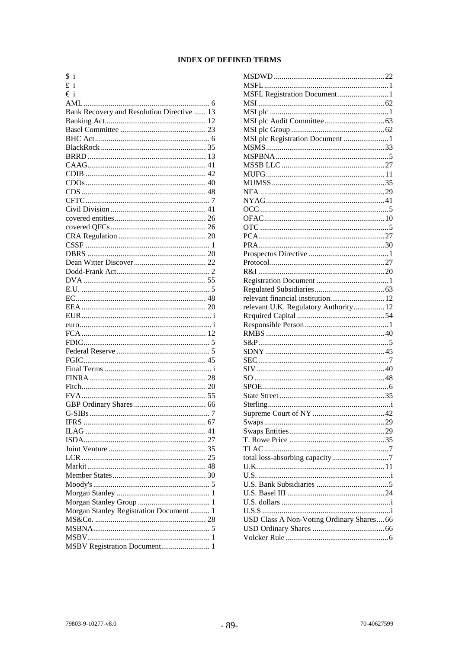# **INDEX OF DEFINED TERMS**

| \$ i                                       |  |
|--------------------------------------------|--|
| £i                                         |  |
| €i                                         |  |
|                                            |  |
| Bank Recovery and Resolution Directive  13 |  |
|                                            |  |
|                                            |  |
|                                            |  |
|                                            |  |
|                                            |  |
|                                            |  |
|                                            |  |
|                                            |  |
|                                            |  |
|                                            |  |
|                                            |  |
|                                            |  |
|                                            |  |
|                                            |  |
|                                            |  |
|                                            |  |
|                                            |  |
|                                            |  |
|                                            |  |
|                                            |  |
|                                            |  |
|                                            |  |
|                                            |  |
|                                            |  |
|                                            |  |
|                                            |  |
|                                            |  |
|                                            |  |
|                                            |  |
|                                            |  |
|                                            |  |
|                                            |  |
|                                            |  |
|                                            |  |
| <b>IFRS</b>                                |  |
|                                            |  |
|                                            |  |
|                                            |  |
|                                            |  |
|                                            |  |
|                                            |  |
|                                            |  |
|                                            |  |
|                                            |  |
| Morgan Stanley Registration Document  1    |  |
|                                            |  |
|                                            |  |
|                                            |  |
| MSBV Registration Document 1               |  |
|                                            |  |

| MSI plc Registration Document 1           |
|-------------------------------------------|
|                                           |
|                                           |
|                                           |
|                                           |
|                                           |
|                                           |
|                                           |
|                                           |
|                                           |
|                                           |
|                                           |
|                                           |
|                                           |
|                                           |
|                                           |
|                                           |
|                                           |
|                                           |
| relevant financial institution 12         |
| relevant U.K. Regulatory Authority 12     |
|                                           |
|                                           |
|                                           |
|                                           |
|                                           |
|                                           |
|                                           |
|                                           |
|                                           |
|                                           |
|                                           |
|                                           |
|                                           |
|                                           |
|                                           |
|                                           |
|                                           |
|                                           |
|                                           |
|                                           |
|                                           |
|                                           |
|                                           |
|                                           |
|                                           |
| USD Class A Non-Voting Ordinary Shares 66 |
|                                           |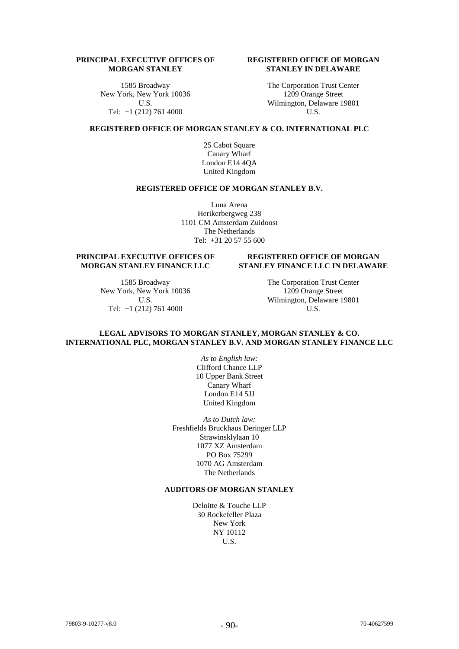# **PRINCIPAL EXECUTIVE OFFICES OF MORGAN STANLEY**

1585 Broadway New York, New York 10036 U.S. Tel: +1 (212) 761 4000

# **REGISTERED OFFICE OF MORGAN STANLEY IN DELAWARE**

The Corporation Trust Center 1209 Orange Street Wilmington, Delaware 19801 U.S.

# **REGISTERED OFFICE OF MORGAN STANLEY & CO. INTERNATIONAL PLC**

25 Cabot Square Canary Wharf London E14 4QA United Kingdom

#### **REGISTERED OFFICE OF MORGAN STANLEY B.V.**

Luna Arena Herikerbergweg 238 1101 CM Amsterdam Zuidoost The Netherlands Tel: +31 20 57 55 600

# **PRINCIPAL EXECUTIVE OFFICES OF MORGAN STANLEY FINANCE LLC**

1585 Broadway New York, New York 10036 U.S. Tel: +1 (212) 761 4000

## **REGISTERED OFFICE OF MORGAN STANLEY FINANCE LLC IN DELAWARE**

The Corporation Trust Center 1209 Orange Street Wilmington, Delaware 19801 U.S.

### **LEGAL ADVISORS TO MORGAN STANLEY, MORGAN STANLEY & CO. INTERNATIONAL PLC, MORGAN STANLEY B.V. AND MORGAN STANLEY FINANCE LLC**

*As to English law:* Clifford Chance LLP 10 Upper Bank Street Canary Wharf London E14 5JJ United Kingdom

*As to Dutch law:* Freshfields Bruckhaus Deringer LLP Strawinsklylaan 10 1077 XZ Amsterdam PO Box 75299 1070 AG Amsterdam The Netherlands

# **AUDITORS OF MORGAN STANLEY**

Deloitte & Touche LLP 30 Rockefeller Plaza New York NY 10112 U.S.